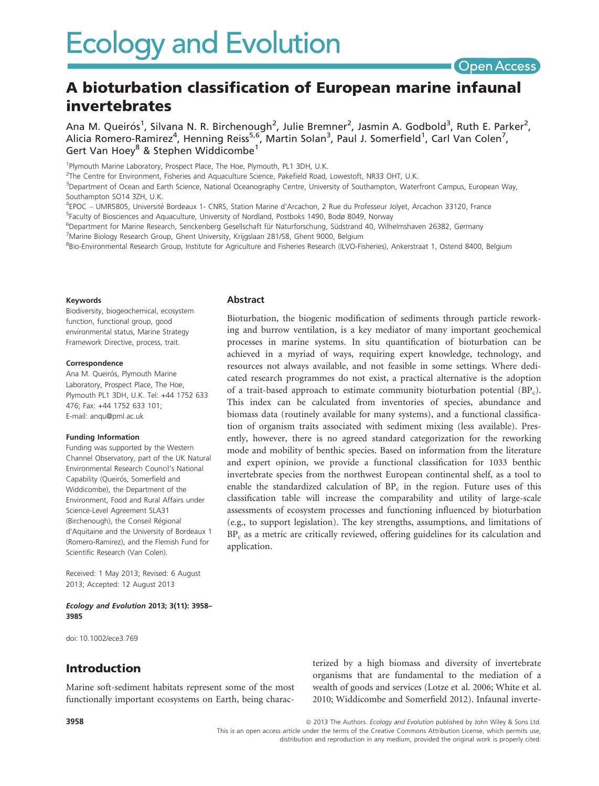**Open Access** 

# A bioturbation classification of European marine infaunal invertebrates

Ana M. Queirós<sup>1</sup>, Silvana N. R. Birchenough<sup>2</sup>, Julie Bremner<sup>2</sup>, Jasmin A. Godbold<sup>3</sup>, Ruth E. Parker<sup>2</sup>, Alicia Romero-Ramirez<sup>4</sup>, Henning Reiss<sup>5,6</sup>, Martin Solan<sup>3</sup>, Paul J. Somerfield<sup>1</sup>, Carl Van Colen<sup>7</sup>, Gert Van Hoey<sup>8</sup> & Stephen Widdicombe<sup>1</sup>

<sup>1</sup>Plymouth Marine Laboratory, Prospect Place, The Hoe, Plymouth, PL1 3DH, U.K.

2 The Centre for Environment, Fisheries and Aquaculture Science, Pakefield Road, Lowestoft, NR33 OHT, U.K.

3 Department of Ocean and Earth Science, National Oceanography Centre, University of Southampton, Waterfront Campus, European Way, Southampton SO14 3ZH, U.K.

4 EPOC – UMR5805, Universite Bordeaux 1- CNRS, Station Marine d'Arcachon, 2 Rue du Professeur Jolyet, Arcachon 33120, France 5 Faculty of Biosciences and Aquaculture, University of Nordland, Postboks 1490, Bodø 8049, Norway

<sup>6</sup>Department for Marine Research, Senckenberg Gesellschaft für Naturforschung, Südstrand 40, Wilhelmshaven 26382, Germany

<sup>7</sup>Marine Biology Research Group, Ghent University, Krijgslaan 281/S8, Ghent 9000, Belgium

8Bio-Environmental Research Group, Institute for Agriculture and Fisheries Research (ILVO-Fisheries), Ankerstraat 1, Ostend 8400, Belgium

#### Keywords

Biodiversity, biogeochemical, ecosystem function, functional group, good environmental status, Marine Strategy Framework Directive, process, trait.

#### Correspondence

Ana M. Queirós, Plymouth Marine Laboratory, Prospect Place, The Hoe, Plymouth PL1 3DH, U.K. Tel: +44 1752 633 476; Fax: +44 1752 633 101; E-mail: anqu@pml.ac.uk

#### Funding Information

Funding was supported by the Western Channel Observatory, part of the UK Natural Environmental Research Council's National Capability (Queirós, Somerfield and Widdicombe), the Department of the Environment, Food and Rural Affairs under Science-Level Agreement SLA31 (Birchenough), the Conseil Régional d'Aquitaine and the University of Bordeaux 1 (Romero-Ramirez), and the Flemish Fund for Scientific Research (Van Colen).

Received: 1 May 2013; Revised: 6 August 2013; Accepted: 12 August 2013

#### Ecology and Evolution 2013; 3(11): 3958– 3985

doi: 10.1002/ece3.769

## Introduction

Marine soft-sediment habitats represent some of the most functionally important ecosystems on Earth, being charac-

#### Abstract

Bioturbation, the biogenic modification of sediments through particle reworking and burrow ventilation, is a key mediator of many important geochemical processes in marine systems. In situ quantification of bioturbation can be achieved in a myriad of ways, requiring expert knowledge, technology, and resources not always available, and not feasible in some settings. Where dedicated research programmes do not exist, a practical alternative is the adoption of a trait-based approach to estimate community bioturbation potential  $(BP_c)$ . This index can be calculated from inventories of species, abundance and biomass data (routinely available for many systems), and a functional classification of organism traits associated with sediment mixing (less available). Presently, however, there is no agreed standard categorization for the reworking mode and mobility of benthic species. Based on information from the literature and expert opinion, we provide a functional classification for 1033 benthic invertebrate species from the northwest European continental shelf, as a tool to enable the standardized calculation of  $BP_c$  in the region. Future uses of this classification table will increase the comparability and utility of large-scale assessments of ecosystem processes and functioning influenced by bioturbation (e.g., to support legislation). The key strengths, assumptions, and limitations of BP<sub>c</sub> as a metric are critically reviewed, offering guidelines for its calculation and application.

> terized by a high biomass and diversity of invertebrate organisms that are fundamental to the mediation of a wealth of goods and services (Lotze et al. 2006; White et al. 2010; Widdicombe and Somerfield 2012). Infaunal inverte-

3958 3958 **3958 3958 120 12013 120 2013** The Authors. Ecology and Evolution published by John Wiley & Sons Ltd.

This is an open access article under the terms of the Creative Commons Attribution License, which permits use, distribution and reproduction in any medium, provided the original work is properly cited.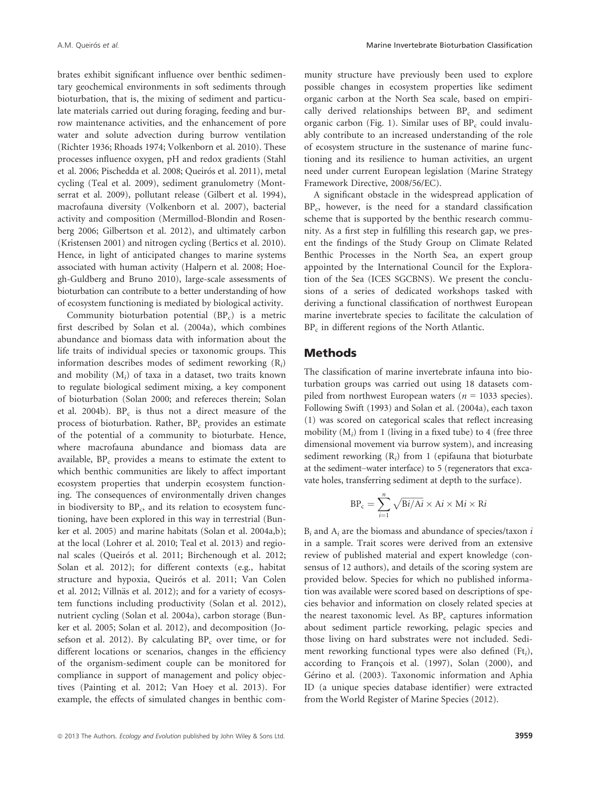brates exhibit significant influence over benthic sedimentary geochemical environments in soft sediments through bioturbation, that is, the mixing of sediment and particulate materials carried out during foraging, feeding and burrow maintenance activities, and the enhancement of pore water and solute advection during burrow ventilation (Richter 1936; Rhoads 1974; Volkenborn et al. 2010). These processes influence oxygen, pH and redox gradients (Stahl et al. 2006; Pischedda et al. 2008; Queirós et al. 2011), metal cycling (Teal et al. 2009), sediment granulometry (Montserrat et al. 2009), pollutant release (Gilbert et al. 1994), macrofauna diversity (Volkenborn et al. 2007), bacterial activity and composition (Mermillod-Blondin and Rosenberg 2006; Gilbertson et al. 2012), and ultimately carbon (Kristensen 2001) and nitrogen cycling (Bertics et al. 2010). Hence, in light of anticipated changes to marine systems associated with human activity (Halpern et al. 2008; Hoegh-Guldberg and Bruno 2010), large-scale assessments of bioturbation can contribute to a better understanding of how of ecosystem functioning is mediated by biological activity.

Community bioturbation potential  $(BP_c)$  is a metric first described by Solan et al. (2004a), which combines abundance and biomass data with information about the life traits of individual species or taxonomic groups. This information describes modes of sediment reworking  $(R_i)$ and mobility  $(M_i)$  of taxa in a dataset, two traits known to regulate biological sediment mixing, a key component of bioturbation (Solan 2000; and refereces therein; Solan et al. 2004b).  $BP_c$  is thus not a direct measure of the process of bioturbation. Rather,  $BP_c$  provides an estimate of the potential of a community to bioturbate. Hence, where macrofauna abundance and biomass data are available,  $BP_c$  provides a means to estimate the extent to which benthic communities are likely to affect important ecosystem properties that underpin ecosystem functioning. The consequences of environmentally driven changes in biodiversity to  $BP_c$ , and its relation to ecosystem functioning, have been explored in this way in terrestrial (Bunker et al. 2005) and marine habitats (Solan et al. 2004a,b); at the local (Lohrer et al. 2010; Teal et al. 2013) and regional scales (Queirós et al. 2011; Birchenough et al. 2012; Solan et al. 2012); for different contexts (e.g., habitat structure and hypoxia, Queirós et al. 2011; Van Colen et al. 2012; Villnäs et al. 2012); and for a variety of ecosystem functions including productivity (Solan et al. 2012), nutrient cycling (Solan et al. 2004a), carbon storage (Bunker et al. 2005; Solan et al. 2012), and decomposition (Josefson et al. 2012). By calculating  $BP_c$  over time, or for different locations or scenarios, changes in the efficiency of the organism-sediment couple can be monitored for compliance in support of management and policy objectives (Painting et al. 2012; Van Hoey et al. 2013). For example, the effects of simulated changes in benthic community structure have previously been used to explore possible changes in ecosystem properties like sediment organic carbon at the North Sea scale, based on empirically derived relationships between  $BP_c$  and sediment organic carbon (Fig. 1). Similar uses of  $BP_c$  could invaluably contribute to an increased understanding of the role of ecosystem structure in the sustenance of marine functioning and its resilience to human activities, an urgent need under current European legislation (Marine Strategy Framework Directive, 2008/56/EC).

A significant obstacle in the widespread application of  $BP<sub>c</sub>$ , however, is the need for a standard classification scheme that is supported by the benthic research community. As a first step in fulfilling this research gap, we present the findings of the Study Group on Climate Related Benthic Processes in the North Sea, an expert group appointed by the International Council for the Exploration of the Sea (ICES SGCBNS). We present the conclusions of a series of dedicated workshops tasked with deriving a functional classification of northwest European marine invertebrate species to facilitate the calculation of BP<sub>c</sub> in different regions of the North Atlantic.

## Methods

The classification of marine invertebrate infauna into bioturbation groups was carried out using 18 datasets compiled from northwest European waters ( $n = 1033$  species). Following Swift (1993) and Solan et al. (2004a), each taxon (1) was scored on categorical scales that reflect increasing mobility  $(M_i)$  from 1 (living in a fixed tube) to 4 (free three dimensional movement via burrow system), and increasing sediment reworking  $(R_i)$  from 1 (epifauna that bioturbate at the sediment–water interface) to 5 (regenerators that excavate holes, transferring sediment at depth to the surface).

$$
BP_c = \sum_{i=1}^{n} \sqrt{Bi/Ai} \times Ai \times Mi \times Ri
$$

 $B_i$  and  $A_i$  are the biomass and abundance of species/taxon  $i$ in a sample. Trait scores were derived from an extensive review of published material and expert knowledge (consensus of 12 authors), and details of the scoring system are provided below. Species for which no published information was available were scored based on descriptions of species behavior and information on closely related species at the nearest taxonomic level. As  $BP_c$  captures information about sediment particle reworking, pelagic species and those living on hard substrates were not included. Sediment reworking functional types were also defined  $(Ft_i)$ , according to Francois et al. (1997), Solan (2000), and Gérino et al. (2003). Taxonomic information and Aphia ID (a unique species database identifier) were extracted from the World Register of Marine Species (2012).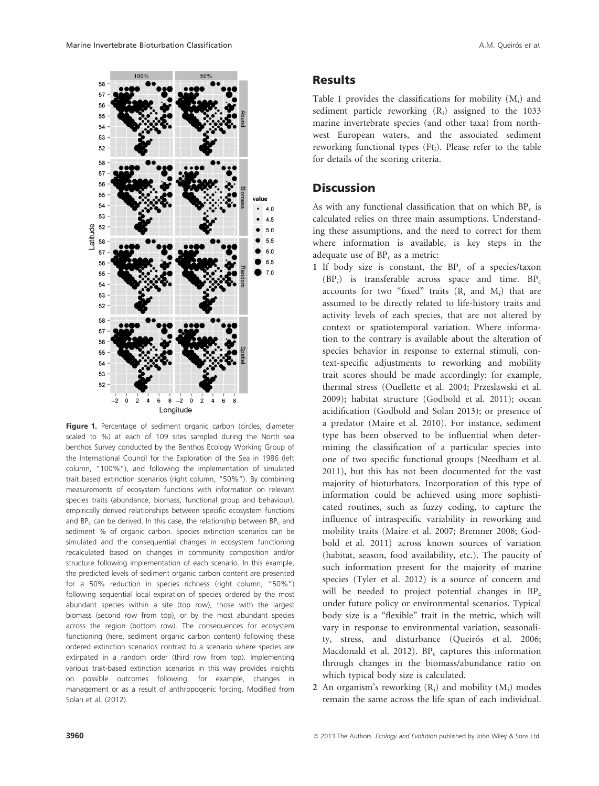

Figure 1. Percentage of sediment organic carbon (circles, diameter scaled to %) at each of 109 sites sampled during the North sea benthos Survey conducted by the Benthos Ecology Working Group of the International Council for the Exploration of the Sea in 1986 (left column, "100%"), and following the implementation of simulated trait based extinction scenarios (right column, "50%"). By combining measurements of ecosystem functions with information on relevant species traits (abundance, biomass, functional group and behaviour), empirically derived relationships between specific ecosystem functions and  $BP_c$  can be derived. In this case, the relationship between  $BP_c$  and sediment % of organic carbon. Species extinction scenarios can be simulated and the consequential changes in ecosystem functioning recalculated based on changes in community composition and/or structure following implementation of each scenario. In this example, the predicted levels of sediment organic carbon content are presented for a 50% reduction in species richness (right column, "50%") following sequential local expiration of species ordered by the most abundant species within a site (top row), those with the largest biomass (second row from top), or by the most abundant species across the region (bottom row). The consequences for ecosystem functioning (here, sediment organic carbon content) following these ordered extinction scenarios contrast to a scenario where species are extirpated in a random order (third row from top). Implementing various trait-based extinction scenarios in this way provides insights on possible outcomes following, for example, changes in management or as a result of anthropogenic forcing. Modified from Solan et al. (2012).

## Results

Table 1 provides the classifications for mobility  $(M_i)$  and sediment particle reworking  $(R_i)$  assigned to the 1033 marine invertebrate species (and other taxa) from northwest European waters, and the associated sediment reworking functional types (Ft<sub>i</sub>). Please refer to the table for details of the scoring criteria.

## **Discussion**

As with any functional classification that on which  $BP<sub>c</sub>$  is calculated relies on three main assumptions. Understanding these assumptions, and the need to correct for them where information is available, is key steps in the adequate use of  $BP_c$  as a metric:

- 1 If body size is constant, the  $BP_c$  of a species/taxon  $(BP_i)$  is transferable across space and time.  $BP_c$ accounts for two "fixed" traits  $(R_i \text{ and } M_i)$  that are assumed to be directly related to life-history traits and activity levels of each species, that are not altered by context or spatiotemporal variation. Where information to the contrary is available about the alteration of species behavior in response to external stimuli, context-specific adjustments to reworking and mobility trait scores should be made accordingly: for example, thermal stress (Ouellette et al. 2004; Przeslawski et al. 2009); habitat structure (Godbold et al. 2011); ocean acidification (Godbold and Solan 2013); or presence of a predator (Maire et al. 2010). For instance, sediment type has been observed to be influential when determining the classification of a particular species into one of two specific functional groups (Needham et al. 2011), but this has not been documented for the vast majority of bioturbators. Incorporation of this type of information could be achieved using more sophisticated routines, such as fuzzy coding, to capture the influence of intraspecific variability in reworking and mobility traits (Maire et al. 2007; Bremner 2008; Godbold et al. 2011) across known sources of variation (habitat, season, food availability, etc.). The paucity of such information present for the majority of marine species (Tyler et al. 2012) is a source of concern and will be needed to project potential changes in  $BP_c$ under future policy or environmental scenarios. Typical body size is a "flexible" trait in the metric, which will vary in response to environmental variation, seasonality, stress, and disturbance (Queirós et al. 2006; Macdonald et al. 2012).  $BP_c$  captures this information through changes in the biomass/abundance ratio on which typical body size is calculated.
- 2 An organism's reworking  $(R_i)$  and mobility  $(M_i)$  modes remain the same across the life span of each individual.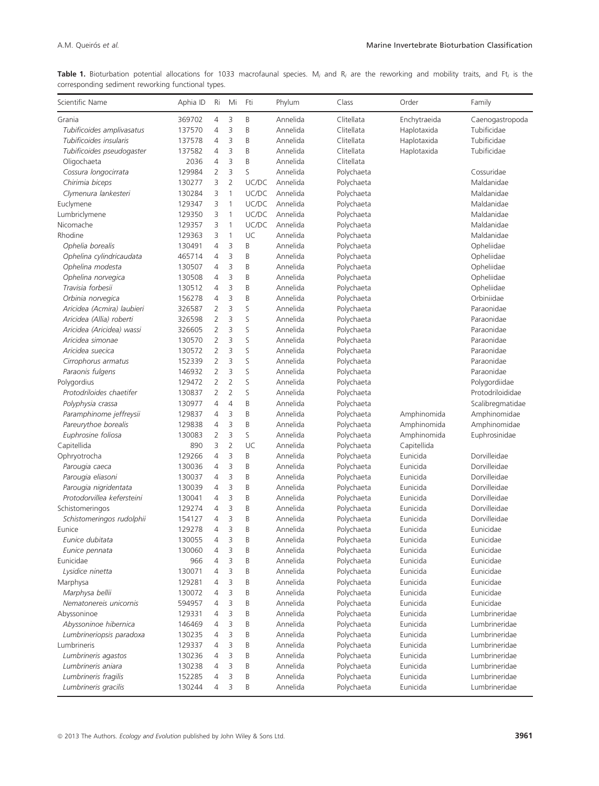Table 1. Bioturbation potential allocations for 1033 macrofaunal species. M<sub>i</sub> and R<sub>i</sub> are the reworking and mobility traits, and Ft<sub>i</sub> is the corresponding sediment reworking functional types.

| Scientific Name            | Aphia ID | Ri             | Mi             | Fti   | Phylum   | Class      | Order        | Family           |
|----------------------------|----------|----------------|----------------|-------|----------|------------|--------------|------------------|
| Grania                     | 369702   | 4              | 3              | B     | Annelida | Clitellata | Enchytraeida | Caenogastropoda  |
| Tubificoides amplivasatus  | 137570   | 4              | 3              | B     | Annelida | Clitellata | Haplotaxida  | Tubificidae      |
| Tubificoides insularis     | 137578   | 4              | 3              | B     | Annelida | Clitellata | Haplotaxida  | Tubificidae      |
| Tubificoides pseudogaster  | 137582   | 4              | 3              | B     | Annelida | Clitellata | Haplotaxida  | Tubificidae      |
| Oligochaeta                | 2036     | 4              | 3              | B     | Annelida | Clitellata |              |                  |
| Cossura longocirrata       | 129984   | $\overline{2}$ | 3              | S     | Annelida | Polychaeta |              | Cossuridae       |
| Chirimia biceps            | 130277   | 3              | $\overline{2}$ | UC/DC | Annelida | Polychaeta |              | Maldanidae       |
| Clymenura lankesteri       | 130284   | 3              | 1              | UC/DC | Annelida | Polychaeta |              | Maldanidae       |
| Euclymene                  | 129347   | 3              | 1              | UC/DC | Annelida | Polychaeta |              | Maldanidae       |
| Lumbriclymene              | 129350   | 3              | 1              | UC/DC | Annelida | Polychaeta |              | Maldanidae       |
| Nicomache                  | 129357   | 3              | 1              | UC/DC | Annelida | Polychaeta |              | Maldanidae       |
| Rhodine                    | 129363   | 3              | 1              | UC    | Annelida | Polychaeta |              | Maldanidae       |
| Ophelia borealis           | 130491   | 4              | 3              | B     | Annelida | Polychaeta |              | Opheliidae       |
| Ophelina cylindricaudata   | 465714   | 4              | 3              | B     | Annelida | Polychaeta |              | Opheliidae       |
| Ophelina modesta           | 130507   | 4              | 3              | B     | Annelida | Polychaeta |              | Opheliidae       |
| Ophelina norvegica         | 130508   | 4              | 3              | B     | Annelida | Polychaeta |              | Opheliidae       |
| Travisia forbesii          | 130512   | 4              | 3              | B     | Annelida | Polychaeta |              | Opheliidae       |
| Orbinia norvegica          | 156278   | 4              | 3              | B     | Annelida | Polychaeta |              | Orbiniidae       |
| Aricidea (Acmira) laubieri | 326587   | 2              | 3              | S     | Annelida | Polychaeta |              | Paraonidae       |
| Aricidea (Allia) roberti   | 326598   | $\overline{2}$ | 3              | S     | Annelida | Polychaeta |              | Paraonidae       |
| Aricidea (Aricidea) wassi  | 326605   | $\overline{2}$ | 3              | S     | Annelida | Polychaeta |              | Paraonidae       |
| Aricidea simonae           | 130570   | $\overline{2}$ | 3              | S     | Annelida | Polychaeta |              | Paraonidae       |
| Aricidea suecica           | 130572   | $\overline{2}$ | 3              | S     | Annelida | Polychaeta |              | Paraonidae       |
| Cirrophorus armatus        | 152339   | $\overline{2}$ | 3              | S     | Annelida | Polychaeta |              | Paraonidae       |
| Paraonis fulgens           | 146932   | $\overline{2}$ | 3              | S     | Annelida | Polychaeta |              | Paraonidae       |
| Polygordius                | 129472   | $\overline{2}$ | $\overline{2}$ | S     | Annelida | Polychaeta |              | Polygordiidae    |
| Protodriloides chaetifer   | 130837   | $\overline{2}$ | $\overline{2}$ | S     | Annelida | Polychaeta |              | Protodriloididae |
| Polyphysia crassa          | 130977   | 4              | $\overline{4}$ | B     | Annelida | Polychaeta |              | Scalibregmatidae |
| Paramphinome jeffreysii    | 129837   | 4              | 3              | B     | Annelida | Polychaeta | Amphinomida  | Amphinomidae     |
| Pareurythoe borealis       | 129838   | 4              | 3              | B     | Annelida | Polychaeta | Amphinomida  | Amphinomidae     |
| Euphrosine foliosa         | 130083   | 2              | 3              | S     | Annelida | Polychaeta | Amphinomida  | Euphrosinidae    |
| Capitellida                | 890      | 3              | $\overline{2}$ | UC    | Annelida | Polychaeta | Capitellida  |                  |
| Ophryotrocha               | 129266   | 4              | 3              | B     | Annelida | Polychaeta | Eunicida     | Dorvilleidae     |
| Parougia caeca             | 130036   | 4              | 3              | B     | Annelida | Polychaeta | Eunicida     | Dorvilleidae     |
| Parougia eliasoni          | 130037   | 4              | 3              | B     | Annelida | Polychaeta | Eunicida     | Dorvilleidae     |
| Parougia nigridentata      | 130039   | 4              | 3              | B     | Annelida | Polychaeta | Eunicida     | Dorvilleidae     |
| Protodorvillea kefersteini | 130041   | 4              | 3              | B     | Annelida | Polychaeta | Eunicida     | Dorvilleidae     |
| Schistomeringos            | 129274   | 4              | 3              | B     | Annelida | Polychaeta | Eunicida     | Dorvilleidae     |
| Schistomeringos rudolphii  | 154127   | 4              | 3              | B     | Annelida | Polychaeta | Eunicida     | Dorvilleidae     |
| Eunice                     | 129278   | 4              | 3              | B     | Annelida | Polychaeta | Eunicida     | Eunicidae        |
| Eunice dubitata            | 130055   | 4              | 3              | B     | Annelida | Polychaeta | Eunicida     | Eunicidae        |
| Eunice pennata             | 130060   | 4              | 3              | B     | Annelida | Polychaeta | Eunicida     | Eunicidae        |
| Eunicidae                  | 966      | 4              | 3              | B     | Annelida | Polychaeta | Eunicida     | Eunicidae        |
| Lysidice ninetta           | 130071   | 4              | 3              | B     | Annelida | Polychaeta | Eunicida     | Eunicidae        |
| Marphysa                   | 129281   | 4              | 3              | B     | Annelida | Polychaeta | Eunicida     | Eunicidae        |
| Marphysa bellii            | 130072   | 4              | 3              | B     | Annelida | Polychaeta | Eunicida     | Eunicidae        |
| Nematonereis unicornis     | 594957   | 4              | 3              | B     | Annelida | Polychaeta | Eunicida     | Eunicidae        |
| Abyssoninoe                | 129331   | 4              | 3              | B     | Annelida | Polychaeta | Eunicida     | Lumbrineridae    |
| Abyssoninoe hibernica      | 146469   | 4              | 3              | B     | Annelida | Polychaeta | Eunicida     | Lumbrineridae    |
| Lumbrineriopsis paradoxa   | 130235   | 4              | 3              | B     | Annelida | Polychaeta | Eunicida     | Lumbrineridae    |
| Lumbrineris                | 129337   | 4              | 3              | B     | Annelida | Polychaeta | Eunicida     | Lumbrineridae    |
| Lumbrineris agastos        | 130236   | 4              | 3              | B     | Annelida | Polychaeta | Eunicida     | Lumbrineridae    |
| Lumbrineris aniara         | 130238   | 4              | 3              | B     | Annelida | Polychaeta | Eunicida     | Lumbrineridae    |
| Lumbrineris fragilis       | 152285   | 4              | 3              | B     | Annelida | Polychaeta | Eunicida     | Lumbrineridae    |
| Lumbrineris gracilis       | 130244   | $\overline{4}$ | 3              | B     | Annelida | Polychaeta | Eunicida     | Lumbrineridae    |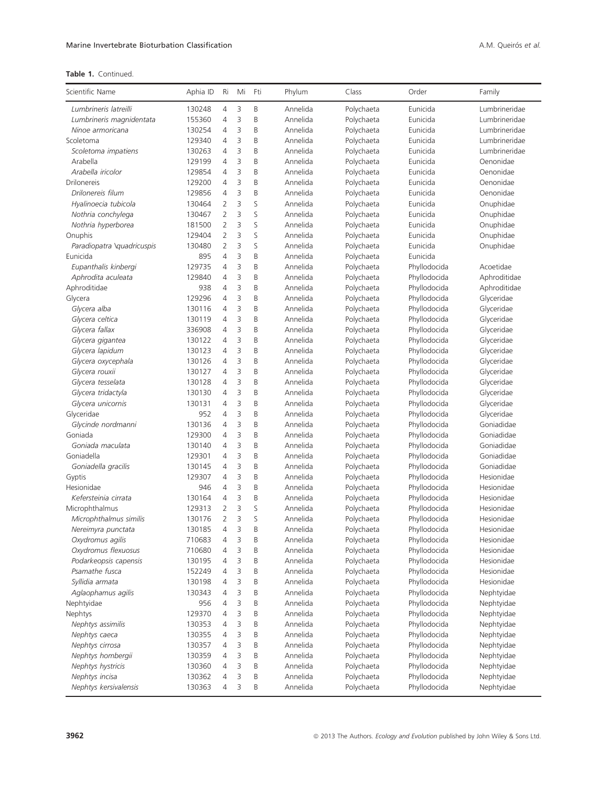| Scientific Name            | Aphia ID | Ri             | Mi | Fti | Phylum   | Class      | Order        | Family        |
|----------------------------|----------|----------------|----|-----|----------|------------|--------------|---------------|
| Lumbrineris latreilli      | 130248   | $\overline{4}$ | 3  | Β   | Annelida | Polychaeta | Eunicida     | Lumbrineridae |
| Lumbrineris magnidentata   | 155360   | $\overline{4}$ | 3  | B   | Annelida | Polychaeta | Eunicida     | Lumbrineridae |
| Ninoe armoricana           | 130254   | $\overline{4}$ | 3  | B   | Annelida | Polychaeta | Eunicida     | Lumbrineridae |
| Scoletoma                  | 129340   | 4              | 3  | B   | Annelida | Polychaeta | Eunicida     | Lumbrineridae |
| Scoletoma impatiens        | 130263   | $\overline{4}$ | 3  | B   | Annelida | Polychaeta | Eunicida     | Lumbrineridae |
| Arabella                   | 129199   | $\overline{4}$ | 3  | B   | Annelida | Polychaeta | Eunicida     | Oenonidae     |
| Arabella iricolor          | 129854   | 4              | 3  | B   | Annelida | Polychaeta | Eunicida     | Oenonidae     |
| <b>Drilonereis</b>         | 129200   | $\overline{4}$ | 3  | B   | Annelida | Polychaeta | Eunicida     | Oenonidae     |
| Drilonereis filum          | 129856   | $\overline{4}$ | 3  | B   | Annelida | Polychaeta | Eunicida     | Oenonidae     |
| Hyalinoecia tubicola       | 130464   | $\overline{2}$ | 3  | S   | Annelida | Polychaeta | Eunicida     | Onuphidae     |
| Nothria conchylega         | 130467   | $\overline{2}$ | 3  | S   | Annelida | Polychaeta | Eunicida     | Onuphidae     |
| Nothria hyperborea         | 181500   | $\overline{2}$ | 3  | S   | Annelida | Polychaeta | Eunicida     | Onuphidae     |
| Onuphis                    | 129404   | $\overline{2}$ | 3  | S   | Annelida | Polychaeta | Eunicida     | Onuphidae     |
| Paradiopatra \quadricuspis | 130480   | $\overline{2}$ | 3  | S   | Annelida | Polychaeta | Eunicida     | Onuphidae     |
| Eunicida                   | 895      | $\overline{4}$ | 3  | B   | Annelida | Polychaeta | Eunicida     |               |
| Eupanthalis kinbergi       | 129735   | $\overline{4}$ | 3  | B   | Annelida | Polychaeta | Phyllodocida | Acoetidae     |
| Aphrodita aculeata         | 129840   | $\overline{4}$ | 3  | B   | Annelida | Polychaeta | Phyllodocida | Aphroditidae  |
| Aphroditidae               | 938      | $\overline{4}$ | 3  | B   | Annelida | Polychaeta | Phyllodocida | Aphroditidae  |
| Glycera                    | 129296   | $\overline{4}$ | 3  | B   | Annelida | Polychaeta | Phyllodocida | Glyceridae    |
| Glycera alba               | 130116   | $\overline{4}$ | 3  | B   | Annelida | Polychaeta | Phyllodocida | Glyceridae    |
| Glycera celtica            | 130119   | $\overline{4}$ | 3  | B   | Annelida | Polychaeta | Phyllodocida | Glyceridae    |
| Glycera fallax             | 336908   | $\overline{4}$ | 3  | B   | Annelida | Polychaeta | Phyllodocida | Glyceridae    |
| Glycera gigantea           | 130122   | 4              | 3  | B   | Annelida | Polychaeta | Phyllodocida | Glyceridae    |
| Glycera lapidum            | 130123   | $\overline{4}$ | 3  | B   | Annelida | Polychaeta | Phyllodocida | Glyceridae    |
| Glycera oxycephala         | 130126   | $\overline{4}$ | 3  | B   | Annelida | Polychaeta | Phyllodocida | Glyceridae    |
| Glycera rouxii             | 130127   | $\overline{4}$ | 3  | B   | Annelida | Polychaeta | Phyllodocida | Glyceridae    |
| Glycera tesselata          | 130128   | 4              | 3  | B   | Annelida | Polychaeta | Phyllodocida | Glyceridae    |
| Glycera tridactyla         | 130130   | $\overline{4}$ | 3  | B   | Annelida | Polychaeta | Phyllodocida | Glyceridae    |
| Glycera unicornis          | 130131   | $\overline{4}$ | 3  | B   | Annelida | Polychaeta | Phyllodocida | Glyceridae    |
| Glyceridae                 | 952      | $\overline{4}$ | 3  | B   | Annelida | Polychaeta | Phyllodocida | Glyceridae    |
| Glycinde nordmanni         | 130136   | $\overline{4}$ | 3  | B   | Annelida | Polychaeta | Phyllodocida | Goniadidae    |
| Goniada                    | 129300   | $\overline{4}$ | 3  | B   | Annelida | Polychaeta | Phyllodocida | Goniadidae    |
| Goniada maculata           | 130140   | $\overline{4}$ | 3  | B   | Annelida | Polychaeta | Phyllodocida | Goniadidae    |
| Goniadella                 | 129301   | $\overline{4}$ | 3  | B   | Annelida | Polychaeta | Phyllodocida | Goniadidae    |
| Goniadella gracilis        | 130145   | 4              | 3  | B   | Annelida | Polychaeta | Phyllodocida | Goniadidae    |
| Gyptis                     | 129307   | $\overline{4}$ | 3  | B   | Annelida | Polychaeta | Phyllodocida | Hesionidae    |
| Hesionidae                 | 946      | $\overline{4}$ | 3  | B   | Annelida | Polychaeta | Phyllodocida | Hesionidae    |
| Kefersteinia cirrata       | 130164   | $\overline{4}$ | 3  | B   | Annelida | Polychaeta | Phyllodocida | Hesionidae    |
| Microphthalmus             | 129313   | $\overline{2}$ | 3  | S   | Annelida | Polychaeta | Phyllodocida | Hesionidae    |
| Microphthalmus similis     | 130176   | $\overline{2}$ | 3  | S   | Annelida | Polychaeta | Phyllodocida | Hesionidae    |
| Nereimyra punctata         | 130185   | $\overline{4}$ | 3  | B   | Annelida | Polychaeta | Phyllodocida | Hesionidae    |
| Oxydromus agilis           | 710683   | 4              | 3  | Β   | Annelida | Polychaeta | Phyllodocida | Hesionidae    |
| Oxydromus flexuosus        | 710680   | 4              | 3  | B   | Annelida | Polychaeta | Phyllodocida | Hesionidae    |
| Podarkeopsis capensis      | 130195   | $\overline{4}$ | 3  | B   | Annelida | Polychaeta | Phyllodocida | Hesionidae    |
| Psamathe fusca             | 152249   | 4              | 3  | B   | Annelida | Polychaeta | Phyllodocida | Hesionidae    |
| Syllidia armata            | 130198   | 4              | 3  | B   | Annelida | Polychaeta | Phyllodocida | Hesionidae    |
| Aglaophamus agilis         | 130343   | 4              | 3  | B   | Annelida | Polychaeta | Phyllodocida | Nephtyidae    |
| Nephtyidae                 | 956      | 4              | 3  | B   | Annelida | Polychaeta | Phyllodocida | Nephtyidae    |
| Nephtys                    | 129370   | 4              | 3  | B   | Annelida | Polychaeta | Phyllodocida | Nephtyidae    |
| Nephtys assimilis          | 130353   | 4              | 3  | B   | Annelida | Polychaeta | Phyllodocida | Nephtyidae    |
| Nephtys caeca              | 130355   | 4              | 3  | B   | Annelida | Polychaeta | Phyllodocida | Nephtyidae    |
| Nephtys cirrosa            | 130357   | 4              | 3  | B   | Annelida | Polychaeta | Phyllodocida | Nephtyidae    |
| Nephtys hombergii          | 130359   | 4              | 3  | B   | Annelida | Polychaeta | Phyllodocida | Nephtyidae    |
| Nephtys hystricis          | 130360   | 4              | 3  | Β   | Annelida | Polychaeta | Phyllodocida | Nephtyidae    |
| Nephtys incisa             | 130362   | 4              | 3  | B   | Annelida | Polychaeta | Phyllodocida | Nephtyidae    |
| Nephtys kersivalensis      | 130363   | $\overline{4}$ | 3  | B   | Annelida | Polychaeta | Phyllodocida | Nephtyidae    |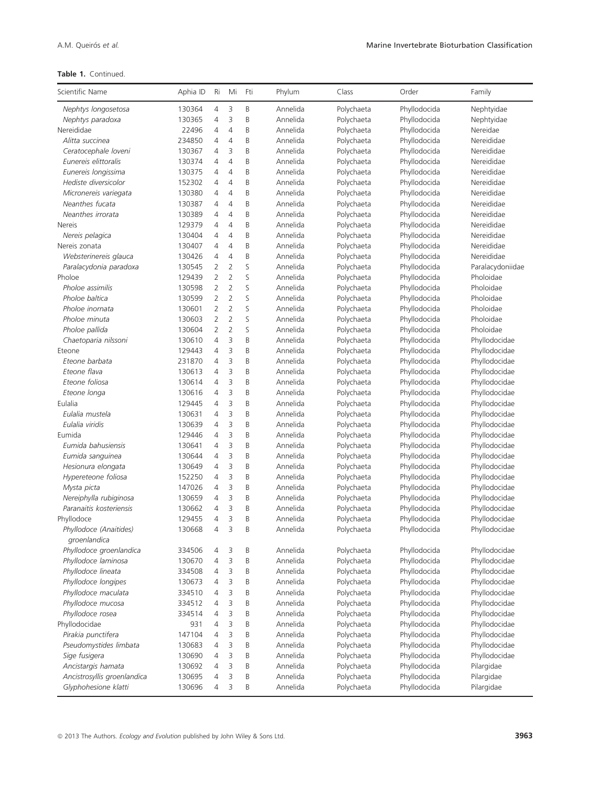| Scientific Name             | Aphia ID | Ri             | Mi             | Fti | Phylum   | Class      | Order        | Family           |
|-----------------------------|----------|----------------|----------------|-----|----------|------------|--------------|------------------|
| Nephtys longosetosa         | 130364   | 4              | 3              | B   | Annelida | Polychaeta | Phyllodocida | Nephtyidae       |
| Nephtys paradoxa            | 130365   | 4              | 3              | B   | Annelida | Polychaeta | Phyllodocida | Nephtyidae       |
| Nereididae                  | 22496    | 4              | 4              | B   | Annelida | Polychaeta | Phyllodocida | Nereidae         |
| Alitta succinea             | 234850   | $\overline{4}$ | 4              | B   | Annelida | Polychaeta | Phyllodocida | Nereididae       |
| Ceratocephale loveni        | 130367   | 4              | 3              | B   | Annelida | Polychaeta | Phyllodocida | Nereididae       |
| Eunereis elittoralis        | 130374   | 4              | 4              | B   | Annelida | Polychaeta | Phyllodocida | Nereididae       |
| Eunereis longissima         | 130375   | $\overline{4}$ | $\overline{4}$ | B   | Annelida | Polychaeta | Phyllodocida | Nereididae       |
| Hediste diversicolor        | 152302   | $\overline{4}$ | 4              | B   | Annelida | Polychaeta | Phyllodocida | Nereididae       |
| Micronereis variegata       | 130380   | 4              | 4              | B   | Annelida | Polychaeta | Phyllodocida | Nereididae       |
| Neanthes fucata             | 130387   | 4              | 4              | B   | Annelida | Polychaeta | Phyllodocida | Nereididae       |
| Neanthes irrorata           | 130389   | $\overline{4}$ | 4              | B   | Annelida | Polychaeta | Phyllodocida | Nereididae       |
| Nereis                      | 129379   | $\overline{4}$ | $\overline{4}$ | B   | Annelida | Polychaeta | Phyllodocida | Nereididae       |
| Nereis pelagica             | 130404   | $\overline{4}$ | 4              | B   | Annelida | Polychaeta | Phyllodocida | Nereididae       |
| Nereis zonata               | 130407   | 4              | 4              | B   | Annelida | Polychaeta | Phyllodocida | Nereididae       |
| Websterinereis glauca       | 130426   | $\overline{4}$ | $\overline{4}$ | B   | Annelida | Polychaeta | Phyllodocida | Nereididae       |
| Paralacydonia paradoxa      | 130545   | $\overline{2}$ | $\overline{2}$ | S   | Annelida | Polychaeta | Phyllodocida | Paralacydoniidae |
| Pholoe                      | 129439   | $\overline{2}$ | 2              | S   | Annelida | Polychaeta | Phyllodocida | Pholoidae        |
| Pholoe assimilis            | 130598   | $\overline{2}$ | $\overline{2}$ | S   | Annelida | Polychaeta | Phyllodocida | Pholoidae        |
| Pholoe baltica              | 130599   | $\overline{2}$ | $\overline{2}$ | S   | Annelida | Polychaeta | Phyllodocida | Pholoidae        |
| Pholoe inornata             | 130601   | $\overline{2}$ | $\overline{2}$ | S   | Annelida | Polychaeta | Phyllodocida | Pholoidae        |
| Pholoe minuta               | 130603   | $\overline{2}$ | 2              | S   | Annelida | Polychaeta | Phyllodocida | Pholoidae        |
| Pholoe pallida              | 130604   | $\overline{2}$ | $\overline{2}$ | S   | Annelida | Polychaeta | Phyllodocida | Pholoidae        |
| Chaetoparia nilssoni        | 130610   | $\overline{4}$ | 3              | B   | Annelida | Polychaeta | Phyllodocida | Phyllodocidae    |
| Eteone                      | 129443   | 4              | 3              | B   | Annelida | Polychaeta | Phyllodocida | Phyllodocidae    |
| Eteone barbata              | 231870   | $\overline{4}$ | 3              | B   | Annelida | Polychaeta | Phyllodocida | Phyllodocidae    |
| Eteone flava                | 130613   | 4              | 3              | B   | Annelida | Polychaeta | Phyllodocida | Phyllodocidae    |
| Eteone foliosa              | 130614   | 4              | 3              | B   | Annelida | Polychaeta | Phyllodocida | Phyllodocidae    |
| Eteone longa                | 130616   | 4              | 3              | B   | Annelida | Polychaeta | Phyllodocida | Phyllodocidae    |
| Eulalia                     | 129445   | 4              | 3              | B   | Annelida | Polychaeta | Phyllodocida | Phyllodocidae    |
| Eulalia mustela             | 130631   | 4              | 3              | B   | Annelida | Polychaeta | Phyllodocida | Phyllodocidae    |
| Eulalia viridis             | 130639   | $\overline{4}$ | 3              | B   | Annelida | Polychaeta | Phyllodocida | Phyllodocidae    |
| Eumida                      | 129446   | 4              | 3              | B   | Annelida | Polychaeta | Phyllodocida | Phyllodocidae    |
| Eumida bahusiensis          | 130641   | 4              | 3              | B   | Annelida | Polychaeta | Phyllodocida | Phyllodocidae    |
| Eumida sanguinea            | 130644   | 4              | 3              | B   | Annelida | Polychaeta | Phyllodocida | Phyllodocidae    |
| Hesionura elongata          | 130649   | 4              | 3              | B   | Annelida | Polychaeta | Phyllodocida | Phyllodocidae    |
| Hypereteone foliosa         | 152250   | $\overline{4}$ | 3              | B   | Annelida | Polychaeta | Phyllodocida | Phyllodocidae    |
| Mysta picta                 | 147026   | 4              | 3              | B   | Annelida | Polychaeta | Phyllodocida | Phyllodocidae    |
| Nereiphylla rubiginosa      | 130659   | $\overline{4}$ | 3              | B   | Annelida | Polychaeta | Phyllodocida | Phyllodocidae    |
| Paranaitis kosteriensis     | 130662   | 4              | 3              | B   | Annelida | Polychaeta | Phyllodocida | Phyllodocidae    |
| Phyllodoce                  | 129455   | $\overline{4}$ | 3              | B   | Annelida | Polychaeta | Phyllodocida | Phyllodocidae    |
| Phyllodoce (Anaitides)      | 130668   | $\overline{4}$ | 3              | B   | Annelida | Polychaeta | Phyllodocida | Phyllodocidae    |
| groenlandica                |          |                |                |     |          |            |              |                  |
| Phyllodoce groenlandica     | 334506   | 4              | 3              | B   | Annelida | Polychaeta | Phyllodocida | Phyllodocidae    |
| Phyllodoce laminosa         | 130670   | 4              | 3              | B   | Annelida | Polychaeta | Phyllodocida | Phyllodocidae    |
| Phyllodoce lineata          | 334508   | 4              | 3              | B   | Annelida | Polychaeta | Phyllodocida | Phyllodocidae    |
| Phyllodoce longipes         | 130673   | 4              | 3              | B   | Annelida | Polychaeta | Phyllodocida | Phyllodocidae    |
| Phyllodoce maculata         | 334510   | 4              | 3              | B   | Annelida | Polychaeta | Phyllodocida | Phyllodocidae    |
| Phyllodoce mucosa           | 334512   | 4              | 3              | B   | Annelida | Polychaeta | Phyllodocida | Phyllodocidae    |
| Phyllodoce rosea            | 334514   | 4              | 3              | B   | Annelida | Polychaeta | Phyllodocida | Phyllodocidae    |
| Phyllodocidae               | 931      | 4              | 3              | B   | Annelida | Polychaeta | Phyllodocida | Phyllodocidae    |
| Pirakia punctifera          | 147104   | 4              | 3              | B   | Annelida | Polychaeta | Phyllodocida | Phyllodocidae    |
| Pseudomystides limbata      | 130683   | 4              | 3              | B   | Annelida | Polychaeta | Phyllodocida | Phyllodocidae    |
| Sige fusigera               | 130690   | 4              | 3              | B   | Annelida | Polychaeta | Phyllodocida | Phyllodocidae    |
| Ancistargis hamata          | 130692   | 4              | 3              | B   | Annelida | Polychaeta | Phyllodocida | Pilargidae       |
| Ancistrosyllis groenlandica | 130695   | 4              | 3              | B   | Annelida | Polychaeta | Phyllodocida | Pilargidae       |
| Glyphohesione klatti        | 130696   | 4              | 3              | B   | Annelida | Polychaeta | Phyllodocida | Pilargidae       |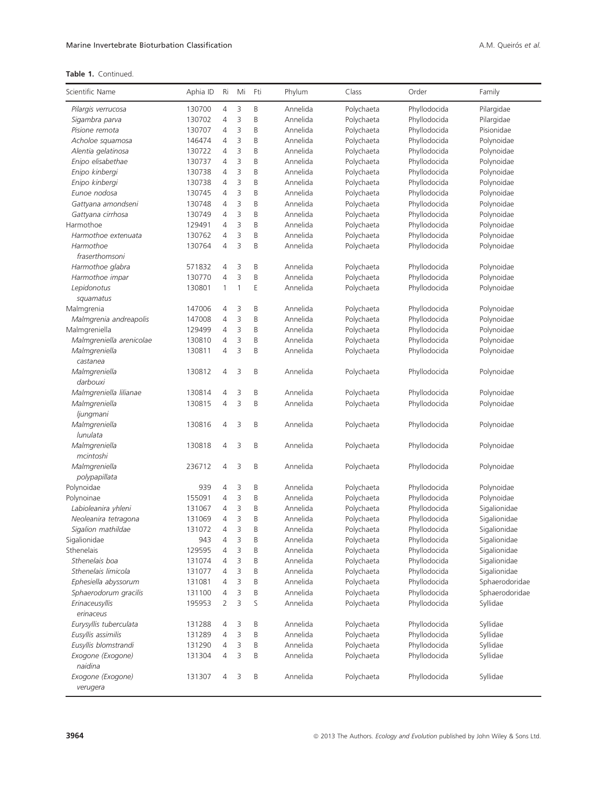| Scientific Name           | Aphia ID | Ri             | Mi | Fti | Phylum   | Class      | Order        | Family         |
|---------------------------|----------|----------------|----|-----|----------|------------|--------------|----------------|
| Pilargis verrucosa        | 130700   | 4              | 3  | B   | Annelida | Polychaeta | Phyllodocida | Pilargidae     |
| Sigambra parva            | 130702   | 4              | 3  | B   | Annelida | Polychaeta | Phyllodocida | Pilargidae     |
| Pisione remota            | 130707   | 4              | 3  | B   | Annelida | Polychaeta | Phyllodocida | Pisionidae     |
| Acholoe squamosa          | 146474   | 4              | 3  | B   | Annelida | Polychaeta | Phyllodocida | Polynoidae     |
| Alentia gelatinosa        | 130722   | 4              | 3  | B   | Annelida | Polychaeta | Phyllodocida | Polynoidae     |
| Enipo elisabethae         | 130737   | 4              | 3  | B   | Annelida | Polychaeta | Phyllodocida | Polynoidae     |
| Enipo kinbergi            | 130738   | 4              | 3  | B   | Annelida | Polychaeta | Phyllodocida | Polynoidae     |
| Enipo kinbergi            | 130738   | 4              | 3  | B   | Annelida | Polychaeta | Phyllodocida | Polynoidae     |
| Eunoe nodosa              | 130745   | 4              | 3  | B   | Annelida | Polychaeta | Phyllodocida | Polynoidae     |
| Gattyana amondseni        | 130748   | 4              | 3  | B   | Annelida | Polychaeta | Phyllodocida | Polynoidae     |
| Gattyana cirrhosa         | 130749   | 4              | 3  | B   | Annelida | Polychaeta | Phyllodocida | Polynoidae     |
| Harmothoe                 | 129491   | 4              | 3  | B   | Annelida | Polychaeta | Phyllodocida | Polynoidae     |
| Harmothoe extenuata       | 130762   | 4              | 3  | B   | Annelida | Polychaeta | Phyllodocida | Polynoidae     |
| Harmothoe                 | 130764   | $\overline{4}$ | 3  | B   | Annelida | Polychaeta | Phyllodocida | Polynoidae     |
| fraserthomsoni            |          |                |    |     |          |            |              |                |
| Harmothoe glabra          | 571832   | 4              | 3  | B   | Annelida | Polychaeta | Phyllodocida | Polynoidae     |
| Harmothoe impar           | 130770   | 4              | 3  | B   | Annelida | Polychaeta | Phyllodocida | Polynoidae     |
| Lepidonotus               | 130801   | 1              | 1  | E   | Annelida | Polychaeta | Phyllodocida | Polynoidae     |
| squamatus                 |          |                |    |     |          |            |              |                |
| Malmgrenia                | 147006   | 4              | 3  | B   | Annelida | Polychaeta | Phyllodocida | Polynoidae     |
| Malmgrenia andreapolis    | 147008   | 4              | 3  | B   | Annelida | Polychaeta | Phyllodocida | Polynoidae     |
| Malmgreniella             | 129499   | 4              | 3  | B   | Annelida | Polychaeta | Phyllodocida | Polynoidae     |
| Malmgreniella arenicolae  | 130810   | 4              | 3  | B   | Annelida | Polychaeta | Phyllodocida | Polynoidae     |
| Malmgreniella             | 130811   | $\overline{4}$ | 3  | B   | Annelida | Polychaeta | Phyllodocida | Polynoidae     |
| castanea                  |          |                |    |     |          |            |              |                |
| Malmgreniella<br>darbouxi | 130812   | 4              | 3  | B   | Annelida | Polychaeta | Phyllodocida | Polynoidae     |
| Malmgreniella lilianae    | 130814   | 4              | 3  | B   | Annelida | Polychaeta | Phyllodocida | Polynoidae     |
| Malmgreniella             | 130815   | 4              | 3  | B   | Annelida | Polychaeta | Phyllodocida | Polynoidae     |
| ljungmani                 |          |                |    |     |          |            |              |                |
| Malmgreniella             | 130816   | 4              | 3  | B   | Annelida | Polychaeta | Phyllodocida | Polynoidae     |
| lunulata                  |          |                |    |     |          |            |              |                |
| Malmgreniella             | 130818   | 4              | 3  | B   | Annelida | Polychaeta | Phyllodocida | Polynoidae     |
| mcintoshi                 |          |                |    |     |          |            |              |                |
| Malmgreniella             | 236712   | 4              | 3  | B   | Annelida | Polychaeta | Phyllodocida | Polynoidae     |
| polypapillata             |          |                |    |     |          |            |              |                |
| Polynoidae                | 939      | 4              | 3  | B   | Annelida | Polychaeta | Phyllodocida | Polynoidae     |
| Polynoinae                | 155091   | 4              | 3  | B   | Annelida | Polychaeta | Phyllodocida | Polynoidae     |
| Labioleanira yhleni       | 131067   | 4              | 3  | B   | Annelida | Polychaeta | Phyllodocida | Sigalionidae   |
| Neoleanira tetragona      | 131069   | 4              | 3  | B   | Annelida | Polychaeta | Phyllodocida | Sigalionidae   |
| Sigalion mathildae        | 131072   | 4              | 3  | B   | Annelida | Polychaeta | Phyllodocida | Sigalionidae   |
| Sigalionidae              | 943      | 4              | 3  | B   | Annelida | Polychaeta | Phyllodocida | Sigalionidae   |
| Sthenelais                | 129595   | 4              | 3  | B   | Annelida | Polychaeta | Phyllodocida | Sigalionidae   |
| Sthenelais boa            | 131074   | 4              | 3  | B   | Annelida | Polychaeta | Phyllodocida | Sigalionidae   |
| Sthenelais limicola       | 131077   | 4              | 3  | B   | Annelida | Polychaeta | Phyllodocida | Sigalionidae   |
| Ephesiella abyssorum      | 131081   | 4              | 3  | B   | Annelida | Polychaeta | Phyllodocida | Sphaerodoridae |
| Sphaerodorum gracilis     | 131100   | 4              | 3  | B   | Annelida | Polychaeta | Phyllodocida | Sphaerodoridae |
| Erinaceusyllis            | 195953   | 2              | 3  | S   | Annelida | Polychaeta | Phyllodocida | Syllidae       |
| erinaceus                 |          |                |    |     |          |            |              |                |
| Eurysyllis tuberculata    | 131288   | 4              | 3  | Β   | Annelida | Polychaeta | Phyllodocida | Syllidae       |
| Eusyllis assimilis        | 131289   | 4              | 3  | B   | Annelida | Polychaeta | Phyllodocida | Syllidae       |
| Eusyllis blomstrandi      | 131290   | 4              | 3  | B   | Annelida | Polychaeta | Phyllodocida | Syllidae       |
| Exogone (Exogone)         | 131304   | 4              | 3  | B   | Annelida | Polychaeta | Phyllodocida | Syllidae       |
| naidina                   |          |                |    |     |          |            |              |                |
| Exogone (Exogone)         | 131307   | 4              | 3  | B   | Annelida | Polychaeta | Phyllodocida | Syllidae       |
| verugera                  |          |                |    |     |          |            |              |                |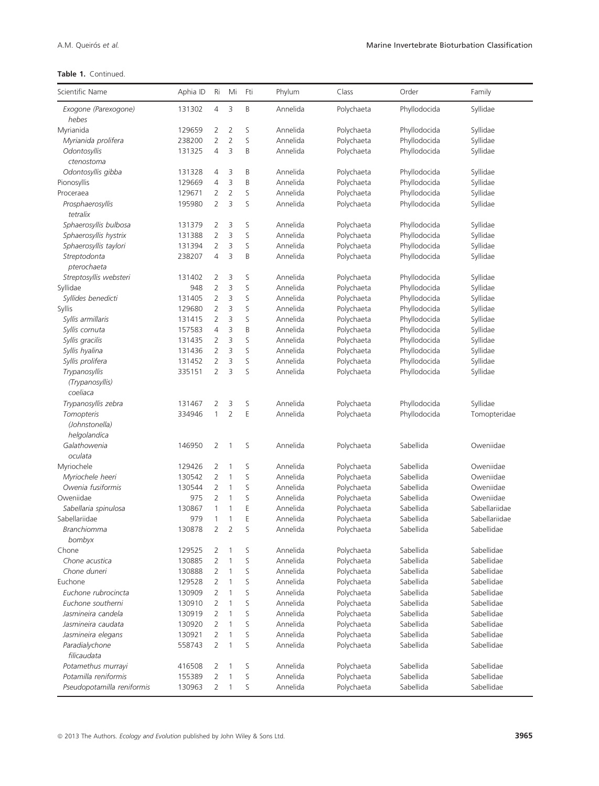| Scientific Name               | Aphia ID | Ri             | Mi             | Fti | Phylum   | Class      | Order        | Family        |
|-------------------------------|----------|----------------|----------------|-----|----------|------------|--------------|---------------|
| Exogone (Parexogone)<br>hebes | 131302   | 4              | 3              | B   | Annelida | Polychaeta | Phyllodocida | Syllidae      |
| Myrianida                     | 129659   | 2              | $\overline{2}$ | S   | Annelida | Polychaeta | Phyllodocida | Syllidae      |
| Myrianida prolifera           | 238200   | $\overline{2}$ | $\overline{2}$ | S   | Annelida | Polychaeta | Phyllodocida | Syllidae      |
| Odontosyllis                  | 131325   | 4              | 3              | B   | Annelida | Polychaeta | Phyllodocida | Syllidae      |
| ctenostoma                    |          |                |                |     |          |            |              |               |
| Odontosyllis gibba            | 131328   | 4              | 3              | B   | Annelida | Polychaeta | Phyllodocida | Syllidae      |
| Pionosyllis                   | 129669   | $\overline{4}$ | 3              | B   | Annelida | Polychaeta | Phyllodocida | Syllidae      |
| Proceraea                     | 129671   | 2              | $\overline{2}$ | S   | Annelida | Polychaeta | Phyllodocida | Syllidae      |
| Prosphaerosyllis              | 195980   | $\overline{2}$ | 3              | S   | Annelida | Polychaeta | Phyllodocida | Syllidae      |
| tetralix                      |          |                |                |     |          |            |              |               |
| Sphaerosyllis bulbosa         | 131379   | 2              | 3              | S   | Annelida | Polychaeta | Phyllodocida | Syllidae      |
| Sphaerosyllis hystrix         | 131388   | $\overline{2}$ | 3              | S   | Annelida | Polychaeta | Phyllodocida | Syllidae      |
| Sphaerosyllis taylori         | 131394   | $\overline{2}$ | 3              | S   | Annelida | Polychaeta | Phyllodocida | Syllidae      |
| Streptodonta                  | 238207   | $\overline{4}$ | 3              | B   | Annelida | Polychaeta | Phyllodocida | Syllidae      |
| pterochaeta                   |          |                |                |     |          |            |              |               |
| Streptosyllis websteri        | 131402   | 2              | 3              | S   | Annelida | Polychaeta | Phyllodocida | Syllidae      |
| Syllidae                      | 948      | $\overline{2}$ | 3              | S   | Annelida | Polychaeta | Phyllodocida | Syllidae      |
| Syllides benedicti            | 131405   | $\overline{2}$ | 3              | S   | Annelida | Polychaeta | Phyllodocida | Syllidae      |
| Syllis                        | 129680   | $\overline{2}$ | 3              | S   | Annelida | Polychaeta | Phyllodocida | Syllidae      |
| Syllis armillaris             | 131415   | $\overline{2}$ | 3              | S   | Annelida | Polychaeta | Phyllodocida | Syllidae      |
| Syllis cornuta                | 157583   | 4              | 3              | B   | Annelida | Polychaeta | Phyllodocida | Syllidae      |
| Syllis gracilis               | 131435   | $\overline{2}$ | 3              | S   | Annelida | Polychaeta | Phyllodocida | Syllidae      |
| Syllis hyalina                | 131436   | 2              | 3              | S   | Annelida | Polychaeta | Phyllodocida | Syllidae      |
| Syllis prolifera              | 131452   | $\overline{2}$ | 3              | S   | Annelida | Polychaeta | Phyllodocida | Syllidae      |
| Trypanosyllis                 | 335151   | $\overline{2}$ | 3              | S   | Annelida | Polychaeta | Phyllodocida | Syllidae      |
| (Trypanosyllis)<br>coeliaca   |          |                |                |     |          |            |              |               |
| Trypanosyllis zebra           | 131467   | 2              | 3              | S   | Annelida | Polychaeta | Phyllodocida | Syllidae      |
| Tomopteris                    | 334946   | $\mathbf{1}$   | $\overline{2}$ | E   | Annelida | Polychaeta | Phyllodocida | Tomopteridae  |
| (Johnstonella)                |          |                |                |     |          |            |              |               |
| helgolandica                  |          |                |                |     |          |            |              |               |
| Galathowenia                  | 146950   | 2              | 1              | S   | Annelida | Polychaeta | Sabellida    | Oweniidae     |
| oculata                       |          |                |                |     |          |            |              |               |
| Myriochele                    | 129426   | 2              | 1              | S   | Annelida | Polychaeta | Sabellida    | Oweniidae     |
| Myriochele heeri              | 130542   | $\overline{2}$ | 1              | S   | Annelida | Polychaeta | Sabellida    | Oweniidae     |
| Owenia fusiformis             | 130544   | $\overline{2}$ | 1              | S   | Annelida | Polychaeta | Sabellida    | Oweniidae     |
| Oweniidae                     | 975      | $\overline{2}$ | 1              | S   | Annelida | Polychaeta | Sabellida    | Oweniidae     |
| Sabellaria spinulosa          | 130867   | 1              | 1              | E   | Annelida | Polychaeta | Sabellida    | Sabellariidae |
| Sabellariidae                 | 979      | 1              | 1              | E   | Annelida | Polychaeta | Sabellida    | Sabellariidae |
| Branchiomma                   | 130878   | $\overline{2}$ | $\overline{2}$ | S   | Annelida | Polychaeta | Sabellida    | Sabellidae    |
| bombyx                        |          |                |                |     |          |            |              |               |
| Chone                         | 129525   | 2              | 1              | S   | Annelida | Polychaeta | Sabellida    | Sabellidae    |
| Chone acustica                | 130885   | $\overline{2}$ | 1              | S   | Annelida | Polychaeta | Sabellida    | Sabellidae    |
| Chone duneri                  | 130888   | $\overline{2}$ | 1              | S   | Annelida | Polychaeta | Sabellida    | Sabellidae    |
| Euchone                       | 129528   | $\overline{2}$ | 1              | S   | Annelida | Polychaeta | Sabellida    | Sabellidae    |
| Euchone rubrocincta           | 130909   | $\overline{2}$ | 1              | S   | Annelida | Polychaeta | Sabellida    | Sabellidae    |
| Euchone southerni             | 130910   | $\overline{2}$ | 1              | S   | Annelida | Polychaeta | Sabellida    | Sabellidae    |
| Jasmineira candela            | 130919   | $\overline{2}$ | 1              | S   | Annelida | Polychaeta | Sabellida    | Sabellidae    |
| Jasmineira caudata            | 130920   | $\overline{2}$ | 1              | S   | Annelida | Polychaeta | Sabellida    | Sabellidae    |
| Jasmineira elegans            | 130921   | $\overline{2}$ | 1              | S   | Annelida | Polychaeta | Sabellida    | Sabellidae    |
| Paradialychone                | 558743   | $\overline{2}$ | 1              | S   | Annelida | Polychaeta | Sabellida    | Sabellidae    |
| filicaudata                   |          |                |                |     |          |            |              |               |
| Potamethus murrayi            | 416508   | 2              | 1              | S   | Annelida | Polychaeta | Sabellida    | Sabellidae    |
| Potamilla reniformis          | 155389   | $\overline{2}$ | 1              | S   | Annelida | Polychaeta | Sabellida    | Sabellidae    |
| Pseudopotamilla reniformis    | 130963   | $\overline{2}$ | 1              | S   | Annelida | Polychaeta | Sabellida    | Sabellidae    |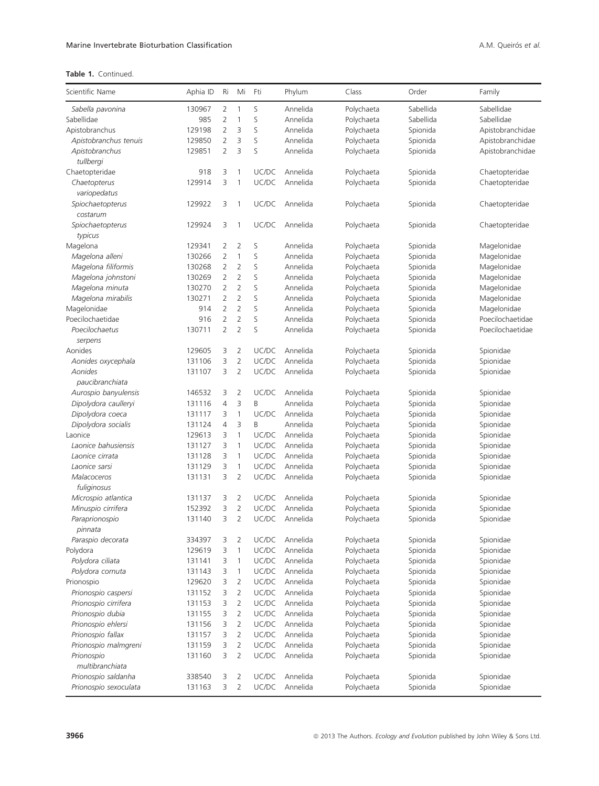| Scientific Name       | Aphia ID | Ri             | Mi                  | Fti            | Phylum   | Class                    | Order                | Family                 |
|-----------------------|----------|----------------|---------------------|----------------|----------|--------------------------|----------------------|------------------------|
| Sabella pavonina      | 130967   | 2              | 1                   | S              | Annelida | Polychaeta               | Sabellida            | Sabellidae             |
| Sabellidae            | 985      | $\overline{2}$ | 1                   | S              | Annelida | Polychaeta               | Sabellida            | Sabellidae             |
| Apistobranchus        | 129198   | 2              | 3                   | S              | Annelida | Polychaeta               | Spionida             | Apistobranchidae       |
| Apistobranchus tenuis | 129850   | $\overline{2}$ | 3                   | S              | Annelida | Polychaeta               | Spionida             | Apistobranchidae       |
| Apistobranchus        | 129851   | $\overline{2}$ | 3                   | S              | Annelida | Polychaeta               | Spionida             | Apistobranchidae       |
| tullbergi             |          |                |                     |                |          |                          |                      |                        |
| Chaetopteridae        | 918      | 3              | 1                   | UC/DC          | Annelida | Polychaeta               | Spionida             | Chaetopteridae         |
| Chaetopterus          | 129914   | 3              | 1                   | UC/DC          | Annelida | Polychaeta               | Spionida             | Chaetopteridae         |
| variopedatus          |          |                |                     |                |          |                          |                      |                        |
| Spiochaetopterus      | 129922   | 3              | 1                   | UC/DC          | Annelida | Polychaeta               | Spionida             | Chaetopteridae         |
| costarum              |          |                |                     |                |          |                          |                      |                        |
| Spiochaetopterus      | 129924   | 3              | 1                   | UC/DC          | Annelida | Polychaeta               | Spionida             | Chaetopteridae         |
| typicus               |          |                |                     |                |          |                          |                      |                        |
| Magelona              | 129341   | 2              | $\overline{2}$      | S              | Annelida | Polychaeta               | Spionida             | Magelonidae            |
| Magelona alleni       | 130266   | 2              | 1                   | S              | Annelida | Polychaeta               | Spionida             | Magelonidae            |
| Magelona filiformis   | 130268   | 2              | 2                   | S              | Annelida | Polychaeta               | Spionida             | Magelonidae            |
| Magelona johnstoni    | 130269   | 2              | $\overline{2}$      | S              | Annelida | Polychaeta               | Spionida             | Magelonidae            |
| Magelona minuta       | 130270   | $\overline{2}$ | $\overline{2}$      | S              | Annelida | Polychaeta               | Spionida             | Magelonidae            |
| Magelona mirabilis    | 130271   | 2              | $\overline{2}$      | S              | Annelida | Polychaeta               | Spionida             | Magelonidae            |
| Magelonidae           | 914      | 2              | $\overline{2}$      | S              | Annelida | Polychaeta               | Spionida             | Magelonidae            |
| Poecilochaetidae      | 916      | $\overline{2}$ | $\overline{2}$      | S              | Annelida | Polychaeta               | Spionida             | Poecilochaetidae       |
| Poecilochaetus        | 130711   | 2              | $\overline{2}$      | S              | Annelida | Polychaeta               | Spionida             | Poecilochaetidae       |
| serpens               |          |                |                     |                |          |                          |                      |                        |
| Aonides               | 129605   | 3              | $\overline{2}$      | UC/DC          | Annelida | Polychaeta               | Spionida             | Spionidae              |
| Aonides oxycephala    | 131106   | 3              | $\overline{2}$      | UC/DC          | Annelida | Polychaeta               | Spionida             | Spionidae              |
| Aonides               | 131107   | 3              | $\overline{2}$      | UC/DC          | Annelida | Polychaeta               | Spionida             | Spionidae              |
| paucibranchiata       |          |                |                     |                |          |                          |                      |                        |
| Aurospio banyulensis  | 146532   | 3              | $\overline{2}$      | UC/DC          | Annelida | Polychaeta               | Spionida             | Spionidae              |
| Dipolydora caulleryi  | 131116   | 4              | 3                   | B              | Annelida | Polychaeta               | Spionida             | Spionidae              |
| Dipolydora coeca      | 131117   | 3              | 1                   | UC/DC          | Annelida | Polychaeta               | Spionida             | Spionidae              |
| Dipolydora socialis   | 131124   | 4              | 3                   | B              | Annelida | Polychaeta               | Spionida             | Spionidae              |
| Laonice               | 129613   | 3              | 1                   | UC/DC          | Annelida | Polychaeta               | Spionida             | Spionidae              |
| Laonice bahusiensis   | 131127   | 3              | 1                   | UC/DC          | Annelida | Polychaeta               | Spionida             | Spionidae              |
| Laonice cirrata       | 131128   | 3              | 1                   | UC/DC          | Annelida | Polychaeta               | Spionida             | Spionidae              |
| Laonice sarsi         | 131129   | 3              | 1                   | UC/DC          | Annelida | Polychaeta               | Spionida             | Spionidae              |
| Malacoceros           | 131131   | 3              | $\overline{2}$      | UC/DC          | Annelida | Polychaeta               | Spionida             | Spionidae              |
| fuliginosus           |          |                |                     |                |          |                          |                      |                        |
| Microspio atlantica   | 131137   | 3              | $\overline{2}$      | UC/DC          | Annelida | Polychaeta               | Spionida             | Spionidae              |
| Minuspio cirrifera    | 152392   | 3              | $\overline{2}$      | UC/DC          | Annelida | Polychaeta               | Spionida             | Spionidae              |
| Paraprionospio        | 131140   | 3              | $\overline{2}$      | UC/DC          | Annelida | Polychaeta               | Spionida             | Spionidae              |
| pinnata               |          |                |                     |                |          |                          |                      |                        |
| Paraspio decorata     | 334397   | 3              | 2                   | UC/DC          | Annelida | Polychaeta               | Spionida             | Spionidae              |
| Polydora              | 129619   | 3              | 1                   | UC/DC          | Annelida | Polychaeta               | Spionida             | Spionidae              |
| Polydora ciliata      | 131141   | 3              | 1                   | UC/DC          | Annelida | Polychaeta               | Spionida             | Spionidae              |
| Polydora cornuta      | 131143   | 3              | 1                   | UC/DC          | Annelida | Polychaeta               | Spionida             | Spionidae              |
| Prionospio            | 129620   | 3              | $\overline{2}$      | UC/DC          | Annelida | Polychaeta               | Spionida             | Spionidae              |
| Prionospio caspersi   | 131152   |                |                     |                | Annelida |                          |                      |                        |
| Prionospio cirrifera  | 131153   | 3<br>3         | 2<br>$\overline{2}$ | UC/DC<br>UC/DC | Annelida | Polychaeta<br>Polychaeta | Spionida<br>Spionida | Spionidae<br>Spionidae |
|                       |          | 3              | $\overline{2}$      | UC/DC          | Annelida |                          |                      |                        |
| Prionospio dubia      | 131155   |                |                     |                |          | Polychaeta               | Spionida             | Spionidae              |
| Prionospio ehlersi    | 131156   | 3              | 2                   | UC/DC          | Annelida | Polychaeta               | Spionida             | Spionidae              |
| Prionospio fallax     | 131157   | 3              | 2                   | UC/DC          | Annelida | Polychaeta               | Spionida             | Spionidae              |
| Prionospio malmgreni  | 131159   | 3              | $\overline{2}$      | UC/DC          | Annelida | Polychaeta               | Spionida             | Spionidae              |
| Prionospio            | 131160   | 3              | $\overline{2}$      | UC/DC          | Annelida | Polychaeta               | Spionida             | Spionidae              |
| multibranchiata       |          |                |                     |                |          |                          |                      |                        |
| Prionospio saldanha   | 338540   | 3              | 2                   | UC/DC          | Annelida | Polychaeta               | Spionida             | Spionidae              |
| Prionospio sexoculata | 131163   | 3              | $\overline{2}$      | UC/DC          | Annelida | Polychaeta               | Spionida             | Spionidae              |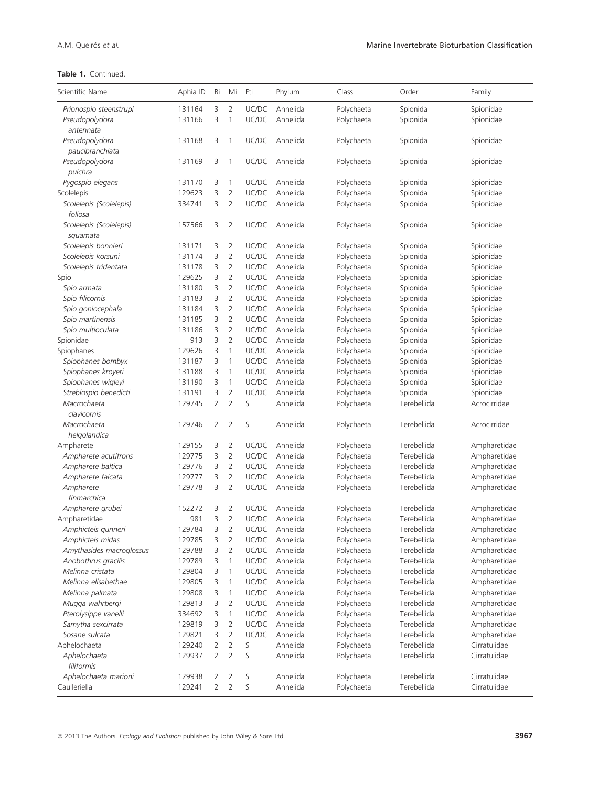| Scientific Name                      | Aphia ID | Ri             | Mi                  | Fti        | Phylum               | Class      | Order                   | Family                    |
|--------------------------------------|----------|----------------|---------------------|------------|----------------------|------------|-------------------------|---------------------------|
| Prionospio steenstrupi               | 131164   | 3              | 2                   | UC/DC      | Annelida             | Polychaeta | Spionida                | Spionidae                 |
| Pseudopolydora                       | 131166   | 3              | 1                   | UC/DC      | Annelida             | Polychaeta | Spionida                | Spionidae                 |
| antennata                            |          |                |                     |            |                      |            |                         |                           |
| Pseudopolydora                       | 131168   | 3              | 1                   | UC/DC      | Annelida             | Polychaeta | Spionida                | Spionidae                 |
| paucibranchiata                      |          |                |                     |            |                      |            |                         |                           |
| Pseudopolydora                       | 131169   | 3              | 1                   | UC/DC      | Annelida             | Polychaeta | Spionida                | Spionidae                 |
| pulchra                              |          |                |                     |            |                      |            |                         |                           |
| Pygospio elegans                     | 131170   | 3              | 1                   | UC/DC      | Annelida             | Polychaeta | Spionida                | Spionidae                 |
| Scolelepis                           | 129623   | 3              | $\overline{2}$      | UC/DC      | Annelida             | Polychaeta | Spionida                | Spionidae                 |
| Scolelepis (Scolelepis)              | 334741   | 3              | $\overline{2}$      | UC/DC      | Annelida             | Polychaeta | Spionida                | Spionidae                 |
| foliosa                              |          |                |                     |            |                      |            |                         |                           |
| Scolelepis (Scolelepis)              | 157566   | 3              | $\overline{2}$      | UC/DC      | Annelida             | Polychaeta | Spionida                | Spionidae                 |
| squamata                             |          |                |                     |            |                      |            |                         |                           |
| Scolelepis bonnieri                  | 131171   | 3              | $\overline{2}$      | UC/DC      | Annelida             | Polychaeta | Spionida                | Spionidae                 |
| Scolelepis korsuni                   | 131174   | 3              | $\overline{2}$      | UC/DC      | Annelida             | Polychaeta | Spionida                | Spionidae                 |
| Scolelepis tridentata                | 131178   | 3              | $\overline{2}$      | UC/DC      | Annelida             | Polychaeta | Spionida                | Spionidae                 |
| Spio                                 | 129625   | 3              | $\overline{2}$      | UC/DC      | Annelida             | Polychaeta | Spionida                | Spionidae                 |
| Spio armata                          | 131180   | 3              | $\overline{2}$      | UC/DC      | Annelida             | Polychaeta | Spionida                | Spionidae                 |
| Spio filicornis                      | 131183   | 3              | $\overline{2}$      | UC/DC      | Annelida             | Polychaeta | Spionida                | Spionidae                 |
| Spio goniocephala                    | 131184   | 3              | $\overline{2}$      | UC/DC      | Annelida             | Polychaeta | Spionida                | Spionidae                 |
| Spio martinensis                     | 131185   | 3              | $\overline{2}$      | UC/DC      | Annelida             | Polychaeta | Spionida                | Spionidae                 |
| Spio multioculata                    | 131186   | 3              | $\overline{2}$      | UC/DC      | Annelida             | Polychaeta | Spionida                | Spionidae                 |
| Spionidae                            | 913      | 3              | $\overline{2}$      | UC/DC      | Annelida             | Polychaeta | Spionida                | Spionidae                 |
| Spiophanes                           | 129626   | 3              | 1                   | UC/DC      | Annelida             | Polychaeta | Spionida                | Spionidae                 |
| Spiophanes bombyx                    | 131187   | 3              | 1                   | UC/DC      | Annelida             | Polychaeta | Spionida                | Spionidae                 |
| Spiophanes kroyeri                   | 131188   | 3              | 1                   | UC/DC      | Annelida             | Polychaeta | Spionida                | Spionidae                 |
| Spiophanes wigleyi                   | 131190   | 3<br>3         | 1<br>$\overline{2}$ | UC/DC      | Annelida             | Polychaeta | Spionida                | Spionidae                 |
| Streblospio benedicti<br>Macrochaeta | 131191   | $\overline{2}$ | $\overline{2}$      | UC/DC<br>S | Annelida<br>Annelida | Polychaeta | Spionida<br>Terebellida | Spionidae<br>Acrocirridae |
| clavicornis                          | 129745   |                |                     |            |                      | Polychaeta |                         |                           |
| Macrochaeta                          | 129746   | 2              | $\overline{2}$      | S          | Annelida             | Polychaeta | Terebellida             | Acrocirridae              |
| helgolandica                         |          |                |                     |            |                      |            |                         |                           |
| Ampharete                            | 129155   | 3              | $\overline{2}$      | UC/DC      | Annelida             | Polychaeta | Terebellida             | Ampharetidae              |
| Ampharete acutifrons                 | 129775   | 3              | $\overline{2}$      | UC/DC      | Annelida             | Polychaeta | Terebellida             | Ampharetidae              |
| Ampharete baltica                    | 129776   | 3              | $\overline{2}$      | UC/DC      | Annelida             | Polychaeta | Terebellida             | Ampharetidae              |
| Ampharete falcata                    | 129777   | 3              | $\overline{2}$      | UC/DC      | Annelida             | Polychaeta | Terebellida             | Ampharetidae              |
| Ampharete                            | 129778   | 3              | $\overline{2}$      | UC/DC      | Annelida             | Polychaeta | Terebellida             | Ampharetidae              |
| finmarchica                          |          |                |                     |            |                      |            |                         |                           |
| Ampharete grubei                     | 152272   | 3              | $\overline{2}$      | UC/DC      | Annelida             | Polychaeta | Terebellida             | Ampharetidae              |
| Ampharetidae                         | 981      | 3              | $\overline{2}$      | UC/DC      | Annelida             | Polychaeta | Terebellida             | Ampharetidae              |
| Amphicteis gunneri                   | 129784   | 3              | $\overline{2}$      | UC/DC      | Annelida             | Polychaeta | Terebellida             | Ampharetidae              |
| Amphicteis midas                     | 129785   | 3              | $\overline{2}$      | UC/DC      | Annelida             | Polychaeta | Terebellida             | Ampharetidae              |
| Amythasides macroglossus             | 129788   | 3              | $\overline{2}$      | UC/DC      | Annelida             | Polychaeta | Terebellida             | Ampharetidae              |
| Anobothrus gracilis                  | 129789   | 3              | 1                   | UC/DC      | Annelida             | Polychaeta | Terebellida             | Ampharetidae              |
| Melinna cristata                     | 129804   | 3              | 1                   | UC/DC      | Annelida             | Polychaeta | Terebellida             | Ampharetidae              |
| Melinna elisabethae                  | 129805   | 3              | 1                   | UC/DC      | Annelida             | Polychaeta | Terebellida             | Ampharetidae              |
| Melinna palmata                      | 129808   | 3              | 1                   | UC/DC      | Annelida             | Polychaeta | Terebellida             | Ampharetidae              |
| Mugga wahrbergi                      | 129813   | 3              | 2                   | UC/DC      | Annelida             | Polychaeta | Terebellida             | Ampharetidae              |
| Pterolysippe vanelli                 | 334692   | 3              | 1                   | UC/DC      | Annelida             | Polychaeta | Terebellida             | Ampharetidae              |
| Samytha sexcirrata                   | 129819   | 3              | $\overline{2}$      | UC/DC      | Annelida             | Polychaeta | Terebellida             | Ampharetidae              |
| Sosane sulcata                       | 129821   | 3              | $\overline{2}$      | UC/DC      | Annelida             | Polychaeta | Terebellida             | Ampharetidae              |
| Aphelochaeta                         | 129240   | 2              | $\overline{2}$      | S          | Annelida             | Polychaeta | Terebellida             | Cirratulidae              |
| Aphelochaeta                         | 129937   | $\overline{2}$ | $\overline{2}$      | S          | Annelida             | Polychaeta | Terebellida             | Cirratulidae              |
| filiformis                           |          |                |                     |            |                      |            |                         |                           |
| Aphelochaeta marioni                 | 129938   | 2              | 2                   | S          | Annelida             | Polychaeta | Terebellida             | Cirratulidae              |
| Caulleriella                         | 129241   | $\overline{2}$ | $\overline{2}$      | S          | Annelida             | Polychaeta | Terebellida             | Cirratulidae              |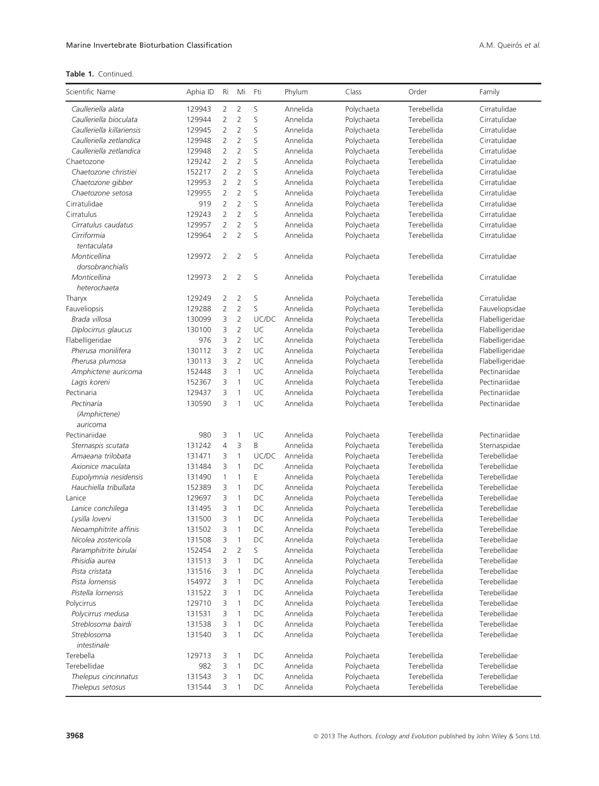| Scientific Name           | Aphia ID | Ri             | Mi             | Fti   | Phylum   | Class      | Order       | Family          |
|---------------------------|----------|----------------|----------------|-------|----------|------------|-------------|-----------------|
| Caulleriella alata        | 129943   | 2              | $\overline{2}$ | S     | Annelida | Polychaeta | Terebellida | Cirratulidae    |
| Caulleriella bioculata    | 129944   | $\overline{2}$ | $\overline{2}$ | S     | Annelida | Polychaeta | Terebellida | Cirratulidae    |
| Caulleriella killariensis | 129945   | $\overline{2}$ | $\overline{2}$ | S     | Annelida | Polychaeta | Terebellida | Cirratulidae    |
| Caulleriella zetlandica   | 129948   | $\overline{2}$ | $\overline{2}$ | S     | Annelida | Polychaeta | Terebellida | Cirratulidae    |
| Caulleriella zetlandica   | 129948   | $\overline{2}$ | $\overline{2}$ | S     | Annelida | Polychaeta | Terebellida | Cirratulidae    |
| Chaetozone                | 129242   | $\overline{2}$ | $\overline{2}$ | S     | Annelida | Polychaeta | Terebellida | Cirratulidae    |
| Chaetozone christiei      | 152217   | $\overline{2}$ | $\overline{2}$ | S     | Annelida | Polychaeta | Terebellida | Cirratulidae    |
| Chaetozone gibber         | 129953   | $\overline{2}$ | $\overline{2}$ | S     | Annelida | Polychaeta | Terebellida | Cirratulidae    |
| Chaetozone setosa         | 129955   | $\overline{2}$ | $\overline{2}$ | S     | Annelida | Polychaeta | Terebellida | Cirratulidae    |
| Cirratulidae              | 919      | $\overline{2}$ | $\overline{2}$ | S     | Annelida | Polychaeta | Terebellida | Cirratulidae    |
| Cirratulus                | 129243   | $\overline{2}$ | $\overline{2}$ | S     | Annelida | Polychaeta | Terebellida | Cirratulidae    |
| Cirratulus caudatus       | 129957   | $\overline{2}$ | $\overline{2}$ | S     | Annelida | Polychaeta | Terebellida | Cirratulidae    |
| Cirriformia               | 129964   | $\overline{2}$ | $\overline{2}$ | S     | Annelida | Polychaeta | Terebellida | Cirratulidae    |
| tentaculata               |          |                |                |       |          |            |             |                 |
| Monticellina              | 129972   | $\overline{2}$ | $\overline{2}$ | S     | Annelida | Polychaeta | Terebellida | Cirratulidae    |
| dorsobranchialis          |          |                |                |       |          |            |             |                 |
| Monticellina              | 129973   | 2              | 2              | S     | Annelida | Polychaeta | Terebellida | Cirratulidae    |
| heterochaeta              |          |                |                |       |          |            |             |                 |
| Tharyx                    | 129249   | 2              | 2              | S     | Annelida | Polychaeta | Terebellida | Cirratulidae    |
| Fauveliopsis              | 129288   | $\overline{2}$ | $\overline{2}$ | S     | Annelida | Polychaeta | Terebellida | Fauveliopsidae  |
| Brada villosa             | 130099   | 3              | $\overline{2}$ | UC/DC | Annelida | Polychaeta | Terebellida | Flabelligeridae |
| Diplocirrus glaucus       | 130100   | 3              | $\overline{2}$ | UC    | Annelida | Polychaeta | Terebellida | Flabelligeridae |
| Flabelligeridae           | 976      | 3              | $\overline{2}$ | UC    | Annelida | Polychaeta | Terebellida | Flabelligeridae |
| Pherusa monilifera        | 130112   | 3              | $\overline{2}$ | UC    | Annelida | Polychaeta | Terebellida | Flabelligeridae |
| Pherusa plumosa           | 130113   | 3              | $\overline{2}$ | UC    | Annelida | Polychaeta | Terebellida | Flabelligeridae |
| Amphictene auricoma       | 152448   | 3              | $\mathbf{1}$   | UC    | Annelida | Polychaeta | Terebellida | Pectinariidae   |
| Lagis koreni              | 152367   | 3              | 1              | UC    | Annelida | Polychaeta | Terebellida | Pectinariidae   |
| Pectinaria                | 129437   | 3              | 1              | UC    | Annelida | Polychaeta | Terebellida | Pectinariidae   |
| Pectinaria                | 130590   | 3              | $\mathbf{1}$   | UC    | Annelida | Polychaeta | Terebellida | Pectinariidae   |
| (Amphictene)              |          |                |                |       |          |            |             |                 |
| auricoma                  |          |                |                |       |          |            |             |                 |
| Pectinariidae             | 980      | 3              | 1              | UC    | Annelida | Polychaeta | Terebellida | Pectinariidae   |
| Sternaspis scutata        | 131242   | $\overline{4}$ | 3              | B     | Annelida | Polychaeta | Terebellida | Sternaspidae    |
| Amaeana trilobata         | 131471   | 3              | 1              | UC/DC | Annelida | Polychaeta | Terebellida | Terebellidae    |
| Axionice maculata         | 131484   | 3              | $\mathbf{1}$   | DC    | Annelida | Polychaeta | Terebellida | Terebellidae    |
| Eupolymnia nesidensis     | 131490   | 1              | $\mathbf{1}$   | E     | Annelida | Polychaeta | Terebellida | Terebellidae    |
| Hauchiella tribullata     | 152389   | 3              | $\mathbf{1}$   | DC    | Annelida | Polychaeta | Terebellida | Terebellidae    |
| Lanice                    | 129697   | 3              | 1              | DC    | Annelida | Polychaeta | Terebellida | Terebellidae    |
| Lanice conchilega         | 131495   | 3              | $\mathbf{1}$   | DC    | Annelida | Polychaeta | Terebellida | Terebellidae    |
| Lysilla loveni            | 131500   | 3              | 1              | DC    | Annelida | Polychaeta | Terebellida | Terebellidae    |
| Neoamphitrite affinis     | 131502   | 3              | $\mathbf{1}$   | DC    | Annelida | Polychaeta | Terebellida | Terebellidae    |
| Nicolea zostericola       | 131508   | 3              | 1              | DC    | Annelida | Polychaeta | Terebellida | Terebellidae    |
| Paramphitrite birulai     | 152454   | 2              | 2              | S     | Annelida | Polychaeta | Terebellida | Terebellidae    |
| Phisidia aurea            | 131513   | 3              | 1              | DC    | Annelida | Polychaeta | Terebellida | Terebellidae    |
| Pista cristata            | 131516   | 3              | 1              | DC    | Annelida | Polychaeta | Terebellida | Terebellidae    |
| Pista lornensis           | 154972   | 3              | 1              | DC    | Annelida | Polychaeta | Terebellida | Terebellidae    |
| Pistella lornensis        | 131522   | 3              | 1              | DC    | Annelida | Polychaeta | Terebellida | Terebellidae    |
| Polycirrus                | 129710   | 3              | 1              | DC    | Annelida | Polychaeta | Terebellida | Terebellidae    |
| Polycirrus medusa         | 131531   | 3              | 1              | DC    | Annelida | Polychaeta | Terebellida | Terebellidae    |
| Streblosoma bairdi        | 131538   | 3              | 1              | DC    | Annelida | Polychaeta | Terebellida | Terebellidae    |
| Streblosoma               | 131540   | 3              | 1              | DC    | Annelida | Polychaeta | Terebellida | Terebellidae    |
| intestinale               |          |                |                |       |          |            |             |                 |
| Terebella                 | 129713   | 3              | 1              | DC    | Annelida | Polychaeta | Terebellida | Terebellidae    |
| Terebellidae              | 982      | 3              | 1              | DC    | Annelida | Polychaeta | Terebellida | Terebellidae    |
| Thelepus cincinnatus      | 131543   | 3              | 1              | DC    | Annelida | Polychaeta | Terebellida | Terebellidae    |
| Thelepus setosus          | 131544   | 3              | 1              | DC    | Annelida | Polychaeta | Terebellida | Terebellidae    |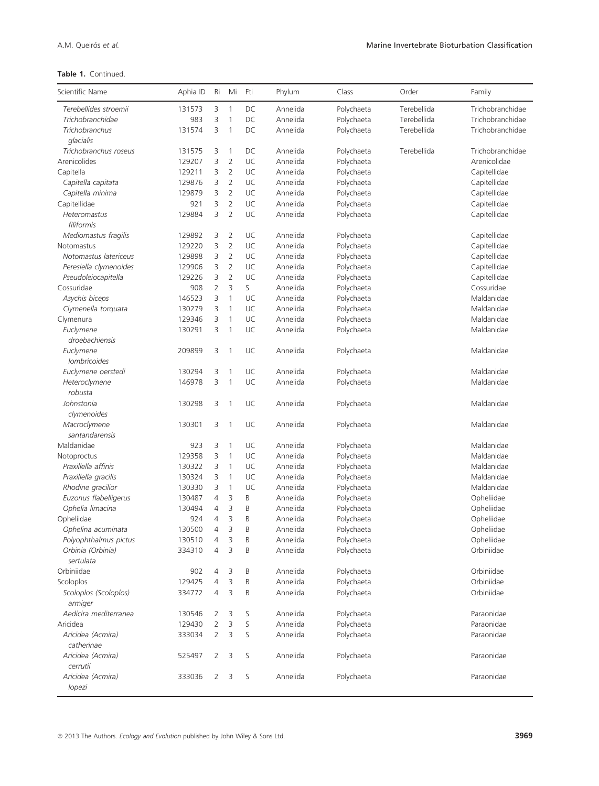| Scientific Name                  | Aphia ID         | Ri                               | Mi             | Fti    | Phylum               | Class                    | Order       | Family                   |
|----------------------------------|------------------|----------------------------------|----------------|--------|----------------------|--------------------------|-------------|--------------------------|
| Terebellides stroemii            | 131573           | 3                                | 1              | DC     | Annelida             | Polychaeta               | Terebellida | Trichobranchidae         |
| Trichobranchidae                 | 983              | 3                                | 1              | DC     | Annelida             | Polychaeta               | Terebellida | Trichobranchidae         |
| Trichobranchus                   | 131574           | 3                                | $\mathbf{1}$   | DC     | Annelida             | Polychaeta               | Terebellida | Trichobranchidae         |
| glacialis                        |                  |                                  |                |        |                      |                          |             |                          |
| Trichobranchus roseus            | 131575           | 3                                | 1              | DC     | Annelida             | Polychaeta               | Terebellida | Trichobranchidae         |
| Arenicolides                     | 129207           | 3                                | $\overline{2}$ | UC     | Annelida             | Polychaeta               |             | Arenicolidae             |
| Capitella                        | 129211           | 3                                | $\overline{2}$ | UC     | Annelida             | Polychaeta               |             | Capitellidae             |
| Capitella capitata               | 129876           | 3                                | $\overline{2}$ | UC     | Annelida             | Polychaeta               |             | Capitellidae             |
| Capitella minima                 | 129879           | 3                                | $\overline{2}$ | UC     | Annelida             | Polychaeta               |             | Capitellidae             |
| Capitellidae                     | 921              | 3                                | $\overline{2}$ | UC     | Annelida             | Polychaeta               |             | Capitellidae             |
| Heteromastus<br>filiformis       | 129884           | 3                                | $\overline{2}$ | UC     | Annelida             | Polychaeta               |             | Capitellidae             |
| Mediomastus fragilis             | 129892           | 3                                | $\overline{2}$ | UC     | Annelida             | Polychaeta               |             | Capitellidae             |
| Notomastus                       | 129220           | 3                                | $\overline{2}$ | UC     | Annelida             | Polychaeta               |             | Capitellidae             |
| Notomastus latericeus            | 129898           | 3                                | $\overline{2}$ | UC     | Annelida             | Polychaeta               |             | Capitellidae             |
| Peresiella clymenoides           | 129906           | 3                                | $\mathbf 2$    | UC     | Annelida             | Polychaeta               |             | Capitellidae             |
| Pseudoleiocapitella              | 129226           | 3                                | $\overline{2}$ | UC     | Annelida             | Polychaeta               |             | Capitellidae             |
| Cossuridae                       | 908              | $\overline{2}$                   | 3              | S      | Annelida             | Polychaeta               |             | Cossuridae               |
| Asychis biceps                   | 146523           | 3                                | 1              | UC     | Annelida             | Polychaeta               |             | Maldanidae               |
| Clymenella torquata              | 130279           | 3                                | 1              | UC     | Annelida             | Polychaeta               |             | Maldanidae               |
| Clymenura                        | 129346           | 3                                | 1              | UC     | Annelida             | Polychaeta               |             | Maldanidae               |
| Euclymene                        | 130291           | 3                                | 1              | UC     | Annelida             | Polychaeta               |             | Maldanidae               |
| droebachiensis                   |                  |                                  |                |        |                      |                          |             |                          |
| Euclymene                        | 209899           | 3                                | 1              | UC     | Annelida             | Polychaeta               |             | Maldanidae               |
| <i>lombricoides</i>              |                  |                                  |                |        |                      |                          |             |                          |
| Euclymene oerstedi               | 130294           | 3                                | 1              | UC     | Annelida             | Polychaeta               |             | Maldanidae               |
| Heteroclymene                    | 146978           | 3                                | 1              | UC     | Annelida             | Polychaeta               |             | Maldanidae               |
| robusta                          |                  |                                  |                |        |                      |                          |             |                          |
| Johnstonia                       | 130298           | 3                                | 1              | UC     | Annelida             | Polychaeta               |             | Maldanidae               |
| clymenoides                      |                  |                                  |                |        |                      |                          |             |                          |
| Macroclymene                     | 130301           | 3                                | 1              | UC     | Annelida             | Polychaeta               |             | Maldanidae               |
| santandarensis                   |                  |                                  |                |        |                      |                          |             |                          |
| Maldanidae                       | 923              | 3                                | 1              | UC     | Annelida             | Polychaeta               |             | Maldanidae               |
| Notoproctus                      | 129358           | 3                                | 1              | UC     | Annelida             | Polychaeta               |             | Maldanidae               |
| Praxillella affinis              | 130322           | 3                                | 1              | UC     | Annelida             | Polychaeta               |             | Maldanidae               |
| Praxillella gracilis             | 130324           | 3                                | 1              | UC     | Annelida<br>Annelida | Polychaeta               |             | Maldanidae               |
| Rhodine gracilior                | 130330           | 3                                | $\mathbf{1}$   | UC     |                      | Polychaeta               |             | Maldanidae               |
| Euzonus flabelligerus            | 130487<br>130494 | 4                                | 3<br>3         | B<br>B | Annelida<br>Annelida | Polychaeta               |             | Opheliidae<br>Opheliidae |
| Ophelia limacina                 | 924              | 4<br>$\overline{4}$              | 3              | B      | Annelida             | Polychaeta               |             | Opheliidae               |
| Opheliidae<br>Ophelina acuminata | 130500           | $\overline{4}$                   | 3              | B      | Annelida             | Polychaeta<br>Polychaeta |             | Opheliidae               |
| Polyophthalmus pictus            | 130510           | 4                                | 3              | B      | Annelida             | Polychaeta               |             | Opheliidae               |
| Orbinia (Orbinia)                | 334310           | 4                                | 3              | B      | Annelida             | Polychaeta               |             | Orbiniidae               |
| sertulata                        |                  |                                  |                |        |                      |                          |             |                          |
| Orbiniidae                       | 902              | 4                                | 3              | Β      | Annelida             | Polychaeta               |             | Orbiniidae               |
| Scoloplos                        | 129425           | 4                                | 3              | B      | Annelida             | Polychaeta               |             | Orbiniidae               |
| Scoloplos (Scoloplos)            | 334772           | 4                                | 3              | B      | Annelida             | Polychaeta               |             | Orbiniidae               |
| armiger                          |                  |                                  |                |        |                      |                          |             |                          |
| Aedicira mediterranea            | 130546           | 2                                | 3              | S      | Annelida             | Polychaeta               |             | Paraonidae               |
| Aricidea<br>Aricidea (Acmira)    | 129430           | $\overline{2}$<br>$\overline{2}$ | 3<br>3         | S<br>S | Annelida<br>Annelida | Polychaeta               |             | Paraonidae<br>Paraonidae |
| catherinae                       | 333034           |                                  |                |        |                      | Polychaeta               |             |                          |
| Aricidea (Acmira)                |                  | $\overline{2}$                   | 3              | S      | Annelida             | Polychaeta               |             | Paraonidae               |
| cerrutii                         | 525497           |                                  |                |        |                      |                          |             |                          |
| Aricidea (Acmira)<br>lopezi      | 333036           | $\overline{2}$                   | 3              | S      | Annelida             | Polychaeta               |             | Paraonidae               |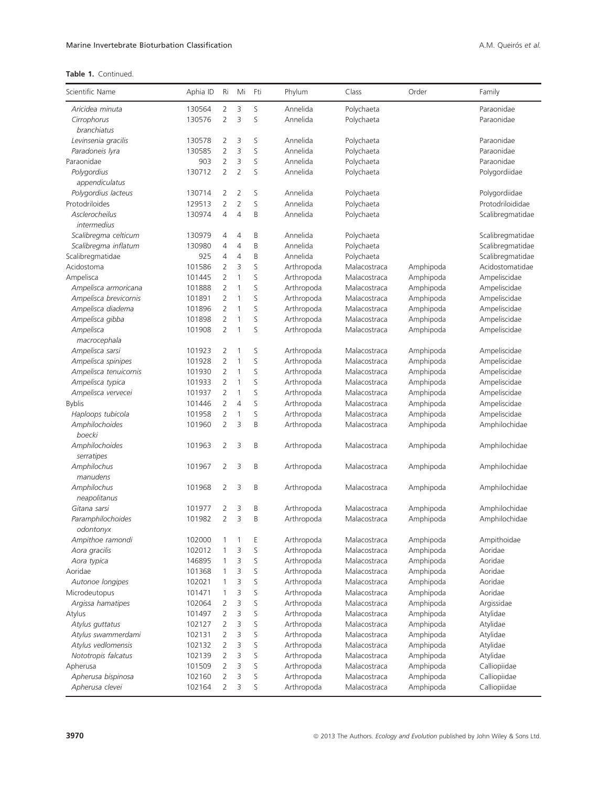| Scientific Name       | Aphia ID | Ri             | Mi             | Fti | Phylum     | Class        | Order     | Family           |
|-----------------------|----------|----------------|----------------|-----|------------|--------------|-----------|------------------|
| Aricidea minuta       | 130564   | $\overline{2}$ | 3              | S   | Annelida   | Polychaeta   |           | Paraonidae       |
| Cirrophorus           | 130576   | $\overline{2}$ | 3              | S   | Annelida   | Polychaeta   |           | Paraonidae       |
| branchiatus           |          |                |                |     |            |              |           |                  |
| Levinsenia gracilis   | 130578   | 2              | 3              | S   | Annelida   | Polychaeta   |           | Paraonidae       |
| Paradoneis lyra       | 130585   | $\overline{2}$ | 3              | S   | Annelida   | Polychaeta   |           | Paraonidae       |
| Paraonidae            | 903      | $\overline{2}$ | 3              | S   | Annelida   | Polychaeta   |           | Paraonidae       |
| Polygordius           | 130712   | $\overline{2}$ | $\overline{2}$ | S   | Annelida   | Polychaeta   |           | Polygordiidae    |
| appendiculatus        |          |                |                |     |            |              |           |                  |
| Polygordius lacteus   | 130714   | 2              | $\overline{2}$ | S   | Annelida   | Polychaeta   |           | Polygordiidae    |
| Protodriloides        | 129513   | $\overline{2}$ | 2              | S   | Annelida   | Polychaeta   |           | Protodriloididae |
| Asclerocheilus        | 130974   | 4              | 4              | B   | Annelida   | Polychaeta   |           | Scalibregmatidae |
| intermedius           |          |                |                |     |            |              |           |                  |
| Scalibregma celticum  | 130979   | 4              | 4              | B   | Annelida   | Polychaeta   |           | Scalibregmatidae |
| Scalibregma inflatum  | 130980   | 4              | 4              | B   | Annelida   | Polychaeta   |           | Scalibregmatidae |
| Scalibregmatidae      | 925      | 4              | 4              | B   | Annelida   | Polychaeta   |           | Scalibregmatidae |
| Acidostoma            | 101586   | $\overline{2}$ | 3              | S   | Arthropoda | Malacostraca | Amphipoda | Acidostomatidae  |
| Ampelisca             | 101445   | $\overline{2}$ | 1              | S   | Arthropoda | Malacostraca | Amphipoda | Ampeliscidae     |
| Ampelisca armoricana  | 101888   | $\overline{2}$ | 1              | S   | Arthropoda | Malacostraca | Amphipoda | Ampeliscidae     |
| Ampelisca brevicornis | 101891   | $\overline{2}$ | 1              | S   | Arthropoda | Malacostraca | Amphipoda | Ampeliscidae     |
| Ampelisca diadema     | 101896   | $\overline{2}$ | 1              | S   | Arthropoda | Malacostraca | Amphipoda | Ampeliscidae     |
| Ampelisca gibba       | 101898   | $\overline{2}$ | 1              | S   | Arthropoda | Malacostraca | Amphipoda | Ampeliscidae     |
| Ampelisca             | 101908   | $\overline{2}$ | 1              | S   | Arthropoda | Malacostraca | Amphipoda | Ampeliscidae     |
| macrocephala          |          |                |                |     |            |              |           |                  |
| Ampelisca sarsi       | 101923   | 2              | 1              | S   | Arthropoda | Malacostraca | Amphipoda | Ampeliscidae     |
| Ampelisca spinipes    | 101928   | $\overline{2}$ | 1              | S   | Arthropoda | Malacostraca | Amphipoda | Ampeliscidae     |
| Ampelisca tenuicornis | 101930   | $\overline{2}$ | 1              | S   | Arthropoda | Malacostraca | Amphipoda | Ampeliscidae     |
| Ampelisca typica      | 101933   | $\overline{2}$ | 1              | S   | Arthropoda | Malacostraca | Amphipoda | Ampeliscidae     |
| Ampelisca vervecei    | 101937   | $\overline{2}$ | 1              | S   | Arthropoda | Malacostraca | Amphipoda | Ampeliscidae     |
| <b>Byblis</b>         | 101446   | $\overline{2}$ | 4              | S   | Arthropoda | Malacostraca | Amphipoda | Ampeliscidae     |
| Haploops tubicola     | 101958   | $\overline{2}$ | 1              | S   | Arthropoda | Malacostraca | Amphipoda | Ampeliscidae     |
| Amphilochoides        | 101960   | $\overline{2}$ | 3              | B   | Arthropoda | Malacostraca | Amphipoda | Amphilochidae    |
| boecki                |          |                |                |     |            |              |           |                  |
| Amphilochoides        | 101963   | $\overline{2}$ | 3              | B   | Arthropoda | Malacostraca | Amphipoda | Amphilochidae    |
| serratipes            |          |                |                |     |            |              |           |                  |
| Amphilochus           | 101967   | 2              | 3              | B   | Arthropoda | Malacostraca | Amphipoda | Amphilochidae    |
| manudens              |          |                |                |     |            |              |           |                  |
| Amphilochus           | 101968   | $\overline{2}$ | 3              | B   | Arthropoda | Malacostraca | Amphipoda | Amphilochidae    |
| neapolitanus          |          |                |                |     |            |              |           |                  |
| Gitana sarsi          | 101977   | 2              | 3              | B   | Arthropoda | Malacostraca | Amphipoda | Amphilochidae    |
| Paramphilochoides     | 101982   | $\overline{2}$ | 3              | B   | Arthropoda | Malacostraca | Amphipoda | Amphilochidae    |
| odontonyx             |          |                |                |     |            |              |           |                  |
| Ampithoe ramondi      | 102000   |                | 1              | Ε   | Arthropoda | Malacostraca | Amphipoda | Ampithoidae      |
| Aora gracilis         | 102012   | 1              | 3              | S   | Arthropoda | Malacostraca | Amphipoda | Aoridae          |
| Aora typica           | 146895   | 1              | 3              | S   | Arthropoda | Malacostraca | Amphipoda | Aoridae          |
| Aoridae               | 101368   | $\mathbf{1}$   | 3              | S   | Arthropoda | Malacostraca | Amphipoda | Aoridae          |
| Autonoe longipes      | 102021   | 1              | 3              | S   | Arthropoda | Malacostraca | Amphipoda | Aoridae          |
| Microdeutopus         | 101471   | $\mathbf{1}$   | 3              | S   | Arthropoda | Malacostraca | Amphipoda | Aoridae          |
| Argissa hamatipes     | 102064   | 2              | 3              | S   | Arthropoda | Malacostraca | Amphipoda | Argissidae       |
| Atylus                | 101497   | $\overline{2}$ | 3              | S   | Arthropoda | Malacostraca | Amphipoda | Atylidae         |
| Atylus guttatus       | 102127   | 2              | 3              | S   | Arthropoda | Malacostraca | Amphipoda | Atylidae         |
| Atylus swammerdami    | 102131   | $\overline{2}$ | 3              | S   | Arthropoda | Malacostraca | Amphipoda | Atylidae         |
| Atylus vedlomensis    | 102132   | 2              | 3              | S   | Arthropoda | Malacostraca | Amphipoda | Atylidae         |
| Nototropis falcatus   | 102139   | 2              | 3              | S   | Arthropoda | Malacostraca | Amphipoda | Atylidae         |
| Apherusa              | 101509   | 2              | 3              | S   | Arthropoda | Malacostraca | Amphipoda | Calliopiidae     |
| Apherusa bispinosa    | 102160   | $\overline{2}$ | 3              | S   | Arthropoda | Malacostraca | Amphipoda | Calliopiidae     |
| Apherusa clevei       | 102164   | $\overline{2}$ | 3              | S   | Arthropoda | Malacostraca | Amphipoda | Calliopiidae     |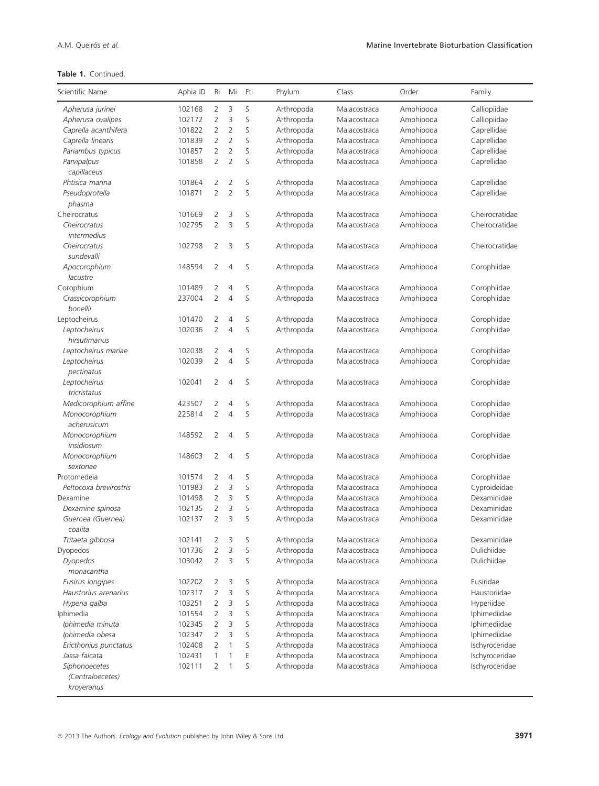| Scientific Name                | Aphia ID         | Ri             | Mi             | Fti | Phylum                   | Class        | Order                  | Family                           |
|--------------------------------|------------------|----------------|----------------|-----|--------------------------|--------------|------------------------|----------------------------------|
| Apherusa jurinei               | 102168           | $\overline{2}$ | 3              | S   | Arthropoda               | Malacostraca | Amphipoda              | Calliopiidae                     |
| Apherusa ovalipes              | 102172           | $\overline{2}$ | 3              | S   | Arthropoda               | Malacostraca | Amphipoda              | Calliopiidae                     |
| Caprella acanthifera           | 101822           | 2              | $\overline{2}$ | S   | Arthropoda               | Malacostraca | Amphipoda              | Caprellidae                      |
| Caprella linearis              | 101839           | $\overline{2}$ | $\overline{2}$ | S   | Arthropoda               | Malacostraca | Amphipoda              | Caprellidae                      |
| Pariambus typicus              | 101857           | $\overline{2}$ | $\mathbf 2$    | S   | Arthropoda               | Malacostraca | Amphipoda              | Caprellidae                      |
| Parvipalpus<br>capillaceus     | 101858           | $\overline{2}$ | $\overline{2}$ | S   | Arthropoda               | Malacostraca | Amphipoda              | Caprellidae                      |
| Phtisica marina                | 101864           | 2              | $\overline{2}$ | S   | Arthropoda               | Malacostraca | Amphipoda              | Caprellidae                      |
| Pseudoprotella                 | 101871           | $\overline{2}$ | $\overline{2}$ | S   | Arthropoda               | Malacostraca | Amphipoda              | Caprellidae                      |
| phasma                         |                  |                |                |     |                          |              |                        |                                  |
| Cheirocratus                   | 101669           | 2              | 3              | S   | Arthropoda               | Malacostraca | Amphipoda              | Cheirocratidae                   |
| Cheirocratus<br>intermedius    | 102795           | $\overline{2}$ | 3              | S   | Arthropoda               | Malacostraca | Amphipoda              | Cheirocratidae                   |
| Cheirocratus<br>sundevalli     | 102798           | 2              | 3              | S   | Arthropoda               | Malacostraca | Amphipoda              | Cheirocratidae                   |
| Apocorophium<br>lacustre       | 148594           | $\overline{2}$ | $\overline{4}$ | S   | Arthropoda               | Malacostraca | Amphipoda              | Corophiidae                      |
| Corophium                      | 101489           | 2              | $\overline{4}$ | S   | Arthropoda               | Malacostraca | Amphipoda              | Corophiidae                      |
| Crassicorophium<br>bonellii    | 237004           | $\overline{2}$ | $\overline{4}$ | S   | Arthropoda               | Malacostraca | Amphipoda              | Corophiidae                      |
| Leptocheirus                   | 101470           | 2              | $\overline{4}$ | S   | Arthropoda               | Malacostraca | Amphipoda              | Corophiidae                      |
| Leptocheirus                   | 102036           | $\overline{2}$ | $\overline{4}$ | S   | Arthropoda               |              | Amphipoda              | Corophiidae                      |
| hirsutimanus                   |                  |                |                |     |                          | Malacostraca |                        |                                  |
| Leptocheirus mariae            | 102038           | 2              | $\overline{4}$ | S   | Arthropoda               | Malacostraca | Amphipoda              | Corophiidae                      |
| Leptocheirus<br>pectinatus     | 102039           | $\overline{2}$ | $\overline{4}$ | S   | Arthropoda               | Malacostraca | Amphipoda              | Corophiidae                      |
| Leptocheirus<br>tricristatus   | 102041           | 2              | $\overline{4}$ | S   | Arthropoda               | Malacostraca | Amphipoda              | Corophiidae                      |
| Medicorophium affine           | 423507           | 2              | $\overline{4}$ | S   | Arthropoda               | Malacostraca | Amphipoda              | Corophiidae                      |
| Monocorophium                  | 225814           | $\overline{2}$ | $\overline{4}$ | S   | Arthropoda               | Malacostraca | Amphipoda              | Corophiidae                      |
| acherusicum                    |                  |                |                |     |                          |              |                        |                                  |
| Monocorophium                  | 148592           | $\overline{2}$ | $\overline{4}$ | S   | Arthropoda               | Malacostraca | Amphipoda              | Corophiidae                      |
| insidiosum                     |                  |                |                |     |                          |              |                        |                                  |
| Monocorophium                  | 148603           | 2              | $\overline{4}$ | S   | Arthropoda               | Malacostraca | Amphipoda              | Corophiidae                      |
| sextonae                       |                  |                |                |     |                          |              |                        |                                  |
| Protomedeia                    | 101574           | 2              | $\overline{4}$ | S   | Arthropoda               | Malacostraca | Amphipoda              | Corophiidae                      |
| Peltocoxa brevirostris         | 101983           | 2              | 3              | S   | Arthropoda               | Malacostraca | Amphipoda              | Cyproideidae                     |
| Dexamine                       | 101498           | $\overline{2}$ | 3              | S   | Arthropoda               | Malacostraca | Amphipoda              | Dexaminidae                      |
| Dexamine spinosa               | 102135           | $\overline{2}$ | 3              | S   | Arthropoda               | Malacostraca | Amphipoda              | Dexaminidae                      |
| Guernea (Guernea)<br>coalita   | 102137           | $\overline{2}$ | 3              | S   | Arthropoda               | Malacostraca | Amphipoda              | Dexaminidae                      |
| Tritaeta gibbosa               | 102141           | 2              | 3              | S   | Arthropoda               | Malacostraca | Amphipoda              | Dexaminidae                      |
| Dyopedos                       | 101736           | $\overline{2}$ | 3              | S   | Arthropoda               | Malacostraca | Amphipoda              | Dulichiidae                      |
| Dyopedos<br>monacantha         | 103042           | $\overline{2}$ | 3              | S   | Arthropoda               | Malacostraca | Amphipoda              | Dulichiidae                      |
| Eusirus longipes               | 102202           | 2              | 3              | S   | Arthropoda               | Malacostraca | Amphipoda              | Eusiridae                        |
| Haustorius arenarius           | 102317           | $\overline{2}$ | 3              | S   | Arthropoda               | Malacostraca | Amphipoda              | Haustoriidae                     |
| Hyperia galba                  | 103251           | 2              | 3              | S   | Arthropoda               | Malacostraca | Amphipoda              | Hyperiidae                       |
| Iphimedia                      | 101554           | 2              | 3              | S   | Arthropoda               | Malacostraca | Amphipoda              | Iphimediidae                     |
| Iphimedia minuta               | 102345           | 2              | 3              | S   | Arthropoda               | Malacostraca | Amphipoda              | Iphimediidae                     |
| Iphimedia obesa                | 102347           | $\overline{2}$ | 3              | S   | Arthropoda               | Malacostraca | Amphipoda              | Iphimediidae                     |
| Ericthonius punctatus          | 102408           | $\overline{2}$ | 1              | S   | Arthropoda               | Malacostraca | Amphipoda              | Ischyroceridae                   |
| Jassa falcata                  |                  | 1              | 1              | Ε   |                          | Malacostraca |                        |                                  |
| Siphonoecetes                  | 102431<br>102111 | 2              | 1              | S   | Arthropoda<br>Arthropoda | Malacostraca | Amphipoda<br>Amphipoda | Ischyroceridae<br>Ischyroceridae |
| (Centraloecetes)<br>kroyeranus |                  |                |                |     |                          |              |                        |                                  |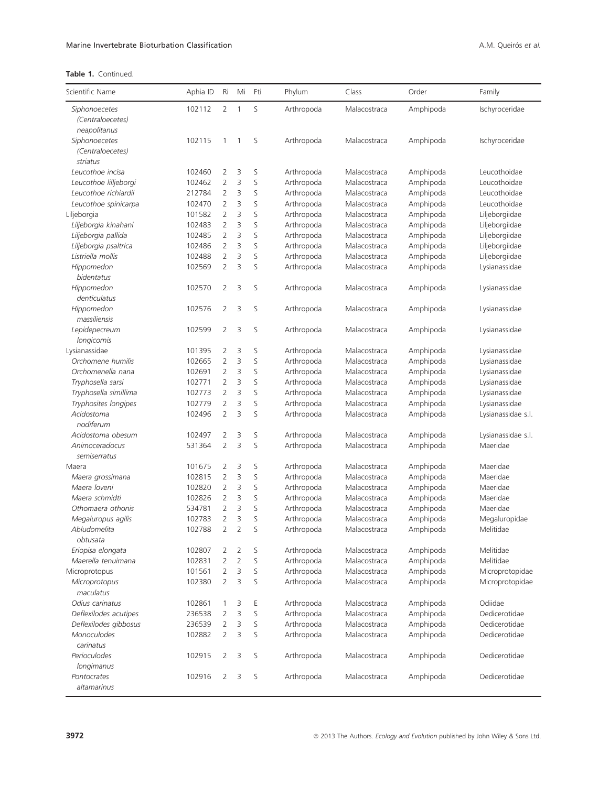| Scientific Name                   | Aphia ID | Ri             | Mi             | Fti | Phylum     | Class        | Order     | Family             |
|-----------------------------------|----------|----------------|----------------|-----|------------|--------------|-----------|--------------------|
| Siphonoecetes<br>(Centraloecetes) | 102112   | 2              | $\mathbf{1}$   | S   | Arthropoda | Malacostraca | Amphipoda | Ischyroceridae     |
| neapolitanus                      |          |                |                |     |            |              |           |                    |
| Siphonoecetes                     | 102115   | 1              | 1              | S   | Arthropoda | Malacostraca | Amphipoda | Ischyroceridae     |
| (Centraloecetes)                  |          |                |                |     |            |              |           |                    |
| striatus                          |          |                |                |     |            |              |           |                    |
| Leucothoe incisa                  | 102460   | 2              | 3              | S   | Arthropoda | Malacostraca | Amphipoda | Leucothoidae       |
| Leucothoe lilljeborgi             | 102462   | 2              | 3              | S   | Arthropoda | Malacostraca | Amphipoda | Leucothoidae       |
| Leucothoe richiardii              | 212784   | $\overline{2}$ | 3              | S   | Arthropoda | Malacostraca | Amphipoda | Leucothoidae       |
| Leucothoe spinicarpa              | 102470   | $\overline{2}$ | 3              | S   | Arthropoda | Malacostraca | Amphipoda | Leucothoidae       |
| Liljeborgia                       | 101582   | 2              | 3              | S   | Arthropoda | Malacostraca | Amphipoda | Liljeborgiidae     |
| Liljeborgia kinahani              | 102483   | $\overline{2}$ | 3              | S   | Arthropoda | Malacostraca | Amphipoda | Liljeborgiidae     |
| Liljeborgia pallida               | 102485   | $\overline{2}$ | 3              | S   | Arthropoda | Malacostraca | Amphipoda | Liljeborgiidae     |
| Liljeborgia psaltrica             | 102486   | $\overline{2}$ | 3              | S   | Arthropoda | Malacostraca | Amphipoda | Liljeborgiidae     |
| Listriella mollis                 | 102488   | $\overline{2}$ | 3              | S   | Arthropoda | Malacostraca | Amphipoda | Liljeborgiidae     |
| Hippomedon<br>bidentatus          | 102569   | $\overline{2}$ | 3              | S   | Arthropoda | Malacostraca | Amphipoda | Lysianassidae      |
| Hippomedon                        | 102570   | 2              | 3              | S   | Arthropoda | Malacostraca | Amphipoda | Lysianassidae      |
| denticulatus                      |          |                |                |     |            |              |           |                    |
| Hippomedon<br>massiliensis        | 102576   | 2              | 3              | S   | Arthropoda | Malacostraca | Amphipoda | Lysianassidae      |
| Lepidepecreum                     | 102599   | 2              | 3              | S   | Arthropoda | Malacostraca | Amphipoda | Lysianassidae      |
| longicornis                       |          |                |                |     |            |              |           |                    |
| Lysianassidae                     | 101395   | 2              | 3              | S   | Arthropoda | Malacostraca | Amphipoda | Lysianassidae      |
| Orchomene humilis                 | 102665   | 2              | 3              | S   | Arthropoda | Malacostraca | Amphipoda | Lysianassidae      |
| Orchomenella nana                 | 102691   | $\overline{2}$ | 3              | S   | Arthropoda | Malacostraca | Amphipoda | Lysianassidae      |
| Tryphosella sarsi                 | 102771   | $\overline{2}$ | 3              | S   | Arthropoda | Malacostraca | Amphipoda | Lysianassidae      |
| Tryphosella simillima             | 102773   | $\overline{2}$ | 3              | S   | Arthropoda | Malacostraca | Amphipoda | Lysianassidae      |
| Tryphosites longipes              | 102779   | $\overline{2}$ | 3              | S   | Arthropoda | Malacostraca | Amphipoda | Lysianassidae      |
| Acidostoma<br>nodiferum           | 102496   | $\overline{2}$ | 3              | S   | Arthropoda | Malacostraca | Amphipoda | Lysianassidae s.l. |
| Acidostoma obesum                 | 102497   | 2              | 3              | S   | Arthropoda | Malacostraca | Amphipoda | Lysianassidae s.l. |
| Animoceradocus                    | 531364   | $\overline{2}$ | 3              | S   | Arthropoda | Malacostraca | Amphipoda | Maeridae           |
| semiserratus                      |          |                |                |     |            |              |           |                    |
| Maera                             | 101675   | 2              | 3              | S   | Arthropoda | Malacostraca | Amphipoda | Maeridae           |
| Maera grossimana                  | 102815   | 2              | 3              | S   | Arthropoda | Malacostraca | Amphipoda | Maeridae           |
| Maera loveni                      | 102820   | 2              | 3              | S   | Arthropoda | Malacostraca | Amphipoda | Maeridae           |
| Maera schmidti                    | 102826   | $\overline{2}$ | 3              | S   | Arthropoda | Malacostraca | Amphipoda | Maeridae           |
| Othomaera othonis                 | 534781   | 2              | 3              | S   | Arthropoda | Malacostraca | Amphipoda | Maeridae           |
| Megaluropus agilis                | 102783   | $\overline{2}$ | 3              | S   | Arthropoda | Malacostraca | Amphipoda | Megaluropidae      |
| Abludomelita<br>obtusata          | 102788   | $\overline{2}$ | 2              | S   | Arthropoda | Malacostraca | Amphipoda | Melitidae          |
| Eriopisa elongata                 | 102807   | 2              | 2              | S   | Arthropoda | Malacostraca | Amphipoda | Melitidae          |
| Maerella tenuimana                | 102831   | 2              | $\overline{2}$ | S   | Arthropoda | Malacostraca | Amphipoda | Melitidae          |
| Microprotopus                     | 101561   | $\overline{2}$ | 3              | S   | Arthropoda | Malacostraca | Amphipoda | Microprotopidae    |
| Microprotopus<br>maculatus        | 102380   | $\overline{2}$ | 3              | S   | Arthropoda | Malacostraca | Amphipoda | Microprotopidae    |
| Odius carinatus                   | 102861   | 1              | 3              | Ε   | Arthropoda | Malacostraca | Amphipoda | Odiidae            |
| Deflexilodes acutipes             | 236538   | 2              | 3              | S   | Arthropoda | Malacostraca | Amphipoda | Oedicerotidae      |
| Deflexilodes gibbosus             | 236539   | 2              | 3              | S   | Arthropoda | Malacostraca | Amphipoda | Oedicerotidae      |
| Monoculodes                       | 102882   | $\overline{2}$ | 3              | S   | Arthropoda | Malacostraca | Amphipoda | Oedicerotidae      |
| carinatus<br>Perioculodes         | 102915   | 2              | 3              | S   | Arthropoda | Malacostraca | Amphipoda | Oedicerotidae      |
| longimanus                        |          |                |                |     |            |              |           |                    |
| Pontocrates<br>altamarinus        | 102916   | 2              | 3              | S   | Arthropoda | Malacostraca | Amphipoda | Oedicerotidae      |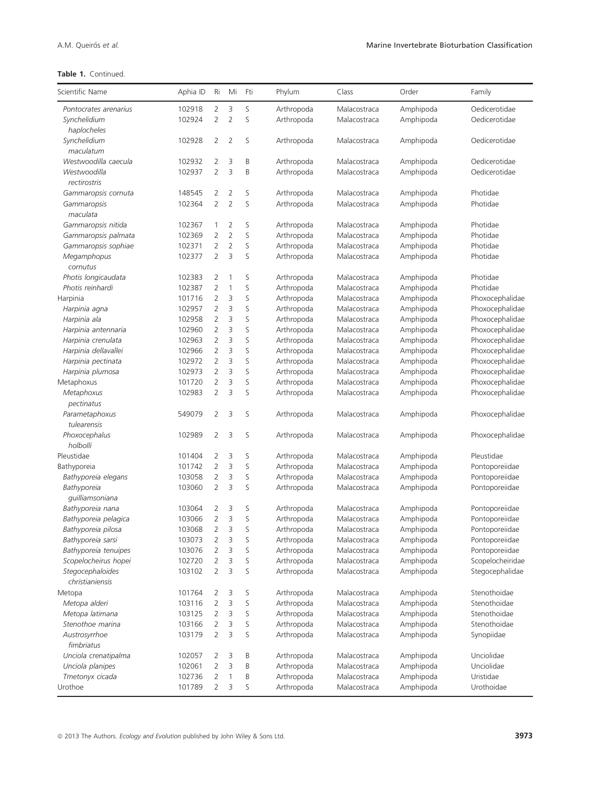| Scientific Name                     | Aphia ID         | Ri                               | Mi                  | Fti    | Phylum                   | Class                        | Order                  | Family                       |
|-------------------------------------|------------------|----------------------------------|---------------------|--------|--------------------------|------------------------------|------------------------|------------------------------|
| Pontocrates arenarius               | 102918           | $\overline{2}$                   | 3                   | S      | Arthropoda               | Malacostraca                 | Amphipoda              | Oedicerotidae                |
| Synchelidium                        | 102924           | $\overline{2}$                   | $\overline{2}$      | S      | Arthropoda               | Malacostraca                 | Amphipoda              | Oedicerotidae                |
| haplocheles                         |                  |                                  |                     |        |                          |                              |                        |                              |
| Synchelidium                        | 102928           | 2                                | 2                   | S      | Arthropoda               | Malacostraca                 | Amphipoda              | Oedicerotidae                |
| maculatum                           |                  |                                  |                     |        |                          |                              |                        |                              |
| Westwoodilla caecula                | 102932           | 2                                | 3                   | B      | Arthropoda               | Malacostraca                 | Amphipoda              | Oedicerotidae                |
| Westwoodilla                        | 102937           | $\overline{2}$                   | 3                   | B      | Arthropoda               | Malacostraca                 | Amphipoda              | Oedicerotidae                |
| rectirostris                        |                  |                                  |                     |        |                          |                              |                        |                              |
| Gammaropsis cornuta                 | 148545           | 2                                | 2                   | S      | Arthropoda               | Malacostraca                 | Amphipoda              | Photidae                     |
| Gammaropsis                         | 102364           | $\overline{2}$                   | $\overline{2}$      | S      | Arthropoda               | Malacostraca                 | Amphipoda              | Photidae                     |
| maculata                            |                  |                                  |                     |        |                          |                              |                        |                              |
| Gammaropsis nitida                  | 102367           | 1                                | $\overline{2}$      | S      | Arthropoda               | Malacostraca                 | Amphipoda              | Photidae                     |
| Gammaropsis palmata                 | 102369           | $\overline{2}$                   | $\overline{2}$      | S      | Arthropoda               | Malacostraca                 | Amphipoda              | Photidae                     |
| Gammaropsis sophiae                 | 102371<br>102377 | $\overline{2}$<br>$\overline{2}$ | $\overline{2}$<br>3 | S<br>S | Arthropoda               | Malacostraca                 | Amphipoda              | Photidae<br>Photidae         |
| Megamphopus<br>cornutus             |                  |                                  |                     |        | Arthropoda               | Malacostraca                 | Amphipoda              |                              |
| Photis longicaudata                 | 102383           | 2                                | 1                   | S      | Arthropoda               | Malacostraca                 | Amphipoda              | Photidae                     |
| Photis reinhardi                    | 102387           | $\overline{2}$                   | 1                   | S      | Arthropoda               | Malacostraca                 | Amphipoda              | Photidae                     |
| Harpinia                            | 101716           | $\overline{2}$                   | 3                   | S      | Arthropoda               | Malacostraca                 | Amphipoda              | Phoxocephalidae              |
| Harpinia agna                       | 102957           | $\overline{2}$                   | 3                   | S      | Arthropoda               | Malacostraca                 | Amphipoda              | Phoxocephalidae              |
| Harpinia ala                        | 102958           | $\overline{2}$                   | 3                   | S      | Arthropoda               | Malacostraca                 | Amphipoda              | Phoxocephalidae              |
| Harpinia antennaria                 | 102960           | $\overline{2}$                   | 3                   | S      | Arthropoda               | Malacostraca                 | Amphipoda              | Phoxocephalidae              |
| Harpinia crenulata                  | 102963           | $\overline{2}$                   | 3                   | S      | Arthropoda               | Malacostraca                 | Amphipoda              | Phoxocephalidae              |
| Harpinia dellavallei                | 102966           | 2                                | 3                   | S      | Arthropoda               | Malacostraca                 | Amphipoda              | Phoxocephalidae              |
| Harpinia pectinata                  | 102972           | 2                                | 3                   | S      | Arthropoda               | Malacostraca                 | Amphipoda              | Phoxocephalidae              |
| Harpinia plumosa                    | 102973           | $\overline{2}$                   | 3                   | S      | Arthropoda               | Malacostraca                 | Amphipoda              | Phoxocephalidae              |
| Metaphoxus                          | 101720           | $\overline{2}$                   | 3                   | S      | Arthropoda               | Malacostraca                 | Amphipoda              | Phoxocephalidae              |
| Metaphoxus                          | 102983           | $\overline{2}$                   | 3                   | S      | Arthropoda               | Malacostraca                 | Amphipoda              | Phoxocephalidae              |
| pectinatus                          |                  |                                  |                     |        |                          |                              |                        |                              |
| Parametaphoxus                      | 549079           | $\overline{2}$                   | 3                   | S      | Arthropoda               | Malacostraca                 | Amphipoda              | Phoxocephalidae              |
| tulearensis                         |                  |                                  |                     |        |                          |                              |                        |                              |
| Phoxocephalus                       | 102989           | $\overline{2}$                   | 3                   | S      | Arthropoda               | Malacostraca                 | Amphipoda              | Phoxocephalidae              |
| holbolli                            |                  |                                  |                     |        |                          |                              |                        |                              |
| Pleustidae                          | 101404           | $\overline{2}$                   | 3                   | S      | Arthropoda               | Malacostraca                 | Amphipoda              | Pleustidae                   |
| Bathyporeia                         | 101742           | $\overline{2}$                   | 3                   | S      | Arthropoda               | Malacostraca                 | Amphipoda              | Pontoporeiidae               |
| Bathyporeia elegans                 | 103058           | $\overline{2}$                   | 3                   | S      | Arthropoda               | Malacostraca                 | Amphipoda              | Pontoporeiidae               |
| Bathyporeia                         | 103060           | $\overline{2}$                   | 3                   | S      | Arthropoda               | Malacostraca                 | Amphipoda              | Pontoporeiidae               |
| guilliamsoniana<br>Bathyporeia nana | 103064           | 2                                | 3                   | S      | Arthropoda               | Malacostraca                 | Amphipoda              | Pontoporeiidae               |
| Bathyporeia pelagica                | 103066           | $\overline{2}$                   | 3                   | S      | Arthropoda               | Malacostraca                 | Amphipoda              | Pontoporeiidae               |
| Bathyporeia pilosa                  | 103068           | $\overline{2}$                   | 3                   | S      | Arthropoda               | Malacostraca                 | Amphipoda              | Pontoporeiidae               |
| Bathyporeia sarsi                   | 103073           | 2                                | 3                   | S      | Arthropoda               | Malacostraca                 | Amphipoda              | Pontoporeiidae               |
| Bathyporeia tenuipes                | 103076           | $\overline{2}$                   | 3                   | S      | Arthropoda               | Malacostraca                 | Amphipoda              | Pontoporeiidae               |
| Scopelocheirus hopei                | 102720           | 2                                | 3                   | S      | Arthropoda               | Malacostraca                 | Amphipoda              | Scopelocheiridae             |
| Stegocephaloides                    | 103102           | $\overline{2}$                   | 3                   | S      | Arthropoda               | Malacostraca                 | Amphipoda              | Stegocephalidae              |
| christianiensis                     |                  |                                  |                     |        |                          |                              |                        |                              |
| Metopa                              | 101764           | 2                                | 3                   | S      | Arthropoda               | Malacostraca                 | Amphipoda              | Stenothoidae                 |
| Metopa alderi<br>Metopa latimana    | 103116           | 2<br>$\overline{2}$              | 3<br>3              | S      | Arthropoda               | Malacostraca<br>Malacostraca | Amphipoda              | Stenothoidae<br>Stenothoidae |
|                                     | 103125           |                                  |                     | S      | Arthropoda               | Malacostraca                 | Amphipoda              | Stenothoidae                 |
| Stenothoe marina<br>Austrosyrrhoe   | 103166<br>103179 | $\overline{2}$<br>$\overline{2}$ | 3<br>3              | S<br>S | Arthropoda<br>Arthropoda | Malacostraca                 | Amphipoda<br>Amphipoda | Synopiidae                   |
| fimbriatus                          |                  |                                  |                     |        |                          |                              |                        |                              |
| Unciola crenatipalma                | 102057           | 2                                | 3                   | Β      | Arthropoda               | Malacostraca                 | Amphipoda              | Unciolidae                   |
| Unciola planipes                    | 102061           | $\overline{2}$                   | 3                   | B      | Arthropoda               | Malacostraca                 | Amphipoda              | Unciolidae                   |
| Tmetonyx cicada                     | 102736           | 2                                | 1                   | Β      | Arthropoda               | Malacostraca                 | Amphipoda              | Uristidae                    |
| Urothoe                             | 101789           | $\overline{2}$                   | 3                   | S      | Arthropoda               | Malacostraca                 | Amphipoda              | Urothoidae                   |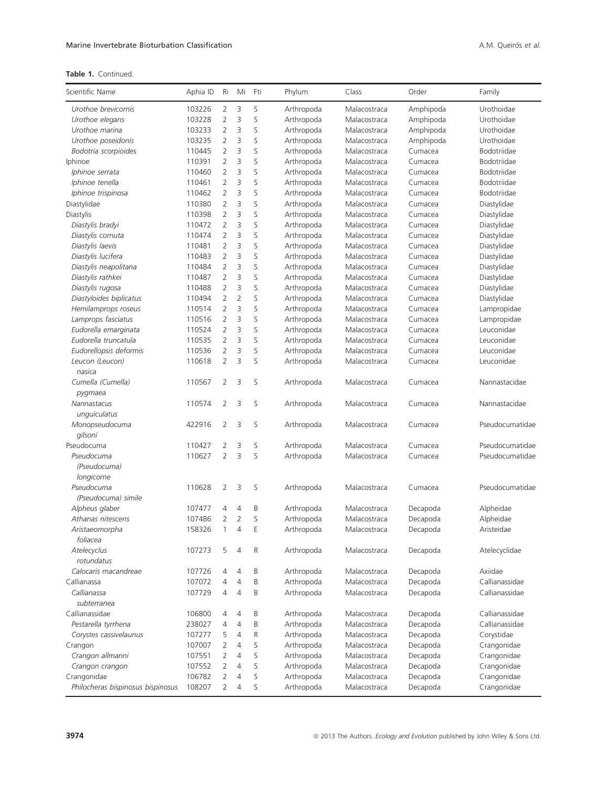| Scientific Name                          | Aphia ID | Ri             | Mi             | Fti | Phylum     | Class        | Order     | Family          |
|------------------------------------------|----------|----------------|----------------|-----|------------|--------------|-----------|-----------------|
| Urothoe brevicornis                      | 103226   | 2              | 3              | S   | Arthropoda | Malacostraca | Amphipoda | Urothoidae      |
| Urothoe elegans                          | 103228   | 2              | 3              | S   | Arthropoda | Malacostraca | Amphipoda | Urothoidae      |
| Urothoe marina                           | 103233   | $\overline{2}$ | 3              | S   | Arthropoda | Malacostraca | Amphipoda | Urothoidae      |
| Urothoe poseidonis                       | 103235   | $\overline{2}$ | 3              | S   | Arthropoda | Malacostraca | Amphipoda | Urothoidae      |
| Bodotria scorpioides                     | 110445   | 2              | 3              | S   | Arthropoda | Malacostraca | Cumacea   | Bodotriidae     |
| Iphinoe                                  | 110391   | 2              | 3              | S   | Arthropoda | Malacostraca | Cumacea   | Bodotriidae     |
| Iphinoe serrata                          | 110460   | $\overline{2}$ | 3              | S   | Arthropoda | Malacostraca | Cumacea   | Bodotriidae     |
| Iphinoe tenella                          | 110461   | $\overline{2}$ | 3              | S   | Arthropoda | Malacostraca | Cumacea   | Bodotriidae     |
| Iphinoe trispinosa                       | 110462   | $\overline{2}$ | 3              | S   | Arthropoda | Malacostraca | Cumacea   | Bodotriidae     |
| Diastylidae                              | 110380   | 2              | 3              | S   | Arthropoda | Malacostraca | Cumacea   | Diastylidae     |
| Diastylis                                | 110398   | $\overline{2}$ | 3              | S   | Arthropoda | Malacostraca | Cumacea   | Diastylidae     |
| Diastylis bradyi                         | 110472   | $\overline{2}$ | 3              | S   | Arthropoda | Malacostraca | Cumacea   | Diastylidae     |
| Diastylis cornuta                        | 110474   | 2              | 3              | S   | Arthropoda | Malacostraca | Cumacea   | Diastylidae     |
| Diastylis laevis                         | 110481   | $\overline{2}$ | 3              | S   | Arthropoda | Malacostraca | Cumacea   | Diastylidae     |
| Diastylis lucifera                       | 110483   | $\overline{2}$ | 3              | S   | Arthropoda | Malacostraca | Cumacea   | Diastylidae     |
| Diastylis neapolitana                    | 110484   | $\overline{2}$ | 3              | S   | Arthropoda | Malacostraca | Cumacea   | Diastylidae     |
| Diastylis rathkei                        | 110487   | 2              | 3              | S   | Arthropoda | Malacostraca | Cumacea   | Diastylidae     |
| Diastylis rugosa                         | 110488   | 2              | 3              | S   | Arthropoda | Malacostraca | Cumacea   | Diastylidae     |
| Diastyloides biplicatus                  | 110494   | $\overline{2}$ | $\overline{2}$ | S   | Arthropoda | Malacostraca | Cumacea   | Diastylidae     |
| Hemilamprops roseus                      | 110514   | 2              | 3              | S   | Arthropoda | Malacostraca | Cumacea   | Lampropidae     |
| Lamprops fasciatus                       | 110516   | 2              | 3              | S   | Arthropoda | Malacostraca | Cumacea   | Lampropidae     |
| Eudorella emarginata                     | 110524   | 2              | 3              | S   | Arthropoda | Malacostraca | Cumacea   | Leuconidae      |
| Eudorella truncatula                     | 110535   | 2              | 3              | S   | Arthropoda | Malacostraca | Cumacea   | Leuconidae      |
| Eudorellopsis deformis                   | 110536   | 2              | 3              | S   | Arthropoda | Malacostraca | Cumacea   | Leuconidae      |
| Leucon (Leucon)<br>nasica                | 110618   | $\overline{2}$ | 3              | S   | Arthropoda | Malacostraca | Cumacea   | Leuconidae      |
| Cumella (Cumella)<br>pygmaea             | 110567   | $\overline{2}$ | 3              | S   | Arthropoda | Malacostraca | Cumacea   | Nannastacidae   |
| Nannastacus<br>unquiculatus              | 110574   | $\overline{2}$ | 3              | S   | Arthropoda | Malacostraca | Cumacea   | Nannastacidae   |
| Monopseudocuma<br>gilsoni                | 422916   | 2              | 3              | S   | Arthropoda | Malacostraca | Cumacea   | Pseudocumatidae |
| Pseudocuma                               | 110427   | 2              | 3              | S   | Arthropoda | Malacostraca | Cumacea   | Pseudocumatidae |
| Pseudocuma<br>(Pseudocuma)<br>longicorne | 110627   | 2              | 3              | S   | Arthropoda | Malacostraca | Cumacea   | Pseudocumatidae |
| Pseudocuma<br>(Pseudocuma) simile        | 110628   | $\overline{2}$ | 3              | S   | Arthropoda | Malacostraca | Cumacea   | Pseudocumatidae |
| Alpheus glaber                           | 107477   | 4              | 4              | B   | Arthropoda | Malacostraca | Decapoda  | Alpheidae       |
| Athanas nitescens                        | 107486   | 2              | $\overline{2}$ | S   | Arthropoda | Malacostraca | Decapoda  | Alpheidae       |
| Aristaeomorpha<br>foliacea               | 158326   | 1              | 4              | E   | Arthropoda | Malacostraca | Decapoda  | Aristeidae      |
| Atelecyclus<br>rotundatus                | 107273   | 5              | $\overline{4}$ | R   | Arthropoda | Malacostraca | Decapoda  | Atelecyclidae   |
| Calocaris macandreae                     | 107726   | 4              | 4              | Β   | Arthropoda | Malacostraca | Decapoda  | Axiidae         |
| Callianassa                              | 107072   | 4              | $\overline{4}$ | B   | Arthropoda | Malacostraca | Decapoda  | Callianassidae  |
| Callianassa<br>subterranea               | 107729   | 4              | $\overline{4}$ | B   | Arthropoda | Malacostraca | Decapoda  | Callianassidae  |
| Callianassidae                           | 106800   | 4              | $\overline{4}$ | B   | Arthropoda | Malacostraca | Decapoda  | Callianassidae  |
| Pestarella tyrrhena                      | 238027   | 4              | $\overline{4}$ | B   | Arthropoda | Malacostraca | Decapoda  | Callianassidae  |
| Corystes cassivelaunus                   | 107277   | 5              | $\overline{4}$ | R   | Arthropoda | Malacostraca | Decapoda  | Corystidae      |
| Crangon                                  | 107007   | 2              | 4              | S   | Arthropoda | Malacostraca | Decapoda  | Crangonidae     |
| Crangon allmanni                         | 107551   | 2              | $\overline{4}$ | S   | Arthropoda | Malacostraca | Decapoda  | Crangonidae     |
| Crangon crangon                          | 107552   | 2              | $\overline{4}$ | S   | Arthropoda | Malacostraca | Decapoda  | Crangonidae     |
| Crangonidae                              | 106782   | 2              | $\overline{4}$ | S   | Arthropoda | Malacostraca | Decapoda  | Crangonidae     |
| Philocheras bispinosus bispinosus        | 108207   | 2              | $\overline{4}$ | S   | Arthropoda | Malacostraca | Decapoda  | Crangonidae     |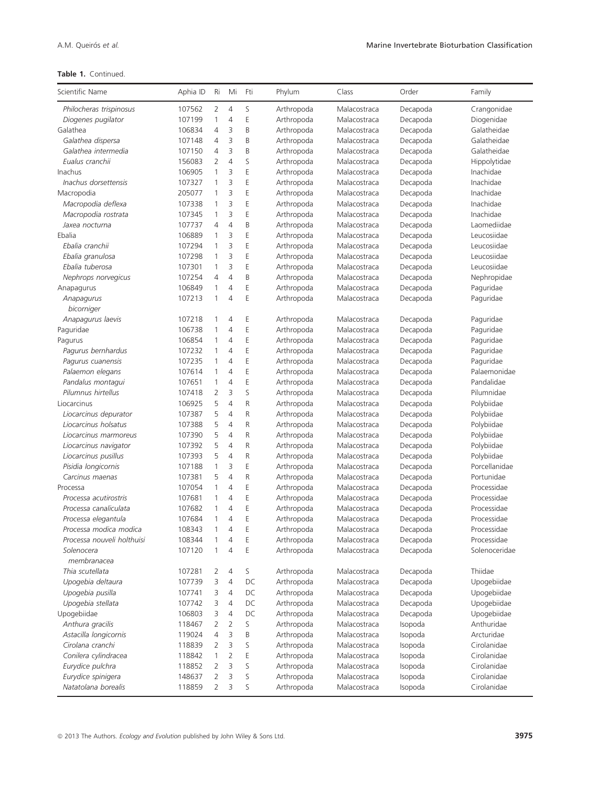| Scientific Name            | Aphia ID | Ri             | Mi             | Fti | Phylum     | Class        | Order    | Family        |
|----------------------------|----------|----------------|----------------|-----|------------|--------------|----------|---------------|
| Philocheras trispinosus    | 107562   | 2              | $\overline{4}$ | S   | Arthropoda | Malacostraca | Decapoda | Crangonidae   |
| Diogenes pugilator         | 107199   | 1              | $\overline{4}$ | E   | Arthropoda | Malacostraca | Decapoda | Diogenidae    |
| Galathea                   | 106834   | 4              | 3              | B   | Arthropoda | Malacostraca | Decapoda | Galatheidae   |
| Galathea dispersa          | 107148   | 4              | 3              | B   | Arthropoda | Malacostraca | Decapoda | Galatheidae   |
| Galathea intermedia        | 107150   | 4              | 3              | B   | Arthropoda | Malacostraca | Decapoda | Galatheidae   |
| Eualus cranchii            | 156083   | $\overline{2}$ | $\overline{4}$ | S   | Arthropoda | Malacostraca | Decapoda | Hippolytidae  |
| Inachus                    | 106905   | $\mathbf{1}$   | 3              | E   | Arthropoda | Malacostraca | Decapoda | Inachidae     |
| Inachus dorsettensis       | 107327   | 1              | 3              | E   | Arthropoda | Malacostraca | Decapoda | Inachidae     |
| Macropodia                 | 205077   | 1              | 3              | E   | Arthropoda | Malacostraca | Decapoda | Inachidae     |
| Macropodia deflexa         | 107338   | $\mathbf{1}$   | 3              | E   | Arthropoda | Malacostraca | Decapoda | Inachidae     |
| Macropodia rostrata        | 107345   | 1              | 3              | E   | Arthropoda | Malacostraca | Decapoda | Inachidae     |
| Jaxea nocturna             | 107737   | $\overline{4}$ | $\overline{4}$ | B   | Arthropoda | Malacostraca | Decapoda | Laomediidae   |
| Ebalia                     | 106889   | 1              | 3              | E   | Arthropoda | Malacostraca | Decapoda | Leucosiidae   |
| Ebalia cranchii            | 107294   | $\mathbf{1}$   | 3              | E   | Arthropoda | Malacostraca | Decapoda | Leucosiidae   |
| Ebalia granulosa           | 107298   | $\mathbf{1}$   | 3              | Ē   | Arthropoda | Malacostraca | Decapoda | Leucosiidae   |
| Ebalia tuberosa            | 107301   | 1              | 3              | E   | Arthropoda | Malacostraca | Decapoda | Leucosiidae   |
| Nephrops norvegicus        | 107254   | 4              | $\overline{4}$ | B   | Arthropoda | Malacostraca | Decapoda | Nephropidae   |
| Anapagurus                 | 106849   | 1              | 4              | E   | Arthropoda | Malacostraca | Decapoda | Paguridae     |
| Anapagurus                 | 107213   | 1              | 4              | E   | Arthropoda | Malacostraca | Decapoda | Paguridae     |
| bicorniger                 |          |                |                |     |            |              |          |               |
| Anapagurus laevis          | 107218   | 1              | $\overline{4}$ | Ε   | Arthropoda | Malacostraca | Decapoda | Paguridae     |
| Paguridae                  | 106738   | 1              | 4              | E   | Arthropoda | Malacostraca | Decapoda | Paguridae     |
| Pagurus                    | 106854   | 1              | 4              | E   | Arthropoda | Malacostraca | Decapoda | Paguridae     |
| Pagurus bernhardus         | 107232   | 1              | $\overline{4}$ | E   | Arthropoda | Malacostraca | Decapoda | Paguridae     |
| Pagurus cuanensis          | 107235   | 1              | $\overline{4}$ | E   | Arthropoda | Malacostraca | Decapoda | Paguridae     |
| Palaemon elegans           | 107614   | 1              | $\overline{4}$ | E   | Arthropoda | Malacostraca | Decapoda | Palaemonidae  |
| Pandalus montaqui          | 107651   | 1              | $\overline{4}$ | E   | Arthropoda | Malacostraca | Decapoda | Pandalidae    |
| Pilumnus hirtellus         | 107418   | $\overline{2}$ | 3              | S   | Arthropoda | Malacostraca | Decapoda | Pilumnidae    |
| Liocarcinus                | 106925   | 5              | $\overline{4}$ | R   | Arthropoda | Malacostraca |          | Polybiidae    |
| Liocarcinus depurator      | 107387   | 5              | $\overline{4}$ | R   |            | Malacostraca | Decapoda | Polybiidae    |
| Liocarcinus holsatus       | 107388   | 5              | $\overline{4}$ | R   | Arthropoda | Malacostraca | Decapoda |               |
|                            |          | 5              | $\overline{4}$ | R   | Arthropoda |              | Decapoda | Polybiidae    |
| Liocarcinus marmoreus      | 107390   |                | $\overline{4}$ |     | Arthropoda | Malacostraca | Decapoda | Polybiidae    |
| Liocarcinus navigator      | 107392   | 5              | $\overline{4}$ | R   | Arthropoda | Malacostraca | Decapoda | Polybiidae    |
| Liocarcinus pusillus       | 107393   | 5              |                | R   | Arthropoda | Malacostraca | Decapoda | Polybiidae    |
| Pisidia longicornis        | 107188   | 1              | 3              | E   | Arthropoda | Malacostraca | Decapoda | Porcellanidae |
| Carcinus maenas            | 107381   | 5              | $\overline{4}$ | R   | Arthropoda | Malacostraca | Decapoda | Portunidae    |
| Processa                   | 107054   | $\mathbf{1}$   | $\overline{4}$ | E   | Arthropoda | Malacostraca | Decapoda | Processidae   |
| Processa acutirostris      | 107681   | 1              | 4              | E   | Arthropoda | Malacostraca | Decapoda | Processidae   |
| Processa canaliculata      | 107682   | 1              | 4              | E   | Arthropoda | Malacostraca | Decapoda | Processidae   |
| Processa elegantula        | 107684   | 1              | 4              | E   | Arthropoda | Malacostraca | Decapoda | Processidae   |
| Processa modica modica     | 108343   | $\mathbf{1}$   | 4              | E   | Arthropoda | Malacostraca | Decapoda | Processidae   |
| Processa nouveli holthuisi | 108344   | 1              | 4              | Ε   | Arthropoda | Malacostraca | Decapoda | Processidae   |
| Solenocera<br>membranacea  | 107120   | 1              | $\overline{4}$ | E   | Arthropoda | Malacostraca | Decapoda | Solenoceridae |
| Thia scutellata            | 107281   | 2              | 4              | S   | Arthropoda | Malacostraca | Decapoda | Thiidae       |
| Upogebia deltaura          | 107739   | 3              | $\overline{4}$ | DC  | Arthropoda | Malacostraca | Decapoda | Upogebiidae   |
| Upogebia pusilla           | 107741   | 3              | 4              | DC  | Arthropoda | Malacostraca | Decapoda | Upogebiidae   |
| Upogebia stellata          | 107742   | 3              | 4              | DC  | Arthropoda | Malacostraca | Decapoda | Upogebiidae   |
| Upogebiidae                | 106803   | 3              | $\overline{4}$ | DC  | Arthropoda | Malacostraca | Decapoda | Upogebiidae   |
| Anthura gracilis           | 118467   | $\overline{2}$ | $\overline{2}$ | S   | Arthropoda | Malacostraca | Isopoda  | Anthuridae    |
| Astacilla longicornis      | 119024   | 4              | 3              | Β   | Arthropoda | Malacostraca | Isopoda  | Arcturidae    |
| Cirolana cranchi           | 118839   | 2              | 3              | S   | Arthropoda | Malacostraca | Isopoda  | Cirolanidae   |
| Conilera cylindracea       | 118842   | 1              | $\overline{2}$ | E   | Arthropoda | Malacostraca | Isopoda  | Cirolanidae   |
| Eurydice pulchra           | 118852   | $\overline{2}$ | 3              | S   | Arthropoda | Malacostraca | Isopoda  | Cirolanidae   |
| Eurydice spinigera         | 148637   | $\overline{2}$ | 3              | S   | Arthropoda | Malacostraca | Isopoda  | Cirolanidae   |
| Natatolana borealis        | 118859   | $\overline{2}$ | 3              | S   | Arthropoda | Malacostraca | Isopoda  | Cirolanidae   |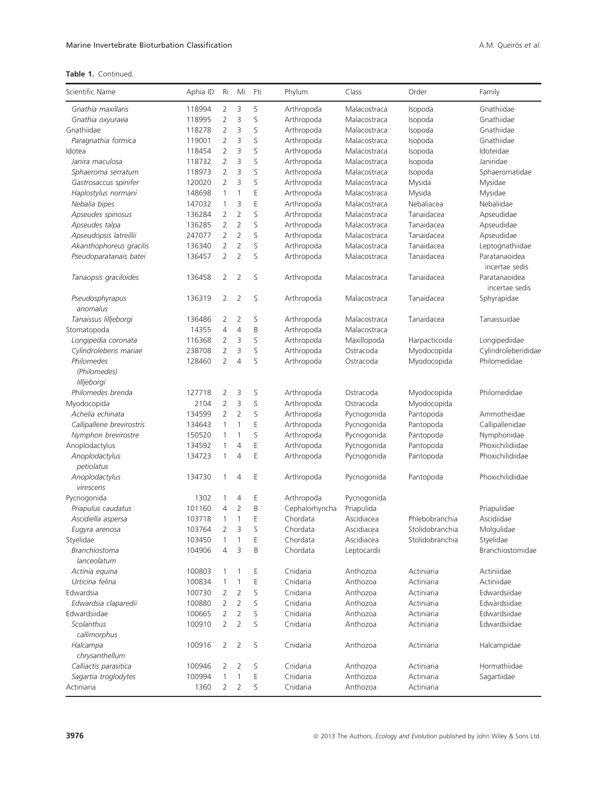| Scientific Name                           | Aphia ID | Ri             | Mi             | Fti | Phylum         | Class        | Order           | Family                          |
|-------------------------------------------|----------|----------------|----------------|-----|----------------|--------------|-----------------|---------------------------------|
| Gnathia maxillaris                        | 118994   | 2              | 3              | S   | Arthropoda     | Malacostraca | Isopoda         | Gnathiidae                      |
| Gnathia oxyuraea                          | 118995   | $\overline{2}$ | 3              | S   | Arthropoda     | Malacostraca | Isopoda         | Gnathiidae                      |
| Gnathiidae                                | 118278   | $\overline{2}$ | 3              | S   | Arthropoda     | Malacostraca | Isopoda         | Gnathiidae                      |
| Paragnathia formica                       | 119001   | $\overline{2}$ | 3              | S   | Arthropoda     | Malacostraca | Isopoda         | Gnathiidae                      |
| Idotea                                    | 118454   | $\overline{2}$ | 3              | S   | Arthropoda     | Malacostraca | Isopoda         | Idoteidae                       |
| Janira maculosa                           | 118732   | $\overline{2}$ | $\overline{3}$ | S   | Arthropoda     | Malacostraca | Isopoda         | Janiridae                       |
| Sphaeroma serratum                        | 118973   | $\overline{2}$ | 3              | S   | Arthropoda     | Malacostraca | Isopoda         | Sphaeromatidae                  |
| Gastrosaccus spinifer                     | 120020   | $\overline{2}$ | 3              | S   | Arthropoda     | Malacostraca | Mysida          | Mysidae                         |
| Haplostylus normani                       | 148698   | 1              | $\mathbf{1}$   | E   | Arthropoda     | Malacostraca | Mysida          | Mysidae                         |
| Nebalia bipes                             | 147032   | $\mathbf{1}$   | 3              | E   | Arthropoda     | Malacostraca | Nebaliacea      | Nebaliidae                      |
| Apseudes spinosus                         | 136284   | $\overline{2}$ | $\overline{2}$ | S   | Arthropoda     | Malacostraca | Tanaidacea      | Apseudidae                      |
| Apseudes talpa                            | 136285   | $\overline{2}$ | $\overline{2}$ | S   | Arthropoda     | Malacostraca | Tanaidacea      | Apseudidae                      |
| Apseudopsis latreillii                    | 247077   | $\overline{2}$ | $\overline{2}$ | S   | Arthropoda     | Malacostraca | Tanaidacea      | Apseudidae                      |
| Akanthophoreus gracilis                   | 136340   | $\overline{2}$ | $\overline{2}$ | S   | Arthropoda     | Malacostraca | Tanaidacea      | Leptognathiidae                 |
| Pseudoparatanais batei                    | 136457   | $\overline{2}$ | $\overline{2}$ | S   | Arthropoda     | Malacostraca | Tanaidacea      | Paratanaoidea<br>incertae sedis |
| Tanaopsis graciloides                     | 136458   | $\overline{2}$ | $\overline{2}$ | S   | Arthropoda     | Malacostraca | Tanaidacea      | Paratanaoidea<br>incertae sedis |
| Pseudosphyrapus<br>anomalus               | 136319   | $\overline{2}$ | $\overline{2}$ | S   | Arthropoda     | Malacostraca | Tanaidacea      | Sphyrapidae                     |
| Tanaissus lilljeborgi                     | 136486   | 2              | $\overline{2}$ | S   | Arthropoda     | Malacostraca | Tanaidacea      | Tanaissuidae                    |
| Stomatopoda                               | 14355    | $\overline{4}$ | $\overline{4}$ | B   | Arthropoda     | Malacostraca |                 |                                 |
| Longipedia coronata                       | 116368   | 2              | 3              | S   | Arthropoda     | Maxillopoda  | Harpacticoida   | Longipediidae                   |
| Cylindroleberis mariae                    | 238708   | $\overline{2}$ | 3              | S   | Arthropoda     | Ostracoda    | Myodocopida     | Cylindroleberididae             |
| Philomedes<br>(Philomedes)<br>lilljeborgi | 128460   | $\overline{2}$ | $\overline{4}$ | S   | Arthropoda     | Ostracoda    | Myodocopida     | Philomedidae                    |
| Philomedes brenda                         | 127718   | 2              | 3              | S   | Arthropoda     | Ostracoda    | Myodocopida     | Philomedidae                    |
| Myodocopida                               | 2104     | $\overline{2}$ | 3              | S   | Arthropoda     | Ostracoda    | Myodocopida     |                                 |
| Achelia echinata                          | 134599   | $\overline{2}$ | $\overline{2}$ | S   | Arthropoda     | Pycnogonida  | Pantopoda       | Ammotheidae                     |
| Callipallene brevirostris                 | 134643   | 1              | $\mathbf{1}$   | E   | Arthropoda     | Pycnogonida  | Pantopoda       | Callipallenidae                 |
| Nymphon brevirostre                       | 150520   | 1              | 1              | S   | Arthropoda     | Pycnogonida  | Pantopoda       | Nymphonidae                     |
| Anoplodactylus                            | 134592   | 1              | $\overline{4}$ | Ε   | Arthropoda     | Pycnogonida  | Pantopoda       | Phoxichilidiidae                |
| Anoplodactylus<br>petiolatus              | 134723   | $\mathbf{1}$   | $\overline{4}$ | E   | Arthropoda     | Pycnogonida  | Pantopoda       | Phoxichilidiidae                |
| Anoplodactylus<br>virescens               | 134730   | 1              | $\overline{4}$ | E   | Arthropoda     | Pycnogonida  | Pantopoda       | Phoxichilidiidae                |
| Pycnogonida                               | 1302     | 1              | $\overline{4}$ | Ε   | Arthropoda     | Pycnogonida  |                 |                                 |
| Priapulus caudatus                        | 101160   | 4              | $\overline{2}$ | B   | Cephalorhyncha | Priapulida   |                 | Priapulidae                     |
| Ascidiella aspersa                        | 103718   | 1              | $\mathbf{1}$   | E   | Chordata       | Ascidiacea   | Phlebobranchia  | Ascidiidae                      |
| Eugyra arenosa                            | 103764   | $\overline{2}$ | 3              | S   | Chordata       | Ascidiacea   | Stolidobranchia | Molgulidae                      |
| Styelidae                                 | 103450   | 1              | $\mathbf{1}$   | Ε   | Chordata       | Ascidiacea   | Stolidobranchia | Styelidae                       |
| <b>Branchiostoma</b><br>lanceolatum       | 104906   | 4              | 3              | B   | Chordata       | Leptocardii  |                 | Branchiostomidae                |
| Actinia equina                            | 100803   | 1              | 1              | Ε   | Cnidaria       | Anthozoa     | Actiniaria      | Actiniidae                      |
| Urticina felina                           | 100834   | 1              | $\mathbf{1}$   | Ε   | Cnidaria       | Anthozoa     | Actiniaria      | Actiniidae                      |
| Edwardsia                                 | 100730   | 2              | 2              | S   | Cnidaria       | Anthozoa     | Actiniaria      | Edwardsiidae                    |
| Edwardsia claparedii                      | 100880   | $\overline{2}$ | $\overline{2}$ | S   | Cnidaria       | Anthozoa     | Actiniaria      | Edwardsiidae                    |
| Edwardsiidae                              | 100665   | $\overline{2}$ | $\overline{2}$ | S   | Cnidaria       | Anthozoa     | Actiniaria      | Edwardsiidae                    |
| Scolanthus                                | 100910   | $\overline{2}$ | $\overline{2}$ | S   | Cnidaria       | Anthozoa     | Actiniaria      | Edwardsiidae                    |
| callimorphus<br>Halcampa                  | 100916   | 2              | 2              | S   | Cnidaria       | Anthozoa     | Actiniaria      | Halcampidae                     |
| chrysanthellum                            |          |                |                |     |                |              |                 |                                 |
| Calliactis parasitica                     | 100946   | 2              | 2              | S   | Cnidaria       | Anthozoa     | Actiniaria      | Hormathiidae                    |
| Sagartia troglodytes                      | 100994   | 1              | $\mathbf{1}$   | Ε   | Cnidaria       | Anthozoa     | Actiniaria      | Sagartiidae                     |
| Actiniaria                                | 1360     | 2              | $\overline{2}$ | S   | Cnidaria       | Anthozoa     | Actiniaria      |                                 |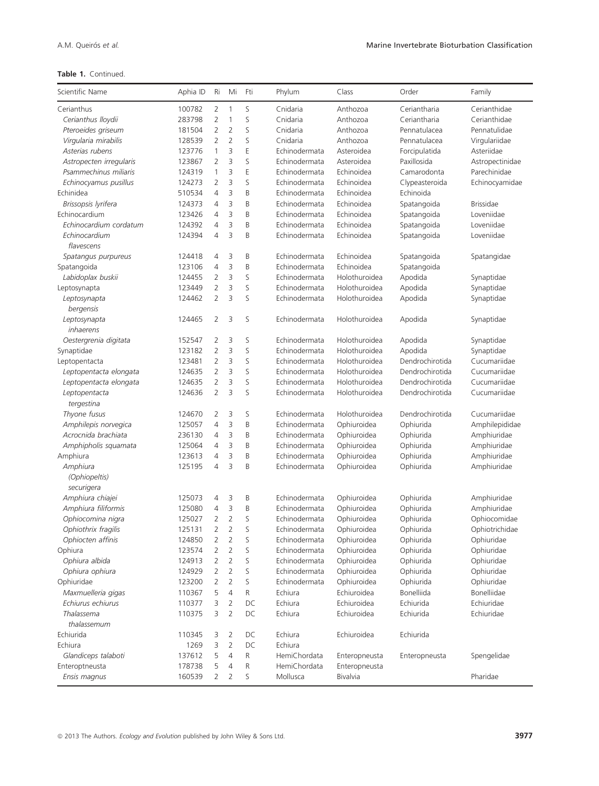| Scientific Name         | Aphia ID | Ri             | Mi             | Fti | Phylum        | Class           | Order           | Family           |
|-------------------------|----------|----------------|----------------|-----|---------------|-----------------|-----------------|------------------|
| Cerianthus              | 100782   | 2              | 1              | S   | Cnidaria      | Anthozoa        | Ceriantharia    | Cerianthidae     |
| Cerianthus lloydii      | 283798   | $\overline{2}$ | 1              | S   | Cnidaria      | Anthozoa        | Ceriantharia    | Cerianthidae     |
| Pteroeides griseum      | 181504   | $\overline{2}$ | $\overline{2}$ | S   | Cnidaria      | Anthozoa        | Pennatulacea    | Pennatulidae     |
| Virgularia mirabilis    | 128539   | $\overline{2}$ | $\overline{2}$ | S   | Cnidaria      | Anthozoa        | Pennatulacea    | Virgulariidae    |
| Asterias rubens         | 123776   | 1              | 3              | E   | Echinodermata | Asteroidea      | Forcipulatida   | Asteriidae       |
| Astropecten irregularis | 123867   | $\overline{2}$ | 3              | S   | Echinodermata | Asteroidea      | Paxillosida     | Astropectinidae  |
| Psammechinus miliaris   | 124319   | 1              | 3              | E   | Echinodermata | Echinoidea      | Camarodonta     | Parechinidae     |
| Echinocyamus pusillus   | 124273   | 2              | 3              | S   | Echinodermata | Echinoidea      | Clypeasteroida  | Echinocyamidae   |
| Echinidea               | 510534   | 4              | 3              | B   | Echinodermata | Echinoidea      | Echinoida       |                  |
| Brissopsis lyrifera     | 124373   | 4              | 3              | B   | Echinodermata | Echinoidea      | Spatangoida     | <b>Brissidae</b> |
| Echinocardium           | 123426   | 4              | 3              | B   | Echinodermata | Echinoidea      | Spatangoida     | Loveniidae       |
| Echinocardium cordatum  | 124392   | 4              | 3              | B   | Echinodermata | Echinoidea      | Spatangoida     | Loveniidae       |
| Echinocardium           | 124394   | $\overline{4}$ | 3              | B   | Echinodermata | Echinoidea      | Spatangoida     | Loveniidae       |
| flavescens              |          |                |                |     |               |                 |                 |                  |
| Spatangus purpureus     | 124418   | 4              | 3              | Β   | Echinodermata | Echinoidea      | Spatangoida     | Spatangidae      |
| Spatangoida             | 123106   | 4              | 3              | B   | Echinodermata | Echinoidea      | Spatangoida     |                  |
| Labidoplax buskii       | 124455   | $\overline{2}$ | 3              | S   | Echinodermata | Holothuroidea   | Apodida         | Synaptidae       |
| Leptosynapta            | 123449   | $\overline{2}$ | 3              | S   | Echinodermata | Holothuroidea   | Apodida         | Synaptidae       |
| Leptosynapta            | 124462   | $\overline{2}$ | 3              | S   | Echinodermata | Holothuroidea   | Apodida         | Synaptidae       |
|                         |          |                |                |     |               |                 |                 |                  |
| bergensis               | 124465   | $\overline{2}$ | 3              | S   | Echinodermata | Holothuroidea   | Apodida         |                  |
| Leptosynapta            |          |                |                |     |               |                 |                 | Synaptidae       |
| inhaerens               | 152547   |                |                |     |               |                 |                 |                  |
| Oestergrenia digitata   |          | 2              | 3              | S   | Echinodermata | Holothuroidea   | Apodida         | Synaptidae       |
| Synaptidae              | 123182   | $\overline{2}$ | 3              | S   | Echinodermata | Holothuroidea   | Apodida         | Synaptidae       |
| Leptopentacta           | 123481   | $\overline{2}$ | 3              | S   | Echinodermata | Holothuroidea   | Dendrochirotida | Cucumariidae     |
| Leptopentacta elongata  | 124635   | $\overline{2}$ | 3              | S   | Echinodermata | Holothuroidea   | Dendrochirotida | Cucumariidae     |
| Leptopentacta elongata  | 124635   | 2              | 3              | S   | Echinodermata | Holothuroidea   | Dendrochirotida | Cucumariidae     |
| Leptopentacta           | 124636   | $\overline{2}$ | 3              | S   | Echinodermata | Holothuroidea   | Dendrochirotida | Cucumariidae     |
| tergestina              |          |                |                |     |               |                 |                 |                  |
| Thyone fusus            | 124670   | 2              | 3              | S   | Echinodermata | Holothuroidea   | Dendrochirotida | Cucumariidae     |
| Amphilepis norvegica    | 125057   | 4              | 3              | B   | Echinodermata | Ophiuroidea     | Ophiurida       | Amphilepididae   |
| Acrocnida brachiata     | 236130   | 4              | 3              | B   | Echinodermata | Ophiuroidea     | Ophiurida       | Amphiuridae      |
| Amphipholis squamata    | 125064   | 4              | 3              | B   | Echinodermata | Ophiuroidea     | Ophiurida       | Amphiuridae      |
| Amphiura                | 123613   | 4              | 3              | B   | Echinodermata | Ophiuroidea     | Ophiurida       | Amphiuridae      |
| Amphiura                | 125195   | 4              | 3              | B   | Echinodermata | Ophiuroidea     | Ophiurida       | Amphiuridae      |
| (Ophiopeltis)           |          |                |                |     |               |                 |                 |                  |
| securigera              |          |                |                |     |               |                 |                 |                  |
| Amphiura chiajei        | 125073   | 4              | 3              | Β   | Echinodermata | Ophiuroidea     | Ophiurida       | Amphiuridae      |
| Amphiura filiformis     | 125080   | 4              | 3              | B   | Echinodermata | Ophiuroidea     | Ophiurida       | Amphiuridae      |
| Ophiocomina nigra       | 125027   | 2              | $\overline{2}$ | S   | Echinodermata | Ophiuroidea     | Ophiurida       | Ophiocomidae     |
| Ophiothrix fragilis     | 125131   | $\overline{2}$ | $\overline{2}$ | S   | Echinodermata | Ophiuroidea     | Ophiurida       | Ophiotrichidae   |
| Ophiocten affinis       | 124850   | 2              | 2              | S   | Echinodermata | Ophiuroidea     | Ophiurida       | Ophiuridae       |
| Ophiura                 | 123574   | 2              | $\overline{2}$ | S   | Echinodermata | Ophiuroidea     | Ophiurida       | Ophiuridae       |
| Ophiura albida          | 124913   | 2              | $\overline{2}$ | S   | Echinodermata | Ophiuroidea     | Ophiurida       | Ophiuridae       |
| Ophiura ophiura         | 124929   | $\overline{2}$ | $\overline{2}$ | S   | Echinodermata | Ophiuroidea     | Ophiurida       | Ophiuridae       |
| Ophiuridae              | 123200   | 2              | $\overline{2}$ | S   | Echinodermata | Ophiuroidea     | Ophiurida       | Ophiuridae       |
| Maxmuelleria gigas      | 110367   | 5              | $\overline{4}$ | R   | Echiura       | Echiuroidea     | Bonelliida      | Bonelliidae      |
| Echiurus echiurus       | 110377   | 3              | $\overline{2}$ | DC  | Echiura       | Echiuroidea     | Echiurida       | Echiuridae       |
| Thalassema              | 110375   | 3              | $\overline{2}$ | DC  | Echiura       | Echiuroidea     | Echiurida       | Echiuridae       |
| thalassemum             |          |                |                |     |               |                 |                 |                  |
| Echiurida               | 110345   | 3              | 2              | DC  | Echiura       | Echiuroidea     | Echiurida       |                  |
| Echiura                 | 1269     | 3              | $\overline{2}$ | DC  | Echiura       |                 |                 |                  |
| Glandiceps talaboti     | 137612   | 5              | $\overline{4}$ | R   | HemiChordata  | Enteropneusta   | Enteropneusta   | Spengelidae      |
| Enteroptneusta          | 178738   | 5              | 4              | R   | HemiChordata  | Enteropneusta   |                 |                  |
| Ensis magnus            | 160539   | $\overline{2}$ | 2              | S   | Mollusca      | <b>Bivalvia</b> |                 | Pharidae         |
|                         |          |                |                |     |               |                 |                 |                  |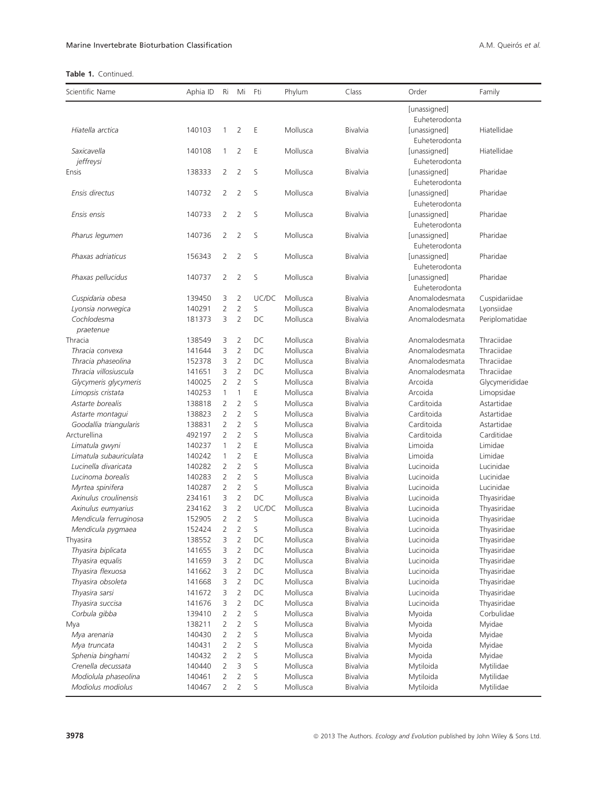| Scientific Name                             | Aphia ID         | Ri             | Mi                               | Fti     | Phylum               | Class                       | Order                         | Family                     |
|---------------------------------------------|------------------|----------------|----------------------------------|---------|----------------------|-----------------------------|-------------------------------|----------------------------|
|                                             |                  |                |                                  |         |                      |                             | [unassigned]                  |                            |
|                                             |                  |                |                                  |         |                      |                             | Euheterodonta                 |                            |
| Hiatella arctica                            | 140103           | 1              | $\overline{2}$                   | Ε       | Mollusca             | <b>Bivalvia</b>             | [unassigned]<br>Euheterodonta | Hiatellidae                |
| Saxicavella<br>jeffreysi                    | 140108           | 1              | $\overline{2}$                   | Ε       | Mollusca             | Bivalvia                    | [unassigned]<br>Euheterodonta | Hiatellidae                |
| Ensis                                       | 138333           | $\overline{2}$ | $\overline{2}$                   | S       | Mollusca             | Bivalvia                    | [unassigned]<br>Euheterodonta | Pharidae                   |
| Ensis directus                              | 140732           | 2              | $\overline{2}$                   | S       | Mollusca             | Bivalvia                    | [unassigned]<br>Euheterodonta | Pharidae                   |
| Ensis ensis                                 | 140733           | 2              | $\overline{2}$                   | S       | Mollusca             | Bivalvia                    | [unassigned]<br>Euheterodonta | Pharidae                   |
| Pharus legumen                              | 140736           | 2              | $\overline{2}$                   | S       | Mollusca             | Bivalvia                    | [unassigned]<br>Euheterodonta | Pharidae                   |
| Phaxas adriaticus                           | 156343           | $\overline{2}$ | $\overline{2}$                   | S       | Mollusca             | Bivalvia                    | [unassigned]<br>Euheterodonta | Pharidae                   |
| Phaxas pellucidus                           | 140737           | $\overline{2}$ | $\overline{2}$                   | S       | Mollusca             | <b>Bivalvia</b>             | [unassigned]<br>Euheterodonta | Pharidae                   |
| Cuspidaria obesa                            | 139450           | 3              | $\overline{2}$                   | UC/DC   | Mollusca             | <b>Bivalvia</b>             | Anomalodesmata                | Cuspidariidae              |
| Lyonsia norwegica                           | 140291           | $\overline{2}$ | $\overline{2}$                   | S       | Mollusca             | <b>Bivalvia</b>             | Anomalodesmata                | Lyonsiidae                 |
| Cochlodesma<br>praetenue                    | 181373           | 3              | $\overline{2}$                   | DC      | Mollusca             | <b>Bivalvia</b>             | Anomalodesmata                | Periplomatidae             |
| Thracia                                     | 138549           | 3              | $\overline{2}$                   | DC      | Mollusca             | <b>Bivalvia</b>             | Anomalodesmata                | Thraciidae                 |
| Thracia convexa                             | 141644           | 3              | $\overline{2}$                   | DC      | Mollusca             | <b>Bivalvia</b>             | Anomalodesmata                | Thraciidae                 |
| Thracia phaseolina                          | 152378           | 3              | $\overline{2}$                   | DC      | Mollusca             | <b>Bivalvia</b>             | Anomalodesmata                | Thraciidae                 |
| Thracia villosiuscula                       | 141651           | 3              | $\overline{2}$                   | DC      | Mollusca             | <b>Bivalvia</b>             | Anomalodesmata                | Thraciidae                 |
| Glycymeris glycymeris                       | 140025           | $\overline{2}$ | $\overline{2}$                   | S       | Mollusca             | <b>Bivalvia</b>             | Arcoida                       | Glycymerididae             |
| Limopsis cristata                           | 140253           | 1              | $\mathbf{1}$                     | Ε       | Mollusca             | <b>Bivalvia</b>             | Arcoida                       | Limopsidae                 |
| Astarte borealis                            | 138818           | 2              | $\overline{2}$                   | S       | Mollusca             | <b>Bivalvia</b>             | Carditoida                    | Astartidae                 |
| Astarte montaqui                            | 138823           | $\overline{2}$ | $\overline{2}$                   | S       | Mollusca             | <b>Bivalvia</b>             | Carditoida                    | Astartidae                 |
| Goodallia triangularis                      | 138831           | $\overline{2}$ | $\overline{2}$                   | S       | Mollusca             | <b>Bivalvia</b>             | Carditoida                    | Astartidae                 |
| Arcturellina                                | 492197           | 2              | $\overline{2}$                   | S       | Mollusca             | <b>Bivalvia</b>             | Carditoida                    | Carditidae                 |
| Limatula gwyni                              | 140237           | 1              | $\overline{2}$                   | E       | Mollusca             | <b>Bivalvia</b>             | Limoida                       | Limidae                    |
| Limatula subauriculata                      | 140242           | $\mathbf{1}$   | $\overline{2}$                   | E       | Mollusca             | <b>Bivalvia</b>             | Limoida                       | Limidae                    |
| Lucinella divaricata                        | 140282           | 2              | $\overline{2}$                   | S       | Mollusca             | <b>Bivalvia</b>             | Lucinoida                     | Lucinidae                  |
| Lucinoma borealis                           | 140283           | $\overline{2}$ | $\overline{2}$                   | S       | Mollusca             | <b>Bivalvia</b>             | Lucinoida                     | Lucinidae                  |
| Myrtea spinifera                            | 140287           | 2<br>3         | $\overline{2}$<br>$\overline{2}$ | S<br>DC | Mollusca<br>Mollusca | <b>Bivalvia</b><br>Bivalvia | Lucinoida                     | Lucinidae<br>Thyasiridae   |
| Axinulus croulinensis                       | 234161<br>234162 | 3              | $\overline{2}$                   | UC/DC   | Mollusca             | Bivalvia                    | Lucinoida<br>Lucinoida        |                            |
| Axinulus eumyarius<br>Mendicula ferruginosa | 152905           | 2              | $\overline{2}$                   | S       | Mollusca             | Bivalvia                    | Lucinoida                     | Thyasiridae<br>Thyasiridae |
| Mendicula pygmaea                           | 152424           | $\overline{2}$ | $\overline{2}$                   | S       | Mollusca             | Bivalvia                    | Lucinoida                     | Thyasiridae                |
| Thyasira                                    | 138552           | 3              | $\overline{2}$                   | DC      | Mollusca             | Bivalvia                    | Lucinoida                     | Thyasiridae                |
| Thyasira biplicata                          | 141655           | 3              | $\overline{2}$                   | DC      | Mollusca             | Bivalvia                    | Lucinoida                     | Thyasiridae                |
| Thyasira equalis                            | 141659           | 3              | 2                                | DC      | Mollusca             | Bivalvia                    | Lucinoida                     | Thyasiridae                |
| Thyasira flexuosa                           | 141662           | 3              | $\overline{2}$                   | DC      | Mollusca             | Bivalvia                    | Lucinoida                     | Thyasiridae                |
| Thyasira obsoleta                           | 141668           | 3              | $\overline{2}$                   | DC      | Mollusca             | Bivalvia                    | Lucinoida                     | Thyasiridae                |
| Thyasira sarsi                              | 141672           | 3              | $\overline{2}$                   | DC      | Mollusca             | Bivalvia                    | Lucinoida                     | Thyasiridae                |
| Thyasira succisa                            | 141676           | 3              | 2                                | DC      | Mollusca             | Bivalvia                    | Lucinoida                     | Thyasiridae                |
| Corbula gibba                               | 139410           | 2              | $\overline{2}$                   | S       | Mollusca             | Bivalvia                    | Myoida                        | Corbulidae                 |
| Mya                                         | 138211           | 2              | $\overline{2}$                   | S       | Mollusca             | <b>Bivalvia</b>             | Myoida                        | Myidae                     |
| Mya arenaria                                | 140430           | 2              | $\overline{2}$                   | S       | Mollusca             | Bivalvia                    | Myoida                        | Myidae                     |
| Mya truncata                                | 140431           | 2              | 2                                | S       | Mollusca             | Bivalvia                    | Myoida                        | Myidae                     |
| Sphenia binghami                            | 140432           | 2              | $\overline{2}$                   | S       | Mollusca             | Bivalvia                    | Myoida                        | Myidae                     |
| Crenella decussata                          | 140440           | 2              | 3                                | S       | Mollusca             | <b>Bivalvia</b>             | Mytiloida                     | Mytilidae                  |
| Modiolula phaseolina                        | 140461           | 2              | 2                                | S       | Mollusca             | Bivalvia                    | Mytiloida                     | Mytilidae                  |
| Modiolus modiolus                           | 140467           | 2              | 2                                | S       | Mollusca             | Bivalvia                    | Mytiloida                     | Mytilidae                  |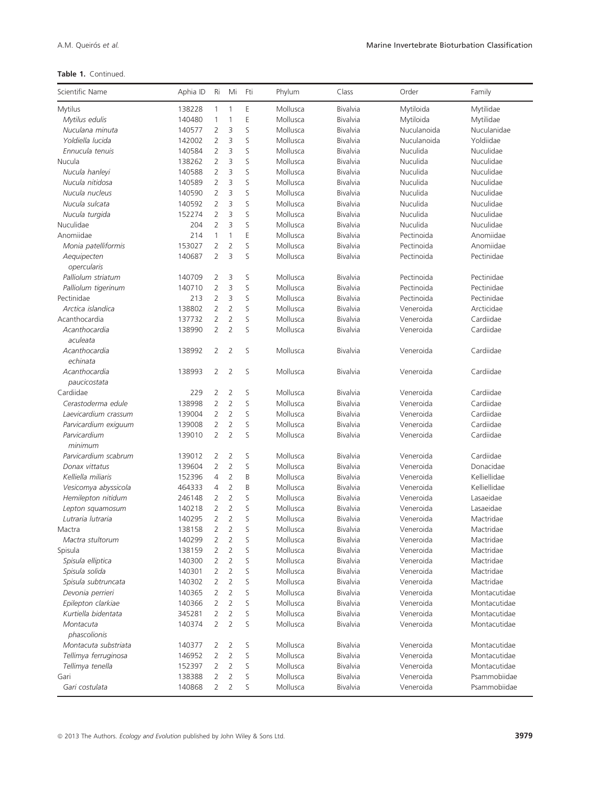| Scientific Name                            | Aphia ID         | Ri             | Mi             | Fti | Phylum   | Class           | Order                  | Family                 |
|--------------------------------------------|------------------|----------------|----------------|-----|----------|-----------------|------------------------|------------------------|
| Mytilus                                    | 138228           | 1              | 1              | Ε   | Mollusca | Bivalvia        | Mytiloida              | Mytilidae              |
| Mytilus edulis                             | 140480           | 1              | 1              | E   | Mollusca | Bivalvia        | Mytiloida              | Mytilidae              |
| Nuculana minuta                            | 140577           | $\overline{2}$ | 3              | S   | Mollusca | <b>Bivalvia</b> | Nuculanoida            | Nuculanidae            |
| Yoldiella lucida                           | 142002           | 2              | 3              | S   | Mollusca | <b>Bivalvia</b> | Nuculanoida            | Yoldiidae              |
| Ennucula tenuis                            | 140584           | $\overline{2}$ | 3              | S   | Mollusca | <b>Bivalvia</b> | Nuculida               | Nuculidae              |
| Nucula                                     | 138262           | $\overline{2}$ | 3              | S   | Mollusca | Bivalvia        | Nuculida               | Nuculidae              |
| Nucula hanleyi                             | 140588           | $\overline{2}$ | 3              | S   | Mollusca | <b>Bivalvia</b> | Nuculida               | Nuculidae              |
| Nucula nitidosa                            | 140589           | $\overline{2}$ | 3              | S   | Mollusca | <b>Bivalvia</b> | Nuculida               | Nuculidae              |
| Nucula nucleus                             | 140590           | 2              | 3              | S   | Mollusca | <b>Bivalvia</b> | Nuculida               | Nuculidae              |
| Nucula sulcata                             | 140592           | $\overline{2}$ | 3              | S   | Mollusca | <b>Bivalvia</b> | Nuculida               | Nuculidae              |
| Nucula turgida                             | 152274           | $\overline{2}$ | 3              | S   | Mollusca | <b>Bivalvia</b> | Nuculida               | Nuculidae              |
| Nuculidae                                  | 204              | $\overline{2}$ | 3              | S   | Mollusca | <b>Bivalvia</b> | Nuculida               | Nuculidae              |
| Anomiidae                                  | 214              | 1              | 1              | E   | Mollusca | <b>Bivalvia</b> | Pectinoida             | Anomiidae              |
| Monia patelliformis                        | 153027           | $\overline{2}$ | $\overline{2}$ | S   | Mollusca | <b>Bivalvia</b> | Pectinoida             | Anomiidae              |
| Aequipecten                                | 140687           | $\overline{2}$ | 3              | S   | Mollusca | <b>Bivalvia</b> | Pectinoida             | Pectinidae             |
| opercularis                                |                  |                |                |     |          |                 |                        |                        |
| Palliolum striatum                         | 140709           | $\overline{2}$ | 3              | S   | Mollusca | <b>Bivalvia</b> | Pectinoida             | Pectinidae             |
| Palliolum tigerinum                        | 140710           | $\overline{2}$ | 3              | S   | Mollusca | <b>Bivalvia</b> | Pectinoida             | Pectinidae             |
| Pectinidae                                 | 213              | $\overline{2}$ | 3              | S   | Mollusca | <b>Bivalvia</b> | Pectinoida             | Pectinidae             |
| Arctica islandica                          | 138802           | $\overline{2}$ | $\overline{2}$ | S   | Mollusca | <b>Bivalvia</b> | Veneroida              | Arcticidae             |
| Acanthocardia                              | 137732           | $\overline{2}$ | $\overline{2}$ | S   | Mollusca | <b>Bivalvia</b> | Veneroida              | Cardiidae              |
| Acanthocardia                              | 138990           | $\overline{2}$ | $\overline{2}$ | S   | Mollusca | <b>Bivalvia</b> | Veneroida              | Cardiidae              |
| aculeata                                   |                  |                |                |     |          |                 |                        |                        |
| Acanthocardia                              | 138992           | $\overline{2}$ | $\overline{2}$ | S   | Mollusca | Bivalvia        | Veneroida              | Cardiidae              |
| echinata                                   |                  |                |                |     |          |                 |                        |                        |
| Acanthocardia                              | 138993           | $\overline{2}$ | $\overline{2}$ | S   | Mollusca | <b>Bivalvia</b> | Veneroida              | Cardiidae              |
| paucicostata                               |                  |                |                |     |          |                 |                        |                        |
| Cardiidae                                  | 229              | 2              | $\overline{2}$ | S   | Mollusca | <b>Bivalvia</b> | Veneroida              | Cardiidae              |
| Cerastoderma edule                         | 138998           | $\overline{2}$ | $\overline{2}$ | S   | Mollusca | Bivalvia        | Veneroida              | Cardiidae              |
| Laevicardium crassum                       | 139004           | $\overline{2}$ | $\overline{2}$ | S   | Mollusca | <b>Bivalvia</b> | Veneroida              | Cardiidae              |
| Parvicardium exiguum                       | 139008           | $\overline{2}$ | $\overline{2}$ | S   | Mollusca | <b>Bivalvia</b> | Veneroida              | Cardiidae              |
| Parvicardium                               | 139010           | $\overline{2}$ | $\overline{2}$ | S   | Mollusca | <b>Bivalvia</b> | Veneroida              | Cardiidae              |
| minimum                                    |                  |                |                |     |          |                 |                        |                        |
| Parvicardium scabrum                       | 139012           | 2              | $\overline{2}$ | S   | Mollusca | <b>Bivalvia</b> | Veneroida              | Cardiidae              |
| Donax vittatus                             | 139604           | 2              | $\overline{2}$ | S   | Mollusca | <b>Bivalvia</b> | Veneroida              | Donacidae              |
| Kelliella miliaris                         | 152396           | 4              | $\overline{2}$ | B   | Mollusca | <b>Bivalvia</b> | Veneroida              | Kelliellidae           |
|                                            | 464333           | 4              | $\overline{2}$ | B   | Mollusca | <b>Bivalvia</b> | Veneroida              | Kelliellidae           |
| Vesicomya abyssicola<br>Hemilepton nitidum | 246148           | $\overline{2}$ | $\overline{2}$ | S   | Mollusca | Bivalvia        | Veneroida              | Lasaeidae              |
| Lepton squamosum                           | 140218           | $\overline{2}$ | $\overline{2}$ | S   | Mollusca | Bivalvia        | Veneroida              | Lasaeidae              |
| Lutraria lutraria                          |                  | $\overline{2}$ | $\overline{2}$ | S   | Mollusca | Bivalvia        | Veneroida              | Mactridae              |
|                                            | 140295<br>138158 | $\overline{2}$ | $\overline{2}$ | S   | Mollusca | Bivalvia        | Veneroida              |                        |
| Mactra                                     |                  |                | $\overline{2}$ |     |          |                 |                        | Mactridae<br>Mactridae |
| Mactra stultorum                           | 140299           | 2              |                | S   | Mollusca | <b>Bivalvia</b> | Veneroida<br>Veneroida |                        |
| Spisula                                    | 138159           | 2              | $\overline{2}$ | S   | Mollusca | Bivalvia        | Veneroida              | Mactridae<br>Mactridae |
| Spisula elliptica                          | 140300           | 2              | $\overline{2}$ | S   | Mollusca | <b>Bivalvia</b> |                        |                        |
| Spisula solida                             | 140301           | 2              | $\overline{2}$ | S   | Mollusca | <b>Bivalvia</b> | Veneroida              | Mactridae              |
| Spisula subtruncata                        | 140302           | $\overline{2}$ | $\overline{2}$ | S   | Mollusca | <b>Bivalvia</b> | Veneroida              | Mactridae              |
| Devonia perrieri                           | 140365           | 2              | $\overline{2}$ | S   | Mollusca | <b>Bivalvia</b> | Veneroida              | Montacutidae           |
| Epilepton clarkiae                         | 140366           | 2              | 2              | S   | Mollusca | <b>Bivalvia</b> | Veneroida              | Montacutidae           |
| Kurtiella bidentata                        | 345281           | 2              | $\overline{2}$ | S   | Mollusca | <b>Bivalvia</b> | Veneroida              | Montacutidae           |
| Montacuta                                  | 140374           | $\overline{2}$ | $\overline{2}$ | S   | Mollusca | <b>Bivalvia</b> | Veneroida              | Montacutidae           |
| phascolionis                               |                  |                |                |     |          |                 |                        |                        |
| Montacuta substriata                       | 140377           | 2              | 2              | S   | Mollusca | <b>Bivalvia</b> | Veneroida              | Montacutidae           |
| Tellimya ferruginosa                       | 146952           | 2              | $\overline{2}$ | S   | Mollusca | Bivalvia        | Veneroida              | Montacutidae           |
| Tellimya tenella                           | 152397           | 2              | $\overline{2}$ | S   | Mollusca | <b>Bivalvia</b> | Veneroida              | Montacutidae           |
| Gari                                       | 138388           | 2              | $\overline{2}$ | S   | Mollusca | <b>Bivalvia</b> | Veneroida              | Psammobiidae           |
| Gari costulata                             | 140868           | $\overline{2}$ | $\overline{2}$ | S   | Mollusca | <b>Bivalvia</b> | Veneroida              | Psammobiidae           |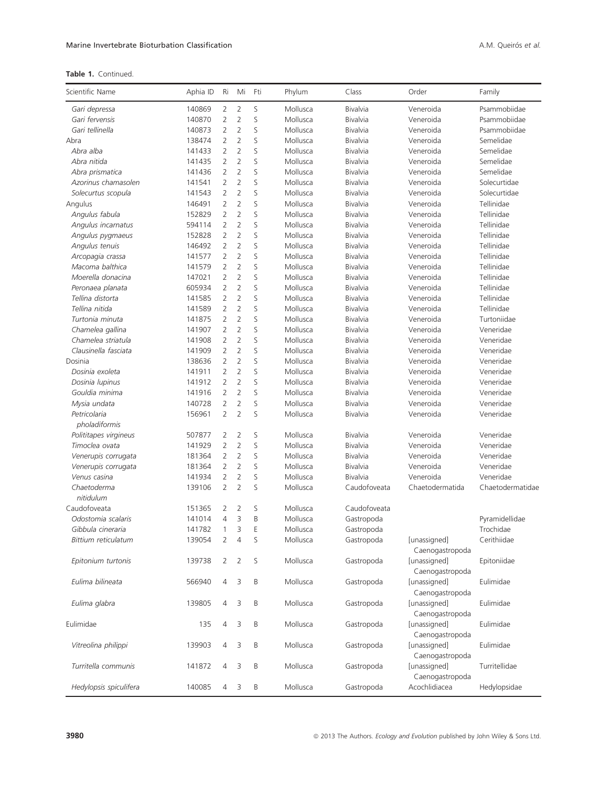| Scientific Name               | Aphia ID | Ri             | Mi             | Fti | Phylum   | Class           | Order                           | Family           |
|-------------------------------|----------|----------------|----------------|-----|----------|-----------------|---------------------------------|------------------|
| Gari depressa                 | 140869   | 2              | $\overline{2}$ | S   | Mollusca | Bivalvia        | Veneroida                       | Psammobiidae     |
| Gari fervensis                | 140870   | $\overline{2}$ | $\overline{2}$ | S   | Mollusca | Bivalvia        | Veneroida                       | Psammobiidae     |
| Gari tellinella               | 140873   | $\overline{2}$ | $\overline{2}$ | S   | Mollusca | Bivalvia        | Veneroida                       | Psammobiidae     |
| Abra                          | 138474   | 2              | $\overline{2}$ | S   | Mollusca | Bivalvia        | Veneroida                       | Semelidae        |
| Abra alba                     | 141433   | 2              | $\overline{2}$ | S   | Mollusca | Bivalvia        | Veneroida                       | Semelidae        |
| Abra nitida                   | 141435   | $\overline{2}$ | $\overline{2}$ | S   | Mollusca | Bivalvia        | Veneroida                       | Semelidae        |
| Abra prismatica               | 141436   | $\overline{2}$ | $\overline{2}$ | S   | Mollusca | Bivalvia        | Veneroida                       | Semelidae        |
| Azorinus chamasolen           | 141541   | $\overline{2}$ | $\overline{2}$ | S   | Mollusca | Bivalvia        | Veneroida                       | Solecurtidae     |
| Solecurtus scopula            | 141543   | 2              | $\overline{2}$ | S   | Mollusca | Bivalvia        | Veneroida                       | Solecurtidae     |
| Angulus                       | 146491   | $\overline{2}$ | $\overline{2}$ | S   | Mollusca | Bivalvia        | Veneroida                       | Tellinidae       |
| Angulus fabula                | 152829   | $\overline{2}$ | $\overline{2}$ | S   | Mollusca | Bivalvia        | Veneroida                       | Tellinidae       |
| Angulus incarnatus            | 594114   | 2              | $\overline{2}$ | S   | Mollusca | Bivalvia        | Veneroida                       | Tellinidae       |
| Angulus pygmaeus              | 152828   | 2              | $\overline{2}$ | S   | Mollusca | Bivalvia        | Veneroida                       | Tellinidae       |
| Angulus tenuis                | 146492   | $\overline{2}$ | $\overline{2}$ | S   | Mollusca | Bivalvia        | Veneroida                       | Tellinidae       |
| Arcopagia crassa              | 141577   | $\overline{2}$ | $\overline{2}$ | S   | Mollusca | Bivalvia        | Veneroida                       | Tellinidae       |
| Macoma balthica               | 141579   | $\overline{2}$ | $\overline{2}$ | S   | Mollusca | Bivalvia        | Veneroida                       | Tellinidae       |
| Moerella donacina             | 147021   | 2              | $\overline{2}$ | S   | Mollusca | Bivalvia        | Veneroida                       | Tellinidae       |
| Peronaea planata              | 605934   | $\overline{2}$ | $\overline{2}$ | S   | Mollusca | <b>Bivalvia</b> | Veneroida                       | Tellinidae       |
| Tellina distorta              | 141585   | $\overline{2}$ | $\overline{2}$ | S   | Mollusca | Bivalvia        | Veneroida                       | Tellinidae       |
| Tellina nitida                | 141589   | 2              | $\overline{2}$ | S   | Mollusca | <b>Bivalvia</b> | Veneroida                       | Tellinidae       |
| Turtonia minuta               | 141875   | $\overline{2}$ | $\overline{2}$ | S   | Mollusca | <b>Bivalvia</b> | Veneroida                       | Turtoniidae      |
| Chamelea gallina              | 141907   | $\overline{2}$ | $\overline{2}$ | S   | Mollusca | Bivalvia        | Veneroida                       | Veneridae        |
| Chamelea striatula            | 141908   | $\overline{2}$ | $\overline{2}$ | S   | Mollusca | Bivalvia        | Veneroida                       | Veneridae        |
| Clausinella fasciata          | 141909   | $\overline{2}$ | $\overline{2}$ | S   | Mollusca | Bivalvia        | Veneroida                       | Veneridae        |
| Dosinia                       | 138636   | $\overline{2}$ | $\overline{2}$ | S   | Mollusca | Bivalvia        | Veneroida                       | Veneridae        |
| Dosinia exoleta               | 141911   | $\overline{2}$ | $\overline{2}$ | S   | Mollusca | Bivalvia        | Veneroida                       | Veneridae        |
| Dosinia lupinus               | 141912   | $\overline{2}$ | $\overline{2}$ | S   | Mollusca | Bivalvia        | Veneroida                       | Veneridae        |
| Gouldia minima                | 141916   | 2              | $\overline{2}$ | S   | Mollusca | Bivalvia        | Veneroida                       | Veneridae        |
| Mysia undata                  | 140728   | $\overline{2}$ | $\overline{2}$ | S   | Mollusca | Bivalvia        | Veneroida                       | Veneridae        |
| Petricolaria<br>pholadiformis | 156961   | $\overline{2}$ | $\overline{2}$ | S   | Mollusca | Bivalvia        | Veneroida                       | Veneridae        |
| Polititapes virgineus         | 507877   | 2              | $\overline{2}$ | S   | Mollusca | Bivalvia        | Veneroida                       | Veneridae        |
| Timoclea ovata                | 141929   | 2              | $\overline{2}$ | S   | Mollusca | Bivalvia        | Veneroida                       | Veneridae        |
| Venerupis corrugata           | 181364   | $\overline{2}$ | $\overline{2}$ | S   | Mollusca | Bivalvia        | Veneroida                       | Veneridae        |
| Venerupis corrugata           | 181364   | $\overline{2}$ | $\overline{2}$ | S   | Mollusca | Bivalvia        | Veneroida                       | Veneridae        |
| Venus casina                  | 141934   | $\overline{2}$ | $\overline{2}$ | S   | Mollusca | Bivalvia        | Veneroida                       | Veneridae        |
| Chaetoderma                   | 139106   | $\overline{2}$ | $\overline{2}$ | S   | Mollusca | Caudofoveata    | Chaetodermatida                 | Chaetodermatidae |
| nitidulum                     |          |                |                |     |          |                 |                                 |                  |
| Caudofoveata                  | 151365   | 2              | $\overline{2}$ | S   | Mollusca | Caudofoveata    |                                 |                  |
| Odostomia scalaris            | 141014   | 4              | 3              | B   | Mollusca | Gastropoda      |                                 | Pyramidellidae   |
| Gibbula cineraria             | 141782   | 1              | 3              | E   | Mollusca | Gastropoda      |                                 | Trochidae        |
| Bittium reticulatum           | 139054   | 2              | 4              | S   | Mollusca | Gastropoda      | [unassigned]<br>Caenogastropoda | Cerithiidae      |
| Epitonium turtonis            | 139738   | 2              | $\overline{2}$ | S   | Mollusca | Gastropoda      | [unassigned]<br>Caenogastropoda | Epitoniidae      |
| Eulima bilineata              | 566940   | 4              | 3              | B   | Mollusca | Gastropoda      | [unassigned]<br>Caenogastropoda | Eulimidae        |
| Eulima glabra                 | 139805   | 4              | 3              | B   | Mollusca | Gastropoda      | [unassigned]<br>Caenogastropoda | Eulimidae        |
| Eulimidae                     | 135      | 4              | 3              | B   | Mollusca | Gastropoda      | [unassigned]<br>Caenogastropoda | Eulimidae        |
| Vitreolina philippi           | 139903   | 4              | 3              | B   | Mollusca | Gastropoda      | [unassigned]<br>Caenogastropoda | Eulimidae        |
| Turritella communis           | 141872   | 4              | 3              | B   | Mollusca | Gastropoda      | [unassigned]<br>Caenogastropoda | Turritellidae    |
| Hedylopsis spiculifera        | 140085   | 4              | 3              | B   | Mollusca | Gastropoda      | Acochlidiacea                   | Hedylopsidae     |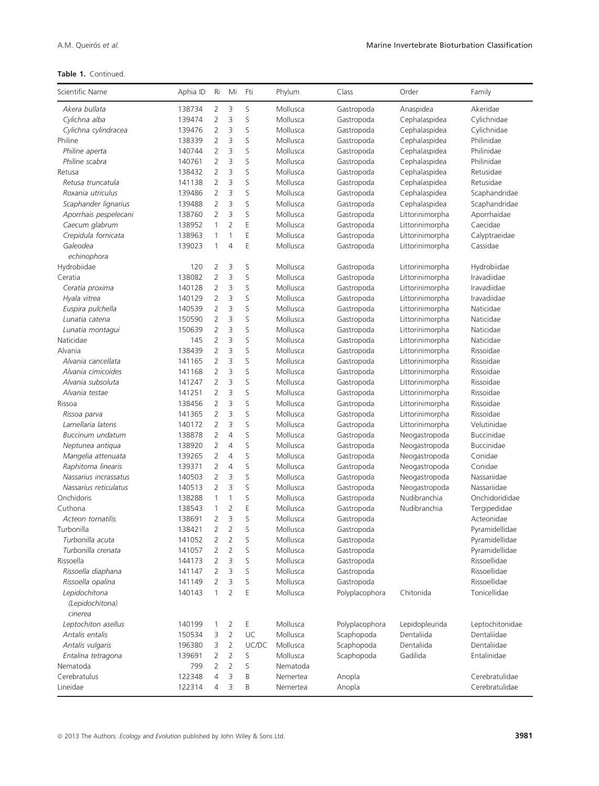| Scientific Name                             | Aphia ID | Ri             | Mi             | Fti   | Phylum   | Class          | Order           | Family          |
|---------------------------------------------|----------|----------------|----------------|-------|----------|----------------|-----------------|-----------------|
| Akera bullata                               | 138734   | $\overline{2}$ | 3              | S     | Mollusca | Gastropoda     | Anaspidea       | Akeridae        |
| Cylichna alba                               | 139474   | $\overline{2}$ | 3              | S     | Mollusca | Gastropoda     | Cephalaspidea   | Cylichnidae     |
| Cylichna cylindracea                        | 139476   | $\overline{2}$ | 3              | S     | Mollusca | Gastropoda     | Cephalaspidea   | Cylichnidae     |
| Philine                                     | 138339   | $\overline{2}$ | 3              | S     | Mollusca | Gastropoda     | Cephalaspidea   | Philinidae      |
| Philine aperta                              | 140744   | $\overline{2}$ | 3              | S     | Mollusca | Gastropoda     | Cephalaspidea   | Philinidae      |
| Philine scabra                              | 140761   | $\overline{2}$ | 3              | S     | Mollusca | Gastropoda     | Cephalaspidea   | Philinidae      |
| Retusa                                      | 138432   | $\overline{2}$ | $\overline{3}$ | S     | Mollusca | Gastropoda     | Cephalaspidea   | Retusidae       |
| Retusa truncatula                           | 141138   | $\overline{2}$ | 3              | S     | Mollusca | Gastropoda     | Cephalaspidea   | Retusidae       |
| Roxania utriculus                           | 139486   | $\overline{2}$ | 3              | S     | Mollusca | Gastropoda     | Cephalaspidea   | Scaphandridae   |
| Scaphander lignarius                        | 139488   | $\overline{2}$ | 3              | S     | Mollusca | Gastropoda     | Cephalaspidea   | Scaphandridae   |
| Aporrhais pespelecani                       | 138760   | $\overline{2}$ | 3              | S     | Mollusca | Gastropoda     | Littorinimorpha | Aporrhaidae     |
| Caecum glabrum                              | 138952   | 1              | $\overline{2}$ | E     | Mollusca | Gastropoda     | Littorinimorpha | Caecidae        |
| Crepidula fornicata                         | 138963   | $\mathbf{1}$   | $\mathbf{1}$   | E     | Mollusca | Gastropoda     | Littorinimorpha | Calyptraeidae   |
| Galeodea                                    | 139023   | $\mathbf{1}$   | $\overline{4}$ | E     | Mollusca | Gastropoda     | Littorinimorpha | Cassidae        |
| echinophora                                 |          |                |                |       |          |                |                 |                 |
| Hydrobiidae                                 | 120      | $\overline{2}$ | 3              | S     | Mollusca | Gastropoda     | Littorinimorpha | Hydrobiidae     |
| Ceratia                                     | 138082   | $\overline{2}$ | 3              | S     | Mollusca | Gastropoda     | Littorinimorpha | Iravadiidae     |
| Ceratia proxima                             | 140128   | $\overline{2}$ | 3              | S     | Mollusca | Gastropoda     | Littorinimorpha | Iravadiidae     |
| Hyala vitrea                                | 140129   | $\overline{2}$ | 3              | S     | Mollusca | Gastropoda     | Littorinimorpha | Iravadiidae     |
| Euspira pulchella                           | 140539   | $\overline{2}$ | 3              | S     | Mollusca | Gastropoda     | Littorinimorpha | Naticidae       |
| Lunatia catena                              | 150590   | $\overline{2}$ | 3              | S     | Mollusca | Gastropoda     | Littorinimorpha | Naticidae       |
| Lunatia montaqui                            | 150639   | $\overline{2}$ | 3              | S     | Mollusca | Gastropoda     | Littorinimorpha | Naticidae       |
| Naticidae                                   | 145      | $\overline{2}$ | 3              | S     | Mollusca | Gastropoda     | Littorinimorpha | Naticidae       |
| Alvania                                     | 138439   | $\overline{2}$ | 3              | S     | Mollusca | Gastropoda     | Littorinimorpha | Rissoidae       |
| Alvania cancellata                          | 141165   | $\overline{2}$ | 3              | S     | Mollusca | Gastropoda     | Littorinimorpha | Rissoidae       |
| Alvania cimicoides                          | 141168   | $\overline{2}$ | 3              | S     | Mollusca | Gastropoda     | Littorinimorpha | Rissoidae       |
| Alvania subsoluta                           | 141247   | $\overline{2}$ | 3              | S     | Mollusca | Gastropoda     | Littorinimorpha | Rissoidae       |
| Alvania testae                              | 141251   | $\overline{2}$ | 3              | S     | Mollusca | Gastropoda     | Littorinimorpha | Rissoidae       |
| Rissoa                                      | 138456   | $\overline{2}$ | 3              | S     | Mollusca | Gastropoda     | Littorinimorpha | Rissoidae       |
| Rissoa parva                                | 141365   | $\overline{2}$ | $\overline{3}$ | S     | Mollusca | Gastropoda     | Littorinimorpha | Rissoidae       |
| Lamellaria latens                           | 140172   | $\overline{2}$ | 3              | S     | Mollusca | Gastropoda     | Littorinimorpha | Velutinidae     |
| Buccinum undatum                            | 138878   | 2              | $\overline{4}$ | S     | Mollusca | Gastropoda     | Neogastropoda   | Buccinidae      |
| Neptunea antiqua                            | 138920   | $\overline{2}$ | $\overline{4}$ | S     | Mollusca | Gastropoda     | Neogastropoda   | Buccinidae      |
| Mangelia attenuata                          | 139265   | $\overline{2}$ | $\overline{4}$ | S     | Mollusca | Gastropoda     | Neogastropoda   | Conidae         |
| Raphitoma linearis                          | 139371   | $\overline{2}$ | $\overline{4}$ | S     | Mollusca | Gastropoda     | Neogastropoda   | Conidae         |
| Nassarius incrassatus                       | 140503   | $\overline{2}$ | 3              | S     | Mollusca | Gastropoda     | Neogastropoda   | Nassariidae     |
| Nassarius reticulatus                       | 140513   | $\overline{2}$ | 3              | S     | Mollusca | Gastropoda     | Neogastropoda   | Nassariidae     |
| Onchidoris                                  | 138288   | $\mathbf{1}$   | $\mathbf{1}$   | S     | Mollusca | Gastropoda     | Nudibranchia    | Onchidorididae  |
| Cuthona                                     | 138543   | 1              | $\overline{2}$ | E     | Mollusca | Gastropoda     | Nudibranchia    | Tergipedidae    |
| Acteon tornatilis                           | 138691   | $\overline{2}$ | 3              | S     | Mollusca | Gastropoda     |                 | Acteonidae      |
| Turbonilla                                  | 138421   | $\overline{2}$ | $\overline{2}$ | S     | Mollusca | Gastropoda     |                 | Pyramidellidae  |
| Turbonilla acuta                            | 141052   | 2              | $\overline{2}$ | S     | Mollusca | Gastropoda     |                 | Pyramidellidae  |
| Turbonilla crenata                          | 141057   | 2              | $\overline{2}$ | S     | Mollusca | Gastropoda     |                 | Pyramidellidae  |
| Rissoella                                   | 144173   | 2              | 3              | S     | Mollusca | Gastropoda     |                 | Rissoellidae    |
| Rissoella diaphana                          | 141147   | 2              | 3              | S     | Mollusca | Gastropoda     |                 | Rissoellidae    |
| Rissoella opalina                           | 141149   | $\overline{2}$ | 3              | S     | Mollusca | Gastropoda     |                 | Rissoellidae    |
| Lepidochitona<br>(Lepidochitona)<br>cinerea | 140143   | $\mathbf{1}$   | $\overline{2}$ | E     | Mollusca | Polyplacophora | Chitonida       | Tonicellidae    |
| Leptochiton asellus                         | 140199   | 1              | 2              | E     | Mollusca | Polyplacophora | Lepidopleurida  | Leptochitonidae |
| Antalis entalis                             | 150534   | 3              | $\overline{2}$ | UC    | Mollusca | Scaphopoda     | Dentaliida      | Dentaliidae     |
| Antalis vulgaris                            | 196380   | 3              | $\overline{2}$ | UC/DC | Mollusca | Scaphopoda     | Dentaliida      | Dentaliidae     |
| Entalina tetragona                          | 139691   | 2              | $\overline{2}$ | S     | Mollusca | Scaphopoda     | Gadilida        | Entalinidae     |
| Nematoda                                    | 799      | $\overline{2}$ | $\overline{2}$ | S     | Nematoda |                |                 |                 |
| Cerebratulus                                | 122348   | 4              | 3              | Β     | Nemertea | Anopla         |                 | Cerebratulidae  |
| Lineidae                                    | 122314   | 4              | 3              | B     | Nemertea | Anopla         |                 | Cerebratulidae  |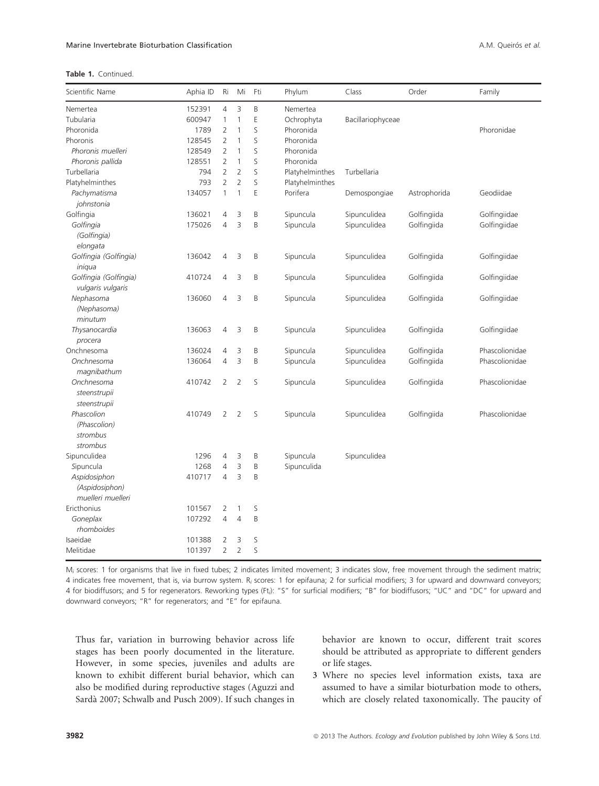| Scientific Name                                     | Aphia ID | Ri             | Mi             | Fti | Phylum          | Class             | Order        | Family         |
|-----------------------------------------------------|----------|----------------|----------------|-----|-----------------|-------------------|--------------|----------------|
| Nemertea                                            | 152391   | 4              | 3              | B   | Nemertea        |                   |              |                |
| Tubularia                                           | 600947   | 1              | $\mathbf{1}$   | E   | Ochrophyta      | Bacillariophyceae |              |                |
| Phoronida                                           | 1789     | $\overline{2}$ | $\mathbf{1}$   | S   | Phoronida       |                   |              | Phoronidae     |
| Phoronis                                            | 128545   | $\overline{2}$ | 1              | S   | Phoronida       |                   |              |                |
| Phoronis muelleri                                   | 128549   | $\overline{2}$ | $\mathbf{1}$   | S   | Phoronida       |                   |              |                |
| Phoronis pallida                                    | 128551   | $\overline{2}$ | $\mathbf{1}$   | S   | Phoronida       |                   |              |                |
| Turbellaria                                         | 794      | 2              | $\overline{2}$ | S   | Platyhelminthes | Turbellaria       |              |                |
| Platyhelminthes                                     | 793      | $\overline{2}$ | $\overline{2}$ | S   | Platyhelminthes |                   |              |                |
| Pachymatisma<br>johnstonia                          | 134057   | $\mathbf{1}$   | $\mathbf{1}$   | E   | Porifera        | Demospongiae      | Astrophorida | Geodiidae      |
| Golfingia                                           | 136021   | 4              | 3              | B   | Sipuncula       | Sipunculidea      | Golfingiida  | Golfingiidae   |
| Golfingia<br>(Golfingia)<br>elongata                | 175026   | $\overline{4}$ | 3              | B   | Sipuncula       | Sipunculidea      | Golfingiida  | Golfingiidae   |
| Golfingia (Golfingia)<br>iniqua                     | 136042   | 4              | 3              | B   | Sipuncula       | Sipunculidea      | Golfingiida  | Golfingiidae   |
| Golfingia (Golfingia)<br>vulgaris vulgaris          | 410724   | 4              | 3              | B   | Sipuncula       | Sipunculidea      | Golfingiida  | Golfingiidae   |
| Nephasoma<br>(Nephasoma)<br>minutum                 | 136060   | 4              | 3              | B   | Sipuncula       | Sipunculidea      | Golfingiida  | Golfingiidae   |
| Thysanocardia<br>procera                            | 136063   | $\overline{4}$ | 3              | B   | Sipuncula       | Sipunculidea      | Golfingiida  | Golfingiidae   |
| Onchnesoma                                          | 136024   | 4              | 3              | B   | Sipuncula       | Sipunculidea      | Golfingiida  | Phascolionidae |
| Onchnesoma                                          | 136064   | 4              | 3              | B   | Sipuncula       | Sipunculidea      | Golfingiida  | Phascolionidae |
| magnibathum                                         |          |                |                |     |                 |                   |              |                |
| Onchnesoma<br>steenstrupii<br>steenstrupii          | 410742   | 2              | $\overline{2}$ | S   | Sipuncula       | Sipunculidea      | Golfingiida  | Phascolionidae |
| Phascolion<br>(Phascolion)<br>strombus<br>strombus  | 410749   | $\overline{2}$ | $\overline{2}$ | S   | Sipuncula       | Sipunculidea      | Golfingiida  | Phascolionidae |
| Sipunculidea                                        | 1296     | 4              | 3              | B   | Sipuncula       | Sipunculidea      |              |                |
| Sipuncula                                           | 1268     | 4              | 3              | B   | Sipunculida     |                   |              |                |
| Aspidosiphon<br>(Aspidosiphon)<br>muelleri muelleri | 410717   | $\overline{4}$ | 3              | B   |                 |                   |              |                |
| Ericthonius                                         | 101567   | 2              | 1              | S   |                 |                   |              |                |
| Goneplax<br>rhomboides                              | 107292   | 4              | 4              | B   |                 |                   |              |                |
| Isaeidae                                            | 101388   | 2              | 3              | S   |                 |                   |              |                |
| Melitidae                                           | 101397   | $\overline{2}$ | $\overline{2}$ | S   |                 |                   |              |                |

M<sub>i</sub> scores: 1 for organisms that live in fixed tubes; 2 indicates limited movement; 3 indicates slow, free movement through the sediment matrix; 4 indicates free movement, that is, via burrow system. R<sub>i</sub> scores: 1 for epifauna; 2 for surficial modifiers; 3 for upward and downward conveyors; 4 for biodiffusors; and 5 for regenerators. Reworking types (Ft<sub>i</sub>): "S" for surficial modifiers; "B" for biodiffusors; "UC" and "DC" for upward and downward conveyors; "R" for regenerators; and "E" for epifauna.

Thus far, variation in burrowing behavior across life stages has been poorly documented in the literature. However, in some species, juveniles and adults are known to exhibit different burial behavior, which can also be modified during reproductive stages (Aguzzi and Sarda 2007; Schwalb and Pusch 2009). If such changes in behavior are known to occur, different trait scores should be attributed as appropriate to different genders or life stages.

3 Where no species level information exists, taxa are assumed to have a similar bioturbation mode to others, which are closely related taxonomically. The paucity of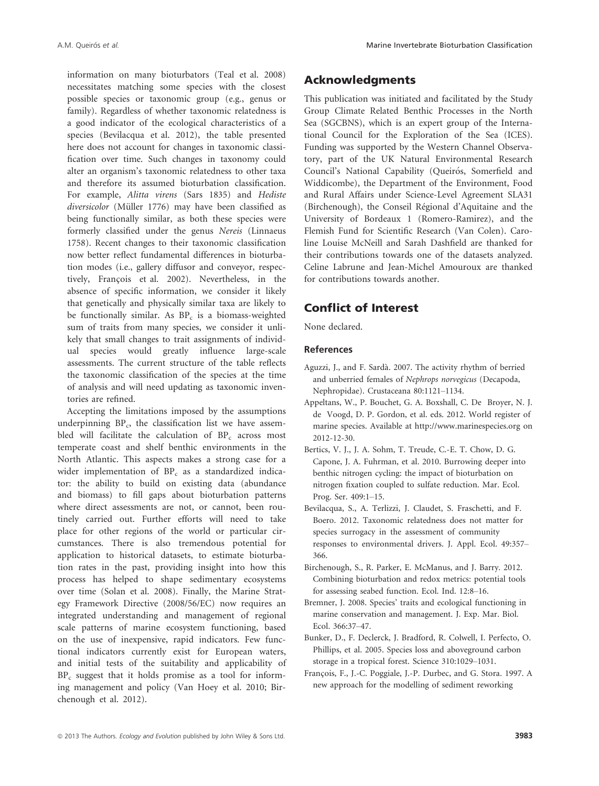information on many bioturbators (Teal et al. 2008) necessitates matching some species with the closest possible species or taxonomic group (e.g., genus or family). Regardless of whether taxonomic relatedness is a good indicator of the ecological characteristics of a species (Bevilacqua et al. 2012), the table presented here does not account for changes in taxonomic classification over time. Such changes in taxonomy could alter an organism's taxonomic relatedness to other taxa and therefore its assumed bioturbation classification. For example, Alitta virens (Sars 1835) and Hediste diversicolor (Müller 1776) may have been classified as being functionally similar, as both these species were formerly classified under the genus Nereis (Linnaeus 1758). Recent changes to their taxonomic classification now better reflect fundamental differences in bioturbation modes (i.e., gallery diffusor and conveyor, respectively, François et al. 2002). Nevertheless, in the absence of specific information, we consider it likely that genetically and physically similar taxa are likely to be functionally similar. As  $BP_c$  is a biomass-weighted sum of traits from many species, we consider it unlikely that small changes to trait assignments of individual species would greatly influence large-scale assessments. The current structure of the table reflects the taxonomic classification of the species at the time of analysis and will need updating as taxonomic inventories are refined.

Accepting the limitations imposed by the assumptions underpinning  $BP_c$ , the classification list we have assembled will facilitate the calculation of  $BP<sub>c</sub>$  across most temperate coast and shelf benthic environments in the North Atlantic. This aspects makes a strong case for a wider implementation of  $BP_c$  as a standardized indicator: the ability to build on existing data (abundance and biomass) to fill gaps about bioturbation patterns where direct assessments are not, or cannot, been routinely carried out. Further efforts will need to take place for other regions of the world or particular circumstances. There is also tremendous potential for application to historical datasets, to estimate bioturbation rates in the past, providing insight into how this process has helped to shape sedimentary ecosystems over time (Solan et al. 2008). Finally, the Marine Strategy Framework Directive (2008/56/EC) now requires an integrated understanding and management of regional scale patterns of marine ecosystem functioning, based on the use of inexpensive, rapid indicators. Few functional indicators currently exist for European waters, and initial tests of the suitability and applicability of  $BP_c$  suggest that it holds promise as a tool for informing management and policy (Van Hoey et al. 2010; Birchenough et al. 2012).

## Acknowledgments

This publication was initiated and facilitated by the Study Group Climate Related Benthic Processes in the North Sea (SGCBNS), which is an expert group of the International Council for the Exploration of the Sea (ICES). Funding was supported by the Western Channel Observatory, part of the UK Natural Environmental Research Council's National Capability (Queirós, Somerfield and Widdicombe), the Department of the Environment, Food and Rural Affairs under Science-Level Agreement SLA31 (Birchenough), the Conseil Regional d'Aquitaine and the University of Bordeaux 1 (Romero-Ramirez), and the Flemish Fund for Scientific Research (Van Colen). Caroline Louise McNeill and Sarah Dashfield are thanked for their contributions towards one of the datasets analyzed. Celine Labrune and Jean-Michel Amouroux are thanked for contributions towards another.

## Conflict of Interest

None declared.

## References

- Aguzzi, J., and F. Sarda. 2007. The activity rhythm of berried and unberried females of Nephrops norvegicus (Decapoda, Nephropidae). Crustaceana 80:1121–1134.
- Appeltans, W., P. Bouchet, G. A. Boxshall, C. De Broyer, N. J. de Voogd, D. P. Gordon, et al. eds. 2012. World register of marine species. Available at http://www.marinespecies.org on 2012-12-30.
- Bertics, V. J., J. A. Sohm, T. Treude, C.-E. T. Chow, D. G. Capone, J. A. Fuhrman, et al. 2010. Burrowing deeper into benthic nitrogen cycling: the impact of bioturbation on nitrogen fixation coupled to sulfate reduction. Mar. Ecol. Prog. Ser. 409:1–15.
- Bevilacqua, S., A. Terlizzi, J. Claudet, S. Fraschetti, and F. Boero. 2012. Taxonomic relatedness does not matter for species surrogacy in the assessment of community responses to environmental drivers. J. Appl. Ecol. 49:357– 366.
- Birchenough, S., R. Parker, E. McManus, and J. Barry. 2012. Combining bioturbation and redox metrics: potential tools for assessing seabed function. Ecol. Ind. 12:8–16.
- Bremner, J. 2008. Species' traits and ecological functioning in marine conservation and management. J. Exp. Mar. Biol. Ecol. 366:37–47.
- Bunker, D., F. Declerck, J. Bradford, R. Colwell, I. Perfecto, O. Phillips, et al. 2005. Species loss and aboveground carbon storage in a tropical forest. Science 310:1029–1031.
- Francois, F., J.-C. Poggiale, J.-P. Durbec, and G. Stora. 1997. A new approach for the modelling of sediment reworking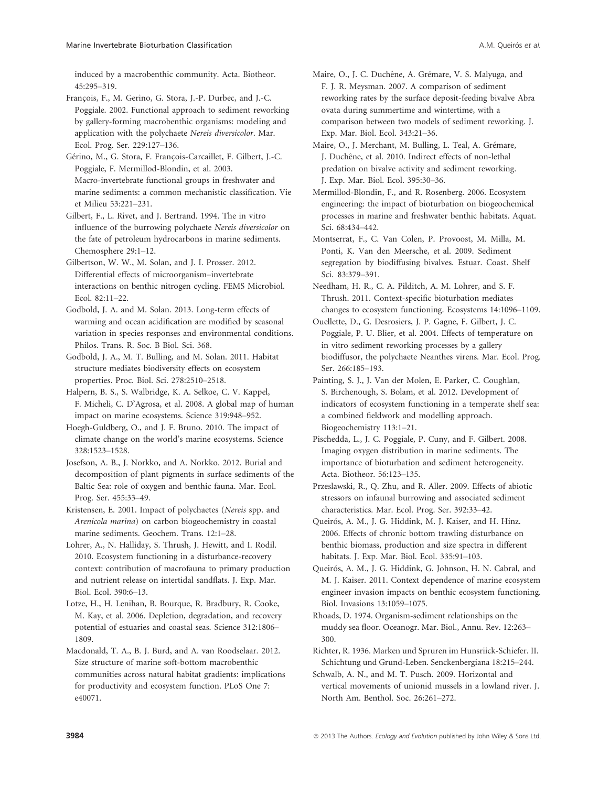induced by a macrobenthic community. Acta. Biotheor. 45:295–319.

Francois, F., M. Gerino, G. Stora, J.-P. Durbec, and J.-C. Poggiale. 2002. Functional approach to sediment reworking by gallery-forming macrobenthic organisms: modeling and application with the polychaete Nereis diversicolor. Mar. Ecol. Prog. Ser. 229:127–136.

Gerino, M., G. Stora, F. Francois-Carcaillet, F. Gilbert, J.-C. Poggiale, F. Mermillod-Blondin, et al. 2003. Macro-invertebrate functional groups in freshwater and marine sediments: a common mechanistic classification. Vie et Milieu 53:221–231.

Gilbert, F., L. Rivet, and J. Bertrand. 1994. The in vitro influence of the burrowing polychaete Nereis diversicolor on the fate of petroleum hydrocarbons in marine sediments. Chemosphere 29:1–12.

Gilbertson, W. W., M. Solan, and J. I. Prosser. 2012. Differential effects of microorganism–invertebrate interactions on benthic nitrogen cycling. FEMS Microbiol. Ecol. 82:11–22.

Godbold, J. A. and M. Solan. 2013. Long-term effects of warming and ocean acidification are modified by seasonal variation in species responses and environmental conditions. Philos. Trans. R. Soc. B Biol. Sci. 368.

Godbold, J. A., M. T. Bulling, and M. Solan. 2011. Habitat structure mediates biodiversity effects on ecosystem properties. Proc. Biol. Sci. 278:2510–2518.

Halpern, B. S., S. Walbridge, K. A. Selkoe, C. V. Kappel, F. Micheli, C. D'Agrosa, et al. 2008. A global map of human impact on marine ecosystems. Science 319:948–952.

Hoegh-Guldberg, O., and J. F. Bruno. 2010. The impact of climate change on the world's marine ecosystems. Science 328:1523–1528.

Josefson, A. B., J. Norkko, and A. Norkko. 2012. Burial and decomposition of plant pigments in surface sediments of the Baltic Sea: role of oxygen and benthic fauna. Mar. Ecol. Prog. Ser. 455:33–49.

Kristensen, E. 2001. Impact of polychaetes (Nereis spp. and Arenicola marina) on carbon biogeochemistry in coastal marine sediments. Geochem. Trans. 12:1–28.

Lohrer, A., N. Halliday, S. Thrush, J. Hewitt, and I. Rodil. 2010. Ecosystem functioning in a disturbance-recovery context: contribution of macrofauna to primary production and nutrient release on intertidal sandflats. J. Exp. Mar. Biol. Ecol. 390:6–13.

Lotze, H., H. Lenihan, B. Bourque, R. Bradbury, R. Cooke, M. Kay, et al. 2006. Depletion, degradation, and recovery potential of estuaries and coastal seas. Science 312:1806– 1809.

Macdonald, T. A., B. J. Burd, and A. van Roodselaar. 2012. Size structure of marine soft-bottom macrobenthic communities across natural habitat gradients: implications for productivity and ecosystem function. PLoS One 7: e40071.

Maire, O., J. C. Duchêne, A. Grémare, V. S. Malyuga, and F. J. R. Meysman. 2007. A comparison of sediment reworking rates by the surface deposit-feeding bivalve Abra ovata during summertime and wintertime, with a comparison between two models of sediment reworking. J. Exp. Mar. Biol. Ecol. 343:21–36.

Maire, O., J. Merchant, M. Bulling, L. Teal, A. Grémare, J. Duchêne, et al. 2010. Indirect effects of non-lethal predation on bivalve activity and sediment reworking. J. Exp. Mar. Biol. Ecol. 395:30–36.

Mermillod-Blondin, F., and R. Rosenberg. 2006. Ecosystem engineering: the impact of bioturbation on biogeochemical processes in marine and freshwater benthic habitats. Aquat. Sci. 68:434–442.

Montserrat, F., C. Van Colen, P. Provoost, M. Milla, M. Ponti, K. Van den Meersche, et al. 2009. Sediment segregation by biodiffusing bivalves. Estuar. Coast. Shelf Sci. 83:379–391.

Needham, H. R., C. A. Pilditch, A. M. Lohrer, and S. F. Thrush. 2011. Context-specific bioturbation mediates changes to ecosystem functioning. Ecosystems 14:1096–1109.

Ouellette, D., G. Desrosiers, J. P. Gagne, F. Gilbert, J. C. Poggiale, P. U. Blier, et al. 2004. Effects of temperature on in vitro sediment reworking processes by a gallery biodiffusor, the polychaete Neanthes virens. Mar. Ecol. Prog. Ser. 266:185–193.

Painting, S. J., J. Van der Molen, E. Parker, C. Coughlan, S. Birchenough, S. Bolam, et al. 2012. Development of indicators of ecosystem functioning in a temperate shelf sea: a combined fieldwork and modelling approach. Biogeochemistry 113:1–21.

Pischedda, L., J. C. Poggiale, P. Cuny, and F. Gilbert. 2008. Imaging oxygen distribution in marine sediments. The importance of bioturbation and sediment heterogeneity. Acta. Biotheor. 56:123–135.

Przeslawski, R., Q. Zhu, and R. Aller. 2009. Effects of abiotic stressors on infaunal burrowing and associated sediment characteristics. Mar. Ecol. Prog. Ser. 392:33–42.

Queirós, A. M., J. G. Hiddink, M. J. Kaiser, and H. Hinz. 2006. Effects of chronic bottom trawling disturbance on benthic biomass, production and size spectra in different habitats. J. Exp. Mar. Biol. Ecol. 335:91–103.

Queirós, A. M., J. G. Hiddink, G. Johnson, H. N. Cabral, and M. J. Kaiser. 2011. Context dependence of marine ecosystem engineer invasion impacts on benthic ecosystem functioning. Biol. Invasions 13:1059–1075.

Rhoads, D. 1974. Organism-sediment relationships on the muddy sea floor. Oceanogr. Mar. Biol., Annu. Rev. 12:263– 300.

Richter, R. 1936. Marken und Spruren im Hunsriick-Schiefer. II. Schichtung und Grund-Leben. Senckenbergiana 18:215–244.

Schwalb, A. N., and M. T. Pusch. 2009. Horizontal and vertical movements of unionid mussels in a lowland river. J. North Am. Benthol. Soc. 26:261–272.